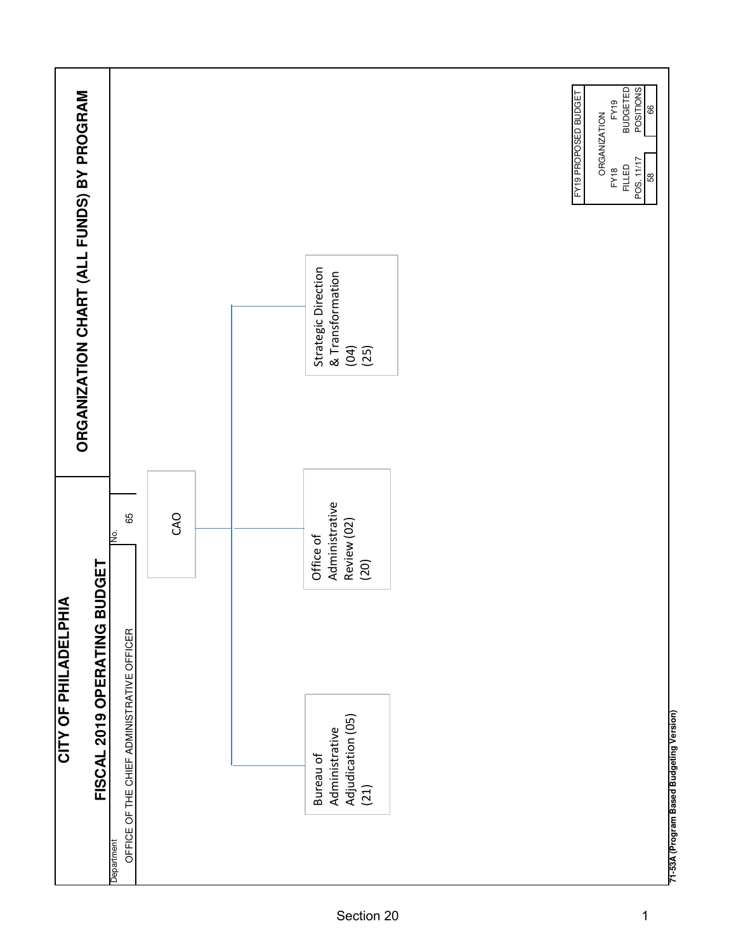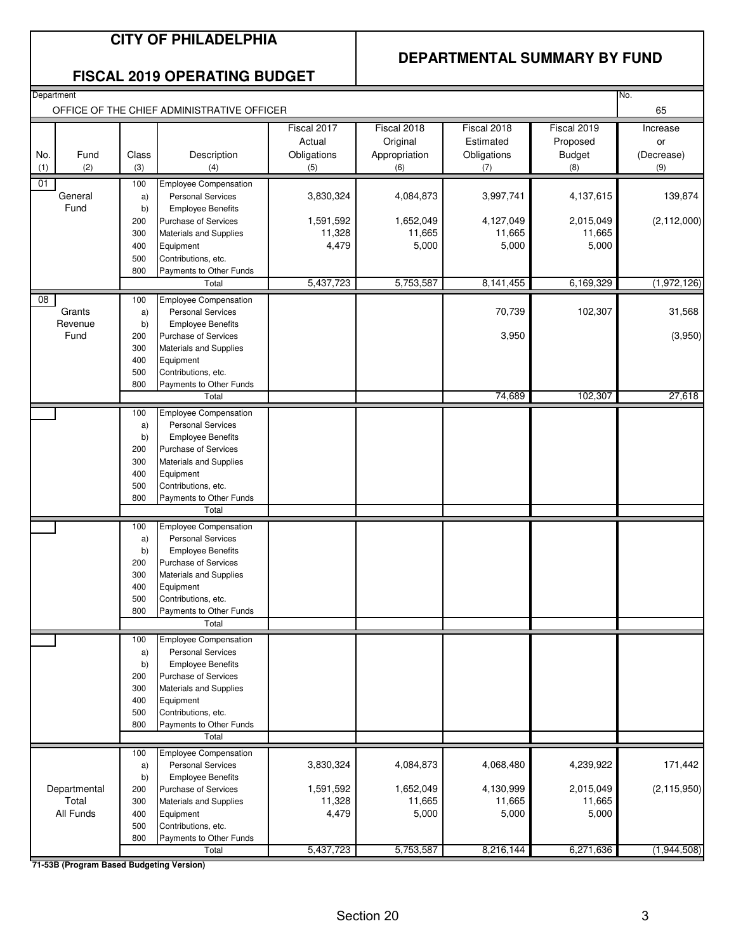### **CITY OF PHILADELPHIA**

### **DEPARTMENTAL SUMMARY BY FUND**

|  | <b>FISCAL 2019 OPERATING BUDGET</b> |  |
|--|-------------------------------------|--|
|--|-------------------------------------|--|

| Department<br>No.<br>OFFICE OF THE CHIEF ADMINISTRATIVE OFFICER |                                          |            |                                                      |             |               |             |               |               |
|-----------------------------------------------------------------|------------------------------------------|------------|------------------------------------------------------|-------------|---------------|-------------|---------------|---------------|
|                                                                 |                                          |            |                                                      |             |               |             |               | 65            |
|                                                                 |                                          |            |                                                      | Fiscal 2017 | Fiscal 2018   | Fiscal 2018 | Fiscal 2019   | Increase      |
|                                                                 |                                          |            |                                                      | Actual      | Original      | Estimated   | Proposed      | or            |
| No.                                                             | Fund                                     | Class      | Description                                          | Obligations | Appropriation | Obligations | <b>Budget</b> | (Decrease)    |
| (1)                                                             | (2)                                      | (3)        | (4)                                                  | (5)         | (6)           | (7)         | (8)           | (9)           |
| 01                                                              |                                          | 100        | <b>Employee Compensation</b>                         |             |               |             |               |               |
|                                                                 | General                                  | a)         | <b>Personal Services</b>                             | 3,830,324   | 4,084,873     | 3,997,741   | 4,137,615     | 139,874       |
|                                                                 | Fund                                     | b)         | <b>Employee Benefits</b>                             |             |               |             |               |               |
|                                                                 |                                          | 200        | <b>Purchase of Services</b>                          | 1,591,592   | 1,652,049     | 4,127,049   | 2,015,049     | (2, 112, 000) |
|                                                                 |                                          | 300        | Materials and Supplies                               | 11,328      | 11,665        | 11,665      | 11,665        |               |
|                                                                 |                                          | 400        | Equipment<br>Contributions, etc.                     | 4,479       | 5,000         | 5,000       | 5,000         |               |
|                                                                 |                                          | 500<br>800 | Payments to Other Funds                              |             |               |             |               |               |
|                                                                 |                                          |            | Total                                                | 5,437,723   | 5,753,587     | 8, 141, 455 | 6,169,329     | (1,972,126)   |
|                                                                 |                                          |            |                                                      |             |               |             |               |               |
| 08                                                              | Grants                                   | 100        | Employee Compensation                                |             |               | 70,739      | 102,307       | 31,568        |
|                                                                 | Revenue                                  | a)<br>b)   | <b>Personal Services</b><br><b>Employee Benefits</b> |             |               |             |               |               |
|                                                                 | Fund                                     | 200        | <b>Purchase of Services</b>                          |             |               | 3,950       |               | (3,950)       |
|                                                                 |                                          | 300        | Materials and Supplies                               |             |               |             |               |               |
|                                                                 |                                          | 400        | Equipment                                            |             |               |             |               |               |
|                                                                 |                                          | 500        | Contributions, etc.                                  |             |               |             |               |               |
|                                                                 |                                          | 800        | Payments to Other Funds                              |             |               |             |               |               |
|                                                                 |                                          |            | Total                                                |             |               | 74,689      | 102,307       | 27,618        |
|                                                                 |                                          | 100        | <b>Employee Compensation</b>                         |             |               |             |               |               |
|                                                                 |                                          | a)         | <b>Personal Services</b>                             |             |               |             |               |               |
|                                                                 |                                          | b)         | <b>Employee Benefits</b>                             |             |               |             |               |               |
|                                                                 |                                          | 200        | <b>Purchase of Services</b>                          |             |               |             |               |               |
|                                                                 |                                          | 300        | Materials and Supplies                               |             |               |             |               |               |
|                                                                 |                                          | 400        | Equipment                                            |             |               |             |               |               |
|                                                                 |                                          | 500        | Contributions, etc.                                  |             |               |             |               |               |
|                                                                 |                                          | 800        | Payments to Other Funds<br>Total                     |             |               |             |               |               |
|                                                                 |                                          |            |                                                      |             |               |             |               |               |
|                                                                 |                                          | 100        | <b>Employee Compensation</b>                         |             |               |             |               |               |
|                                                                 |                                          | a)<br>b)   | <b>Personal Services</b><br><b>Employee Benefits</b> |             |               |             |               |               |
|                                                                 |                                          | 200        | Purchase of Services                                 |             |               |             |               |               |
|                                                                 |                                          | 300        | <b>Materials and Supplies</b>                        |             |               |             |               |               |
|                                                                 |                                          | 400        | Equipment                                            |             |               |             |               |               |
|                                                                 |                                          | 500        | Contributions, etc.                                  |             |               |             |               |               |
|                                                                 |                                          | 800        | Payments to Other Funds                              |             |               |             |               |               |
|                                                                 |                                          |            | Total                                                |             |               |             |               |               |
|                                                                 |                                          | 100        | <b>Employee Compensation</b>                         |             |               |             |               |               |
|                                                                 |                                          | a)         | <b>Personal Services</b>                             |             |               |             |               |               |
|                                                                 |                                          | b)         | <b>Employee Benefits</b>                             |             |               |             |               |               |
|                                                                 |                                          | 200        | Purchase of Services                                 |             |               |             |               |               |
|                                                                 |                                          | 300        | <b>Materials and Supplies</b>                        |             |               |             |               |               |
|                                                                 |                                          | 400        | Equipment                                            |             |               |             |               |               |
|                                                                 |                                          | 500        | Contributions, etc.                                  |             |               |             |               |               |
|                                                                 |                                          | 800        | Payments to Other Funds<br>Total                     |             |               |             |               |               |
|                                                                 |                                          |            |                                                      |             |               |             |               |               |
|                                                                 |                                          | 100        | Employee Compensation                                |             |               |             |               |               |
|                                                                 |                                          | a)         | <b>Personal Services</b>                             | 3,830,324   | 4,084,873     | 4,068,480   | 4,239,922     | 171,442       |
|                                                                 | Departmental                             | b)<br>200  | <b>Employee Benefits</b><br>Purchase of Services     | 1,591,592   | 1,652,049     | 4,130,999   | 2,015,049     | (2, 115, 950) |
|                                                                 | Total                                    | 300        | Materials and Supplies                               | 11,328      | 11,665        | 11,665      | 11,665        |               |
|                                                                 | All Funds                                | 400        | Equipment                                            | 4,479       | 5,000         | 5,000       | 5,000         |               |
|                                                                 |                                          | 500        | Contributions, etc.                                  |             |               |             |               |               |
|                                                                 |                                          | 800        | Payments to Other Funds                              |             |               |             |               |               |
|                                                                 |                                          |            | Total                                                | 5,437,723   | 5,753,587     | 8,216,144   | 6,271,636     | (1,944,508)   |
|                                                                 | 71-53B (Program Based Budgeting Version) |            |                                                      |             |               |             |               |               |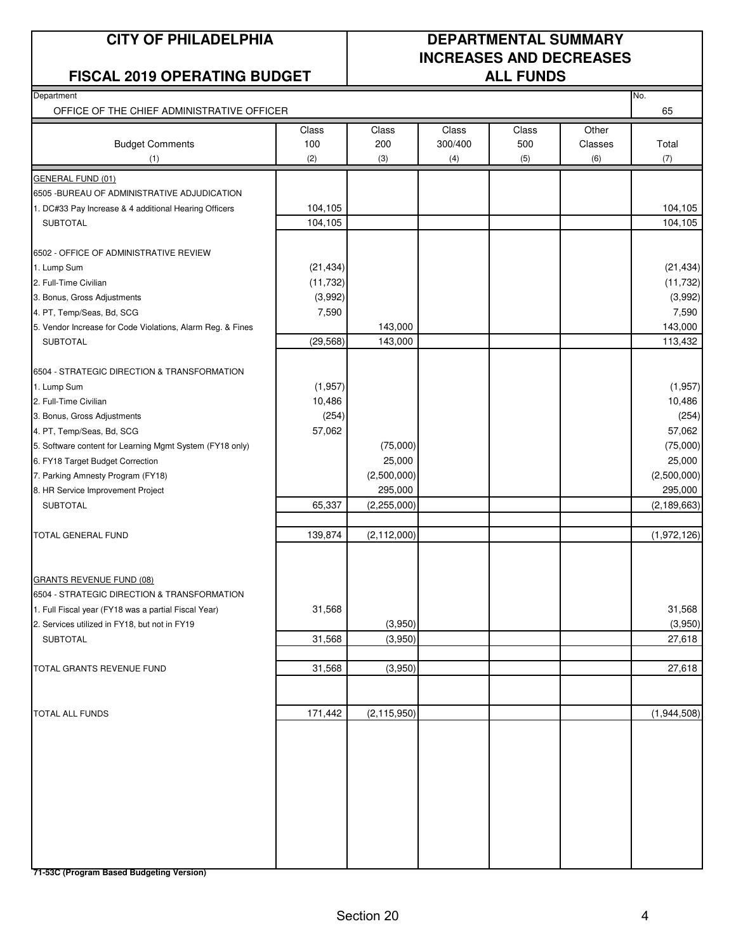#### **FISCAL 2019 OPERATING BUDGET ALL FUNDS**

### **CITY OF PHILADELPHIA DEPARTMENTAL SUMMARY INCREASES AND DECREASES**

| $V: L: I \cap I I$                                         |           |               |         | ALL I VIIVJ |         |               |
|------------------------------------------------------------|-----------|---------------|---------|-------------|---------|---------------|
| Department                                                 |           |               |         |             |         | No.           |
| OFFICE OF THE CHIEF ADMINISTRATIVE OFFICER                 |           |               |         |             |         | 65            |
|                                                            | Class     | Class         | Class   | Class       | Other   |               |
| <b>Budget Comments</b>                                     | 100       | 200           | 300/400 | 500         | Classes | Total         |
| (1)                                                        | (2)       | (3)           | (4)     | (5)         | (6)     | (7)           |
| <b>GENERAL FUND (01)</b>                                   |           |               |         |             |         |               |
| 6505 - BUREAU OF ADMINISTRATIVE ADJUDICATION               |           |               |         |             |         |               |
| 1. DC#33 Pay Increase & 4 additional Hearing Officers      | 104,105   |               |         |             |         | 104,105       |
| <b>SUBTOTAL</b>                                            | 104,105   |               |         |             |         | 104,105       |
| 6502 - OFFICE OF ADMINISTRATIVE REVIEW                     |           |               |         |             |         |               |
| 1. Lump Sum                                                | (21, 434) |               |         |             |         | (21, 434)     |
| 2. Full-Time Civilian                                      | (11, 732) |               |         |             |         | (11, 732)     |
| 3. Bonus, Gross Adjustments                                | (3,992)   |               |         |             |         | (3,992)       |
| 4. PT, Temp/Seas, Bd, SCG                                  | 7,590     |               |         |             |         | 7,590         |
| 5. Vendor Increase for Code Violations, Alarm Reg. & Fines |           | 143,000       |         |             |         | 143,000       |
| <b>SUBTOTAL</b>                                            | (29, 568) | 143,000       |         |             |         | 113,432       |
| 6504 - STRATEGIC DIRECTION & TRANSFORMATION                |           |               |         |             |         |               |
| 1. Lump Sum                                                | (1,957)   |               |         |             |         | (1, 957)      |
| 2. Full-Time Civilian                                      | 10,486    |               |         |             |         | 10,486        |
| 3. Bonus, Gross Adjustments                                | (254)     |               |         |             |         | (254)         |
| 4. PT, Temp/Seas, Bd, SCG                                  | 57,062    |               |         |             |         | 57,062        |
| 5. Software content for Learning Mgmt System (FY18 only)   |           | (75,000)      |         |             |         | (75,000)      |
| 6. FY18 Target Budget Correction                           |           | 25,000        |         |             |         | 25,000        |
| 7. Parking Amnesty Program (FY18)                          |           | (2,500,000)   |         |             |         | (2,500,000)   |
| 8. HR Service Improvement Project                          |           | 295,000       |         |             |         | 295,000       |
| <b>SUBTOTAL</b>                                            | 65,337    | (2, 255, 000) |         |             |         | (2, 189, 663) |
|                                                            |           |               |         |             |         |               |
| TOTAL GENERAL FUND                                         | 139,874   | (2, 112, 000) |         |             |         | (1,972,126)   |
|                                                            |           |               |         |             |         |               |
| <b>GRANTS REVENUE FUND (08)</b>                            |           |               |         |             |         |               |
| 6504 - STRATEGIC DIRECTION & TRANSFORMATION                |           |               |         |             |         |               |
| 1. Full Fiscal year (FY18 was a partial Fiscal Year)       | 31,568    |               |         |             |         | 31,568        |
| 2. Services utilized in FY18, but not in FY19              |           | (3,950)       |         |             |         | (3,950)       |
| <b>SUBTOTAL</b>                                            | 31,568    | (3,950)       |         |             |         | 27,618        |
|                                                            |           |               |         |             |         |               |
| TOTAL GRANTS REVENUE FUND                                  | 31,568    | (3,950)       |         |             |         | 27,618        |
|                                                            |           |               |         |             |         |               |
| <b>TOTAL ALL FUNDS</b>                                     | 171,442   | (2, 115, 950) |         |             |         | (1,944,508)   |
|                                                            |           |               |         |             |         |               |
|                                                            |           |               |         |             |         |               |
|                                                            |           |               |         |             |         |               |
|                                                            |           |               |         |             |         |               |

**71-53C (Program Based Budgeting Version)**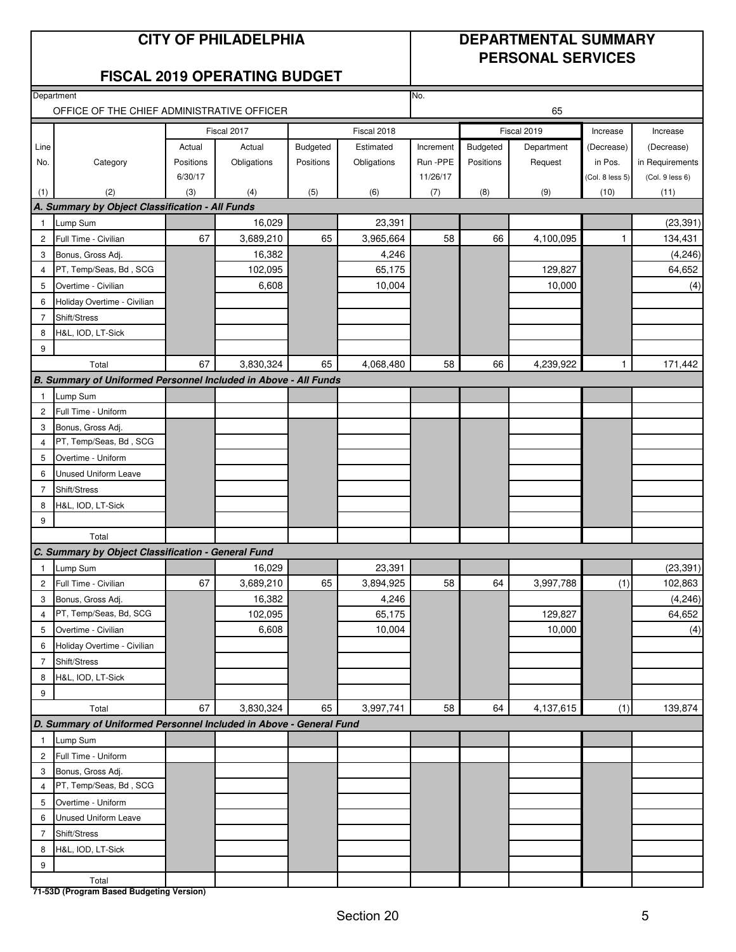### **CITY OF PHILADELPHIA DEPARTMENTAL SUMMARY**

### **PERSONAL SERVICES**

### **FISCAL 2019 OPERATING BUDGET**

|                | Department<br>OFFICE OF THE CHIEF ADMINISTRATIVE OFFICER           |                     |                       |                       | No.<br>65                |                       |           |                       |                       |                               |
|----------------|--------------------------------------------------------------------|---------------------|-----------------------|-----------------------|--------------------------|-----------------------|-----------|-----------------------|-----------------------|-------------------------------|
|                |                                                                    |                     |                       |                       |                          |                       |           |                       |                       |                               |
|                |                                                                    |                     | Fiscal 2017           |                       | Fiscal 2018<br>Estimated |                       | Budgeted  | Fiscal 2019           | Increase              | Increase                      |
| Line           |                                                                    | Actual<br>Positions | Actual<br>Obligations | Budgeted<br>Positions | Obligations              | Increment<br>Run -PPE | Positions | Department<br>Request | (Decrease)<br>in Pos. | (Decrease)<br>in Requirements |
| No.            | Category                                                           | 6/30/17             |                       |                       |                          | 11/26/17              |           |                       | (Col. 8 less 5)       | (Col. 9 less 6)               |
| (1)            | (2)                                                                | (3)                 | (4)                   | (5)                   | (6)                      | (7)                   | (8)       | (9)                   | (10)                  | (11)                          |
|                | A. Summary by Object Classification - All Funds                    |                     |                       |                       |                          |                       |           |                       |                       |                               |
| $\mathbf{1}$   | Lump Sum                                                           |                     | 16,029                |                       | 23,391                   |                       |           |                       |                       | (23, 391)                     |
| $\overline{c}$ | Full Time - Civilian                                               | 67                  | 3,689,210             | 65                    | 3,965,664                | 58                    | 66        | 4,100,095             | 1                     | 134,431                       |
| 3              | Bonus, Gross Adj.                                                  |                     | 16,382                |                       | 4,246                    |                       |           |                       |                       | (4, 246)                      |
| 4              | PT, Temp/Seas, Bd, SCG                                             |                     | 102,095               |                       | 65,175                   |                       |           | 129,827               |                       | 64,652                        |
| 5              | Overtime - Civilian                                                |                     | 6,608                 |                       | 10,004                   |                       |           | 10,000                |                       | (4)                           |
| 6              | Holiday Overtime - Civilian                                        |                     |                       |                       |                          |                       |           |                       |                       |                               |
| $\overline{7}$ | Shift/Stress                                                       |                     |                       |                       |                          |                       |           |                       |                       |                               |
| 8              | H&L, IOD, LT-Sick                                                  |                     |                       |                       |                          |                       |           |                       |                       |                               |
| 9              |                                                                    |                     |                       |                       |                          |                       |           |                       |                       |                               |
|                | Total                                                              | 67                  | 3,830,324             | 65                    | 4,068,480                | 58                    | 66        | 4,239,922             | $\mathbf{1}$          | 171,442                       |
|                | B. Summary of Uniformed Personnel Included in Above - All Funds    |                     |                       |                       |                          |                       |           |                       |                       |                               |
| $\mathbf{1}$   | Lump Sum                                                           |                     |                       |                       |                          |                       |           |                       |                       |                               |
| $\overline{c}$ | Full Time - Uniform                                                |                     |                       |                       |                          |                       |           |                       |                       |                               |
| 3              | Bonus, Gross Adj.                                                  |                     |                       |                       |                          |                       |           |                       |                       |                               |
| 4              | PT, Temp/Seas, Bd, SCG                                             |                     |                       |                       |                          |                       |           |                       |                       |                               |
| 5              | Overtime - Uniform                                                 |                     |                       |                       |                          |                       |           |                       |                       |                               |
| 6              | <b>Unused Uniform Leave</b>                                        |                     |                       |                       |                          |                       |           |                       |                       |                               |
| $\overline{7}$ | Shift/Stress                                                       |                     |                       |                       |                          |                       |           |                       |                       |                               |
| 8              | H&L, IOD, LT-Sick                                                  |                     |                       |                       |                          |                       |           |                       |                       |                               |
| 9              |                                                                    |                     |                       |                       |                          |                       |           |                       |                       |                               |
|                | Total                                                              |                     |                       |                       |                          |                       |           |                       |                       |                               |
|                | C. Summary by Object Classification - General Fund                 |                     |                       |                       |                          |                       |           |                       |                       |                               |
| $\overline{1}$ | Lump Sum                                                           |                     | 16,029                |                       | 23,391                   |                       |           |                       |                       | (23, 391)                     |
| $\overline{c}$ | Full Time - Civilian                                               | 67                  | 3,689,210             | 65                    | 3,894,925                | 58                    | 64        | 3,997,788             | (1)                   | 102,863                       |
| 3              | Bonus, Gross Adj.                                                  |                     | 16,382                |                       | 4,246                    |                       |           |                       |                       | (4, 246)                      |
| 4              | PT, Temp/Seas, Bd, SCG                                             |                     | 102,095               |                       | 65,175                   |                       |           | 129,827               |                       | 64,652                        |
| 5              | Overtime - Civilian                                                |                     | 6,608                 |                       | 10.004                   |                       |           | 10.000                |                       | (4)                           |
| 6              | Holiday Overtime - Civilian                                        |                     |                       |                       |                          |                       |           |                       |                       |                               |
| $\overline{7}$ | Shift/Stress                                                       |                     |                       |                       |                          |                       |           |                       |                       |                               |
| 8              | H&L, IOD, LT-Sick                                                  |                     |                       |                       |                          |                       |           |                       |                       |                               |
| 9              |                                                                    |                     |                       |                       |                          |                       |           |                       |                       |                               |
|                | Total                                                              | 67                  | 3,830,324             | 65                    | 3,997,741                | 58                    | 64        | 4,137,615             | (1)                   | 139,874                       |
|                | D. Summary of Uniformed Personnel Included in Above - General Fund |                     |                       |                       |                          |                       |           |                       |                       |                               |
| $\mathbf{1}$   | Lump Sum                                                           |                     |                       |                       |                          |                       |           |                       |                       |                               |
| $\overline{c}$ | Full Time - Uniform                                                |                     |                       |                       |                          |                       |           |                       |                       |                               |
| 3              | Bonus, Gross Adj.                                                  |                     |                       |                       |                          |                       |           |                       |                       |                               |
| 4              | PT, Temp/Seas, Bd, SCG                                             |                     |                       |                       |                          |                       |           |                       |                       |                               |
| 5              | Overtime - Uniform                                                 |                     |                       |                       |                          |                       |           |                       |                       |                               |
| 6              | <b>Unused Uniform Leave</b>                                        |                     |                       |                       |                          |                       |           |                       |                       |                               |
| $\overline{7}$ | Shift/Stress                                                       |                     |                       |                       |                          |                       |           |                       |                       |                               |
| 8              | H&L, IOD, LT-Sick                                                  |                     |                       |                       |                          |                       |           |                       |                       |                               |
| 9              |                                                                    |                     |                       |                       |                          |                       |           |                       |                       |                               |
|                | Total                                                              |                     |                       |                       |                          |                       |           |                       |                       |                               |
|                | 71-53D (Program Based Budgeting Version)                           |                     |                       |                       |                          |                       |           |                       |                       |                               |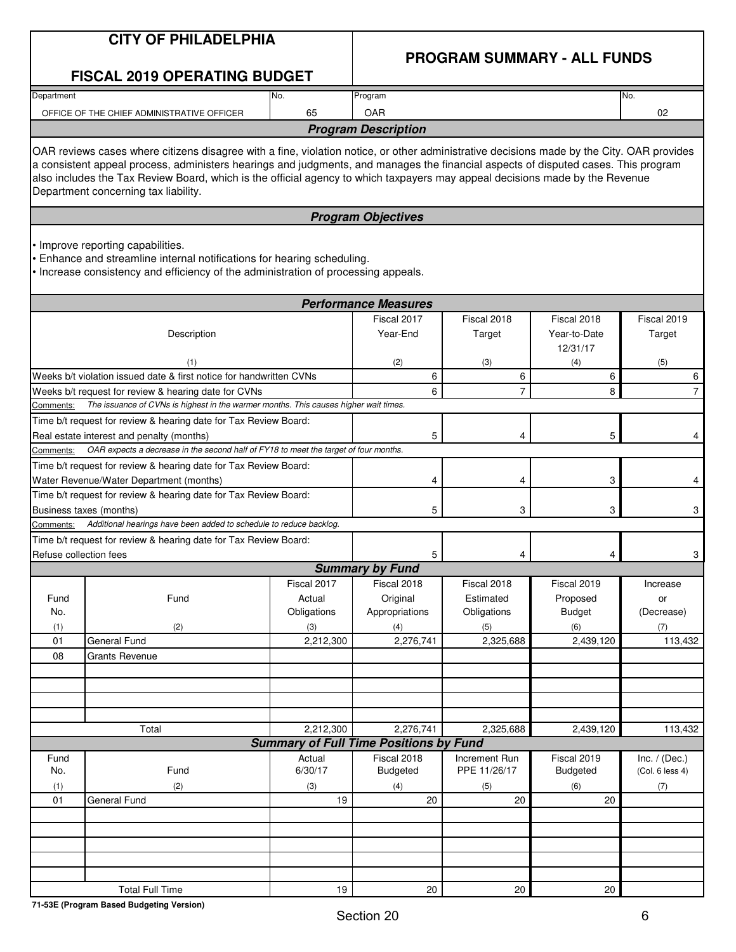| <b>CITY OF PHILADELPHIA</b> |  |  |  |  |  |
|-----------------------------|--|--|--|--|--|
|-----------------------------|--|--|--|--|--|

### **PROGRAM SUMMARY - ALL FUNDS**

|                        | <b>FISCAL 2019 OPERATING BUDGET</b>                                                                                                                                                                                                                                                                                                                                                                                                                     |                                             |                                                  |                                                |                                                 |                                     |
|------------------------|---------------------------------------------------------------------------------------------------------------------------------------------------------------------------------------------------------------------------------------------------------------------------------------------------------------------------------------------------------------------------------------------------------------------------------------------------------|---------------------------------------------|--------------------------------------------------|------------------------------------------------|-------------------------------------------------|-------------------------------------|
| Department             |                                                                                                                                                                                                                                                                                                                                                                                                                                                         | No.                                         | Program                                          |                                                |                                                 | No.                                 |
|                        | OFFICE OF THE CHIEF ADMINISTRATIVE OFFICER                                                                                                                                                                                                                                                                                                                                                                                                              | 65                                          | <b>OAR</b>                                       |                                                |                                                 | 02                                  |
|                        |                                                                                                                                                                                                                                                                                                                                                                                                                                                         |                                             | <b>Program Description</b>                       |                                                |                                                 |                                     |
|                        | OAR reviews cases where citizens disagree with a fine, violation notice, or other administrative decisions made by the City. OAR provides<br>a consistent appeal process, administers hearings and judgments, and manages the financial aspects of disputed cases. This program<br>also includes the Tax Review Board, which is the official agency to which taxpayers may appeal decisions made by the Revenue<br>Department concerning tax liability. |                                             |                                                  |                                                |                                                 |                                     |
|                        |                                                                                                                                                                                                                                                                                                                                                                                                                                                         |                                             | <b>Program Objectives</b>                        |                                                |                                                 |                                     |
|                        | • Improve reporting capabilities.<br>• Enhance and streamline internal notifications for hearing scheduling.<br>Increase consistency and efficiency of the administration of processing appeals.                                                                                                                                                                                                                                                        |                                             |                                                  |                                                |                                                 |                                     |
|                        |                                                                                                                                                                                                                                                                                                                                                                                                                                                         |                                             | <b>Performance Measures</b>                      |                                                |                                                 |                                     |
|                        | Description                                                                                                                                                                                                                                                                                                                                                                                                                                             |                                             | Fiscal 2017<br>Year-End                          | Fiscal 2018<br>Target                          | Fiscal 2018<br>Year-to-Date<br>12/31/17         | Fiscal 2019<br>Target               |
|                        | (1)<br>Weeks b/t violation issued date & first notice for handwritten CVNs                                                                                                                                                                                                                                                                                                                                                                              |                                             | (2)<br>6                                         | (3)<br>6                                       | (4)<br>6                                        | (5)<br>6                            |
|                        | Weeks b/t request for review & hearing date for CVNs                                                                                                                                                                                                                                                                                                                                                                                                    |                                             | 6                                                | $\overline{7}$                                 | 8                                               | $\overline{7}$                      |
| Comments:              | The issuance of CVNs is highest in the warmer months. This causes higher wait times.                                                                                                                                                                                                                                                                                                                                                                    |                                             |                                                  |                                                |                                                 |                                     |
|                        | Time b/t request for review & hearing date for Tax Review Board:<br>Real estate interest and penalty (months)                                                                                                                                                                                                                                                                                                                                           |                                             | 5                                                | 4                                              | 5                                               | 4                                   |
| Comments:              | OAR expects a decrease in the second half of FY18 to meet the target of four months.                                                                                                                                                                                                                                                                                                                                                                    |                                             |                                                  |                                                |                                                 |                                     |
|                        | Time b/t request for review & hearing date for Tax Review Board:<br>Water Revenue/Water Department (months)                                                                                                                                                                                                                                                                                                                                             |                                             |                                                  | 4                                              | 3                                               | 4                                   |
|                        | Time b/t request for review & hearing date for Tax Review Board:<br>Business taxes (months)                                                                                                                                                                                                                                                                                                                                                             |                                             | 5                                                | 3                                              | 3                                               | 3                                   |
| Comments:              | Additional hearings have been added to schedule to reduce backlog.                                                                                                                                                                                                                                                                                                                                                                                      |                                             |                                                  |                                                |                                                 |                                     |
| Refuse collection fees | Time b/t request for review & hearing date for Tax Review Board:                                                                                                                                                                                                                                                                                                                                                                                        |                                             | 5                                                | 4                                              | 4                                               | 3                                   |
|                        |                                                                                                                                                                                                                                                                                                                                                                                                                                                         |                                             | <b>Summary by Fund</b>                           |                                                |                                                 |                                     |
| Fund<br>No.<br>(1)     | Fund<br>(2)                                                                                                                                                                                                                                                                                                                                                                                                                                             | Fiscal 2017<br>Actual<br>Obligations<br>(3) | Fiscal 2018<br>Original<br>Appropriations<br>(4) | Fiscal 2018<br>Estimated<br>Obligations<br>(5) | Fiscal 2019<br>Proposed<br><b>Budget</b><br>(6) | Increase<br>or<br>(Decrease)<br>(7) |
| 01                     | General Fund                                                                                                                                                                                                                                                                                                                                                                                                                                            | 2,212,300                                   | 2,276,741                                        | 2,325,688                                      | 2,439,120                                       | 113,432                             |
| 08                     | <b>Grants Revenue</b>                                                                                                                                                                                                                                                                                                                                                                                                                                   |                                             |                                                  |                                                |                                                 |                                     |
|                        |                                                                                                                                                                                                                                                                                                                                                                                                                                                         |                                             |                                                  |                                                |                                                 |                                     |
|                        |                                                                                                                                                                                                                                                                                                                                                                                                                                                         |                                             |                                                  |                                                |                                                 |                                     |
|                        | Total                                                                                                                                                                                                                                                                                                                                                                                                                                                   | 2,212,300                                   | 2,276,741                                        | 2,325,688                                      | 2,439,120                                       | 113,432                             |
|                        |                                                                                                                                                                                                                                                                                                                                                                                                                                                         |                                             | <b>Summary of Full Time Positions by Fund</b>    |                                                |                                                 |                                     |
| Fund                   |                                                                                                                                                                                                                                                                                                                                                                                                                                                         | Actual                                      | Fiscal 2018                                      | Increment Run                                  | Fiscal 2019                                     | Inc. $/$ (Dec.)                     |
| No.                    | Fund                                                                                                                                                                                                                                                                                                                                                                                                                                                    | 6/30/17                                     | <b>Budgeted</b>                                  | PPE 11/26/17                                   | Budgeted                                        | (Col. 6 less 4)                     |
| (1)                    | (2)                                                                                                                                                                                                                                                                                                                                                                                                                                                     | (3)                                         | (4)                                              | (5)                                            | (6)                                             | (7)                                 |
| 01                     | General Fund                                                                                                                                                                                                                                                                                                                                                                                                                                            | 19                                          | 20                                               | 20                                             | 20                                              |                                     |
|                        |                                                                                                                                                                                                                                                                                                                                                                                                                                                         |                                             |                                                  |                                                |                                                 |                                     |
|                        |                                                                                                                                                                                                                                                                                                                                                                                                                                                         |                                             |                                                  |                                                |                                                 |                                     |
|                        |                                                                                                                                                                                                                                                                                                                                                                                                                                                         |                                             |                                                  |                                                |                                                 |                                     |
|                        |                                                                                                                                                                                                                                                                                                                                                                                                                                                         |                                             |                                                  |                                                |                                                 |                                     |
|                        | <b>Total Full Time</b>                                                                                                                                                                                                                                                                                                                                                                                                                                  | 19                                          | $20\,$                                           | 20                                             | 20                                              |                                     |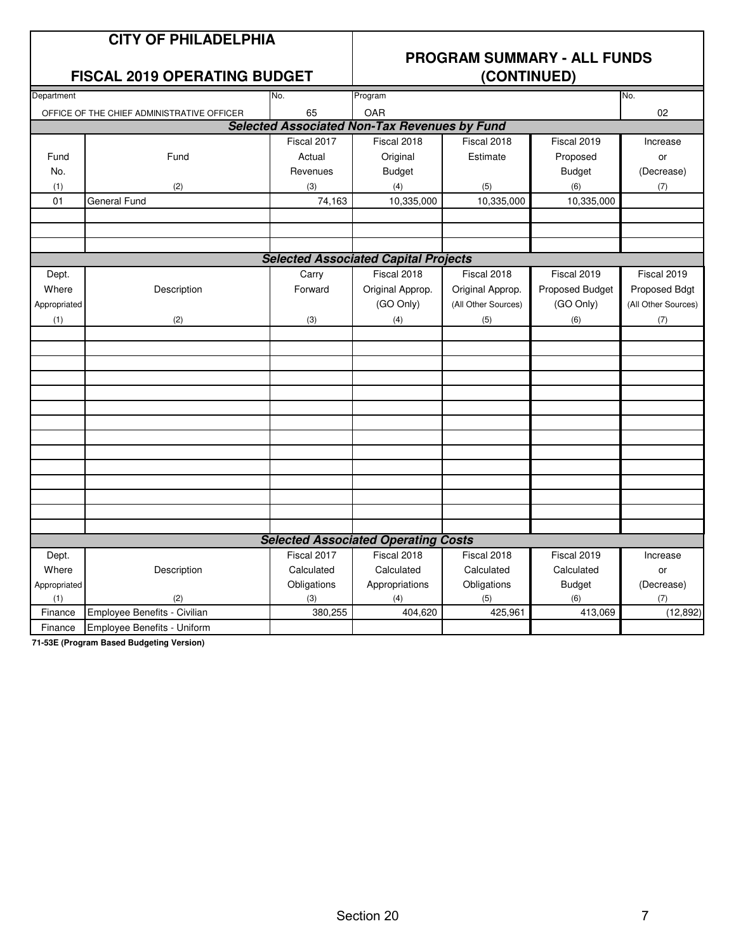### **CITY OF PHILADELPHIA**

## **PROGRAM SUMMARY - ALL FUNDS**

### **FISCAL 2019 OPERATING BUDGET**

| Department     |                                                                                                                                                                                                                                                                   | No.         | Program                                             |                     |                 | No.                 |
|----------------|-------------------------------------------------------------------------------------------------------------------------------------------------------------------------------------------------------------------------------------------------------------------|-------------|-----------------------------------------------------|---------------------|-----------------|---------------------|
|                | OFFICE OF THE CHIEF ADMINISTRATIVE OFFICER                                                                                                                                                                                                                        | 65          | OAR                                                 |                     |                 | 02                  |
|                |                                                                                                                                                                                                                                                                   |             | <b>Selected Associated Non-Tax Revenues by Fund</b> |                     |                 |                     |
|                |                                                                                                                                                                                                                                                                   | Fiscal 2017 | Fiscal 2018                                         | Fiscal 2018         | Fiscal 2019     | Increase            |
| Fund           | Fund                                                                                                                                                                                                                                                              | Actual      | Original                                            | Estimate            | Proposed        | or                  |
| No.            |                                                                                                                                                                                                                                                                   | Revenues    | <b>Budget</b>                                       |                     | <b>Budget</b>   | (Decrease)          |
| (1)            | (2)                                                                                                                                                                                                                                                               | (3)         | (4)                                                 | (5)                 | (6)             | (7)                 |
| 01             | <b>General Fund</b>                                                                                                                                                                                                                                               | 74,163      | 10,335,000                                          | 10,335,000          | 10,335,000      |                     |
|                |                                                                                                                                                                                                                                                                   |             |                                                     |                     |                 |                     |
|                |                                                                                                                                                                                                                                                                   |             |                                                     |                     |                 |                     |
|                |                                                                                                                                                                                                                                                                   |             |                                                     |                     |                 |                     |
|                |                                                                                                                                                                                                                                                                   |             | <b>Selected Associated Capital Projects</b>         |                     |                 |                     |
| Dept.          |                                                                                                                                                                                                                                                                   | Carry       | Fiscal 2018                                         | Fiscal 2018         | Fiscal 2019     | Fiscal 2019         |
| Where          | Description                                                                                                                                                                                                                                                       | Forward     | Original Approp.                                    | Original Approp.    | Proposed Budget | Proposed Bdgt       |
| Appropriated   |                                                                                                                                                                                                                                                                   |             | (GO Only)                                           | (All Other Sources) | (GO Only)       | (All Other Sources) |
| (1)            | (2)                                                                                                                                                                                                                                                               | (3)         | (4)                                                 | (5)                 | (6)             | (7)                 |
|                |                                                                                                                                                                                                                                                                   |             |                                                     |                     |                 |                     |
|                |                                                                                                                                                                                                                                                                   |             |                                                     |                     |                 |                     |
|                |                                                                                                                                                                                                                                                                   |             |                                                     |                     |                 |                     |
|                |                                                                                                                                                                                                                                                                   |             |                                                     |                     |                 |                     |
|                |                                                                                                                                                                                                                                                                   |             |                                                     |                     |                 |                     |
|                |                                                                                                                                                                                                                                                                   |             |                                                     |                     |                 |                     |
|                |                                                                                                                                                                                                                                                                   |             |                                                     |                     |                 |                     |
|                |                                                                                                                                                                                                                                                                   |             |                                                     |                     |                 |                     |
|                |                                                                                                                                                                                                                                                                   |             |                                                     |                     |                 |                     |
|                |                                                                                                                                                                                                                                                                   |             |                                                     |                     |                 |                     |
|                |                                                                                                                                                                                                                                                                   |             |                                                     |                     |                 |                     |
|                |                                                                                                                                                                                                                                                                   |             |                                                     |                     |                 |                     |
|                |                                                                                                                                                                                                                                                                   |             |                                                     |                     |                 |                     |
|                |                                                                                                                                                                                                                                                                   |             | <b>Selected Associated Operating Costs</b>          |                     |                 |                     |
| Dept.          |                                                                                                                                                                                                                                                                   | Fiscal 2017 | Fiscal 2018                                         | Fiscal 2018         | Fiscal 2019     | Increase            |
| Where          | Description                                                                                                                                                                                                                                                       | Calculated  | Calculated                                          | Calculated          | Calculated      | or                  |
| Appropriated   |                                                                                                                                                                                                                                                                   | Obligations | Appropriations                                      | Obligations         | <b>Budget</b>   | (Decrease)          |
| (1)            | (2)                                                                                                                                                                                                                                                               | (3)         | (4)                                                 | (5)                 | (6)             | (7)                 |
| Finance        | Employee Benefits - Civilian                                                                                                                                                                                                                                      | 380,255     | 404,620                                             | 425,961             | 413,069         | (12, 892)           |
| Finance<br>PAP | Employee Benefits - Uniform<br>$\mathcal{L}$ . The contract of the contract of the contract of the contract of the contract of the contract of the contract of the contract of the contract of the contract of the contract of the contract of the contract of th |             |                                                     |                     |                 |                     |

**71-53E (Program Based Budgeting Version)**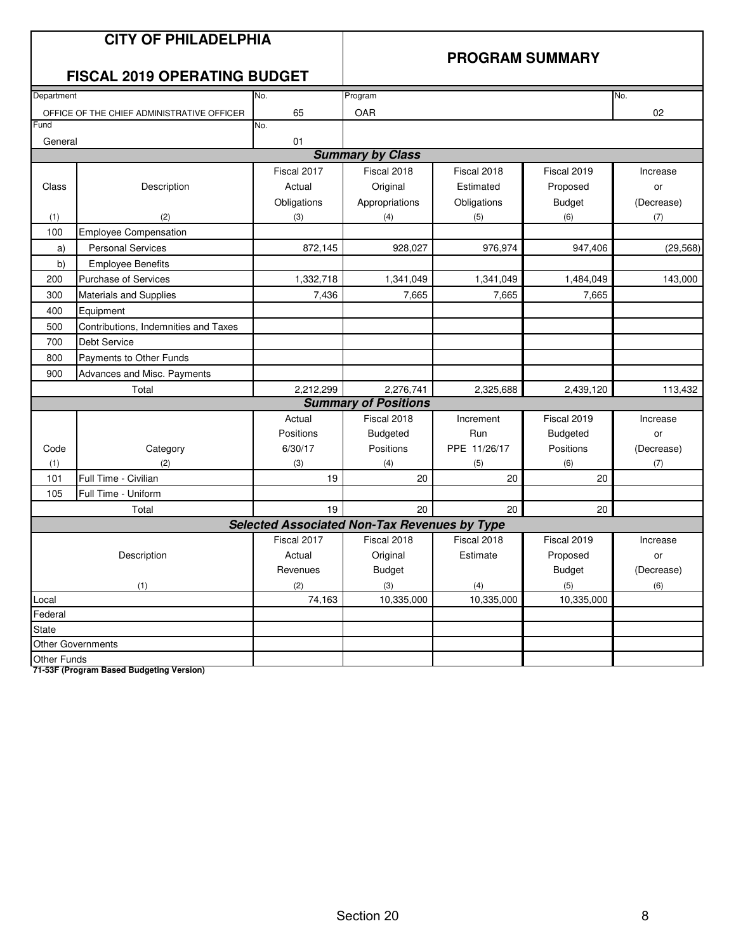|            | <b>CITY OF PHILADELPHIA</b><br><b>FISCAL 2019 OPERATING BUDGET</b> |                                                     |                             |              | <b>PROGRAM SUMMARY</b> |            |
|------------|--------------------------------------------------------------------|-----------------------------------------------------|-----------------------------|--------------|------------------------|------------|
| Department |                                                                    | No.                                                 | Program                     |              |                        | No.        |
|            | OFFICE OF THE CHIEF ADMINISTRATIVE OFFICER                         | 65                                                  | OAR                         |              |                        | 02         |
| Fund       |                                                                    | No.                                                 |                             |              |                        |            |
| General    |                                                                    | 01                                                  |                             |              |                        |            |
|            |                                                                    |                                                     | <b>Summary by Class</b>     |              |                        |            |
|            |                                                                    | Fiscal 2017                                         | Fiscal 2018                 | Fiscal 2018  | Fiscal 2019            | Increase   |
| Class      | Description                                                        | Actual                                              | Original                    | Estimated    | Proposed               | or         |
|            |                                                                    | Obligations                                         | Appropriations              | Obligations  | <b>Budget</b>          | (Decrease) |
| (1)        | (2)                                                                | (3)                                                 | (4)                         | (5)          | (6)                    | (7)        |
| 100        | <b>Employee Compensation</b>                                       |                                                     |                             |              |                        |            |
| a)         | <b>Personal Services</b>                                           | 872,145                                             | 928,027                     | 976,974      | 947,406                | (29, 568)  |
| b)         | <b>Employee Benefits</b>                                           |                                                     |                             |              |                        |            |
| 200        | <b>Purchase of Services</b>                                        | 1,332,718                                           | 1,341,049                   | 1,341,049    | 1,484,049              | 143,000    |
| 300        | Materials and Supplies                                             | 7,436                                               | 7,665                       | 7,665        | 7,665                  |            |
| 400        | Equipment                                                          |                                                     |                             |              |                        |            |
| 500        | Contributions, Indemnities and Taxes                               |                                                     |                             |              |                        |            |
| 700        | <b>Debt Service</b>                                                |                                                     |                             |              |                        |            |
| 800        | Payments to Other Funds                                            |                                                     |                             |              |                        |            |
| 900        | Advances and Misc. Payments                                        |                                                     |                             |              |                        |            |
|            | Total                                                              | 2,212,299                                           | 2,276,741                   | 2,325,688    | 2,439,120              | 113,432    |
|            |                                                                    |                                                     | <b>Summary of Positions</b> |              |                        |            |
|            |                                                                    | Actual                                              | Fiscal 2018                 | Increment    | Fiscal 2019            | Increase   |
|            |                                                                    | Positions                                           | Budgeted                    | Run          | <b>Budgeted</b>        | or         |
| Code       | Category                                                           | 6/30/17                                             | Positions                   | PPE 11/26/17 | Positions              | (Decrease) |
| (1)        | (2)                                                                | (3)                                                 | (4)                         | (5)          | (6)                    | (7)        |
| 101        | Full Time - Civilian                                               | 19                                                  | 20                          | 20           | 20                     |            |
| 105        | Full Time - Uniform                                                |                                                     |                             |              |                        |            |
|            | Total                                                              | 19                                                  | 20                          | 20           | 20                     |            |
|            |                                                                    | <b>Selected Associated Non-Tax Revenues by Type</b> |                             |              |                        |            |
|            |                                                                    | Fiscal 2017                                         | Fiscal 2018                 | Fiscal 2018  | Fiscal 2019            | Increase   |
|            | Description                                                        | Actual                                              | Original                    | Estimate     | Proposed               | or         |
|            |                                                                    | Revenues                                            | <b>Budget</b>               |              | <b>Budget</b>          | (Decrease) |
|            | (1)                                                                | (2)                                                 | (3)                         | (4)          | (5)                    | (6)        |
| Local      |                                                                    | 74,163                                              | 10,335,000                  | 10,335,000   | 10,335,000             |            |
| Federal    |                                                                    |                                                     |                             |              |                        |            |
| State      |                                                                    |                                                     |                             |              |                        |            |
|            | <b>Other Governments</b>                                           |                                                     |                             |              |                        |            |

Other Funds

**71-53F (Program Based Budgeting Version)**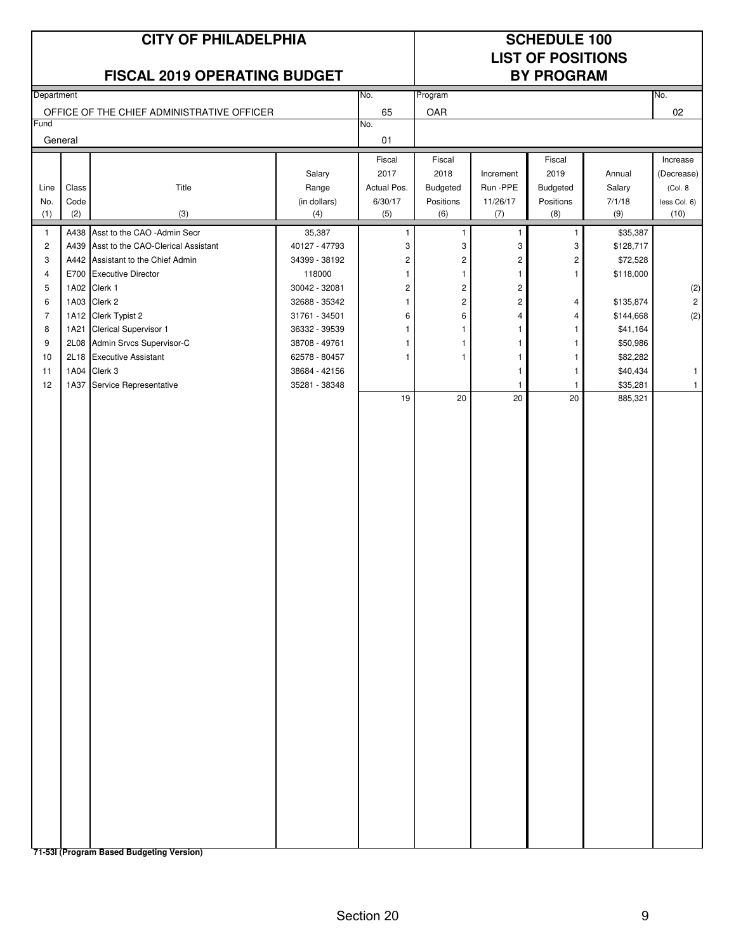### **CITY OF PHILADELPHIA SCHEDULE 100**

# **LIST OF POSITIONS**

| FISCAL 2019 OPERATING BUDGET |               |                                                   |                                |                        |                         |                         | <b>BY PROGRAM</b>     |                      |                         |
|------------------------------|---------------|---------------------------------------------------|--------------------------------|------------------------|-------------------------|-------------------------|-----------------------|----------------------|-------------------------|
| Department                   |               |                                                   |                                | No.                    | Program                 |                         |                       |                      | No.                     |
|                              |               | OFFICE OF THE CHIEF ADMINISTRATIVE OFFICER        |                                | 65                     | OAR                     |                         |                       |                      | 02                      |
| Fund                         |               |                                                   |                                | No.                    |                         |                         |                       |                      |                         |
|                              | General       |                                                   |                                | 01                     |                         |                         |                       |                      |                         |
|                              |               |                                                   |                                | Fiscal                 | Fiscal                  |                         | Fiscal                |                      | Increase                |
|                              |               | Title                                             | Salary                         | 2017                   | 2018                    | Increment<br>Run - PPE  | 2019                  | Annual               | (Decrease)              |
| Line<br>No.                  | Class<br>Code |                                                   | Range<br>(in dollars)          | Actual Pos.<br>6/30/17 | Budgeted<br>Positions   | 11/26/17                | Budgeted<br>Positions | Salary<br>7/1/18     | (Col. 8<br>less Col. 6) |
| (1)                          | (2)           | (3)                                               | (4)                            | (5)                    | (6)                     | (7)                     | (8)                   | (9)                  | (10)                    |
| 1                            |               | A438 Asst to the CAO -Admin Secr                  | 35,387                         | 1                      | 1                       | 1                       | $\mathbf 1$           | \$35,387             |                         |
| $\overline{c}$               |               | A439 Asst to the CAO-Clerical Assistant           | 40127 - 47793                  | 3                      | 3                       | 3                       | 3                     | \$128,717            |                         |
| 3                            |               | A442 Assistant to the Chief Admin                 | 34399 - 38192                  | $\sqrt{2}$             | $\overline{\mathbf{c}}$ | $\overline{\mathbf{c}}$ | $\overline{c}$        | \$72,528             |                         |
| 4                            |               | E700 Executive Director                           | 118000                         | 1                      | $\mathbf{1}$            | 1                       | $\mathbf{1}$          | \$118,000            |                         |
| 5                            |               | 1A02 Clerk 1                                      | 30042 - 32081                  | $\boldsymbol{2}$       | $\sqrt{2}$              | $\overline{\mathbf{c}}$ |                       |                      | $\left( 2\right)$       |
| 6                            |               | 1A03 Clerk 2                                      | 32688 - 35342                  | 1                      | $\sqrt{2}$              | 2                       | 4                     | \$135,874            | $\overline{2}$          |
| $\overline{7}$               |               | 1A12 Clerk Typist 2                               | 31761 - 34501                  | 6                      | 6                       | 4                       | $\overline{4}$        | \$144,668            | (2)                     |
| 8<br>9                       | 1A21<br>2L08  | Clerical Supervisor 1<br>Admin Srvcs Supervisor-C | 36332 - 39539<br>38708 - 49761 | 1<br>1                 | 1<br>1                  | 1<br>1                  | -1<br>-1              | \$41,164<br>\$50,986 |                         |
| 10                           | 2L18          | <b>Executive Assistant</b>                        | 62578 - 80457                  | 1                      | 1                       | 1                       | -1                    | \$82,282             |                         |
| 11                           | 1A04          | Clerk 3                                           | 38684 - 42156                  |                        |                         | $\mathbf{1}$            | -1                    | \$40,434             | $\mathbf{1}$            |
| 12                           | 1A37          | Service Representative                            | 35281 - 38348                  |                        |                         | $\overline{1}$          | $\mathbf{1}$          | \$35,281             | $\mathbf{1}$            |
|                              |               |                                                   |                                | 19                     | 20                      | 20                      | 20                    | 885,321              |                         |
|                              |               |                                                   |                                |                        |                         |                         |                       |                      |                         |
|                              |               |                                                   |                                |                        |                         |                         |                       |                      |                         |
|                              |               |                                                   |                                |                        |                         |                         |                       |                      |                         |
|                              |               |                                                   |                                |                        |                         |                         |                       |                      |                         |
|                              |               |                                                   |                                |                        |                         |                         |                       |                      |                         |
|                              |               |                                                   |                                |                        |                         |                         |                       |                      |                         |
|                              |               |                                                   |                                |                        |                         |                         |                       |                      |                         |
|                              |               |                                                   |                                |                        |                         |                         |                       |                      |                         |
|                              |               |                                                   |                                |                        |                         |                         |                       |                      |                         |
|                              |               |                                                   |                                |                        |                         |                         |                       |                      |                         |
|                              |               |                                                   |                                |                        |                         |                         |                       |                      |                         |
|                              |               |                                                   |                                |                        |                         |                         |                       |                      |                         |
|                              |               |                                                   |                                |                        |                         |                         |                       |                      |                         |
|                              |               |                                                   |                                |                        |                         |                         |                       |                      |                         |
|                              |               |                                                   |                                |                        |                         |                         |                       |                      |                         |
|                              |               |                                                   |                                |                        |                         |                         |                       |                      |                         |
|                              |               |                                                   |                                |                        |                         |                         |                       |                      |                         |
|                              |               |                                                   |                                |                        |                         |                         |                       |                      |                         |
|                              |               |                                                   |                                |                        |                         |                         |                       |                      |                         |
|                              |               |                                                   |                                |                        |                         |                         |                       |                      |                         |
|                              |               |                                                   |                                |                        |                         |                         |                       |                      |                         |
|                              |               |                                                   |                                |                        |                         |                         |                       |                      |                         |
|                              |               |                                                   |                                |                        |                         |                         |                       |                      |                         |
|                              |               |                                                   |                                |                        |                         |                         |                       |                      |                         |
|                              |               |                                                   |                                |                        |                         |                         |                       |                      |                         |
|                              |               |                                                   |                                |                        |                         |                         |                       |                      |                         |
|                              |               |                                                   |                                |                        |                         |                         |                       |                      |                         |
|                              |               |                                                   |                                |                        |                         |                         |                       |                      |                         |

**71-53I (Program Based Budgeting Version)**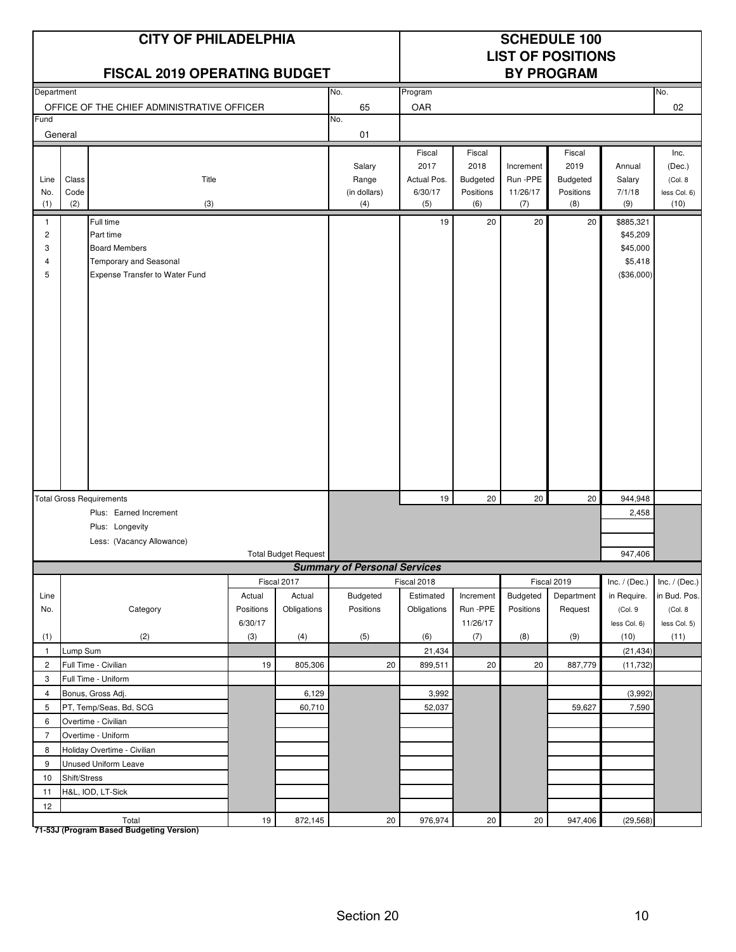|                                               | <b>CITY OF PHILADELPHIA</b><br>FISCAL 2019 OPERATING BUDGET |                                                                                                            |                                |                             |                                        | <b>SCHEDULE 100</b><br><b>LIST OF POSITIONS</b><br><b>BY PROGRAM</b> |                                                       |                                           |                                                |                                                            |                                                    |
|-----------------------------------------------|-------------------------------------------------------------|------------------------------------------------------------------------------------------------------------|--------------------------------|-----------------------------|----------------------------------------|----------------------------------------------------------------------|-------------------------------------------------------|-------------------------------------------|------------------------------------------------|------------------------------------------------------------|----------------------------------------------------|
| Department                                    |                                                             |                                                                                                            |                                |                             | No.                                    | Program                                                              |                                                       |                                           |                                                |                                                            | No.                                                |
|                                               |                                                             | OFFICE OF THE CHIEF ADMINISTRATIVE OFFICER                                                                 |                                |                             | 65                                     | OAR                                                                  |                                                       |                                           |                                                |                                                            | 02                                                 |
| Fund                                          | General                                                     |                                                                                                            |                                |                             | No.<br>01                              |                                                                      |                                                       |                                           |                                                |                                                            |                                                    |
| Line<br>No.<br>(1)                            | Class<br>Code<br>(2)                                        | Title<br>(3)                                                                                               |                                |                             | Salary<br>Range<br>(in dollars)<br>(4) | Fiscal<br>2017<br>Actual Pos.<br>6/30/17<br>(5)                      | Fiscal<br>2018<br><b>Budgeted</b><br>Positions<br>(6) | Increment<br>Run - PPE<br>11/26/17<br>(7) | Fiscal<br>2019<br>Budgeted<br>Positions<br>(8) | Annual<br>Salary<br>7/1/18<br>(9)                          | Inc.<br>(Dec.)<br>(Col. 8)<br>less Col. 6)<br>(10) |
| $\mathbf{1}$<br>$\overline{c}$<br>3<br>4<br>5 |                                                             | Full time<br>Part time<br><b>Board Members</b><br>Temporary and Seasonal<br>Expense Transfer to Water Fund |                                |                             |                                        | 19                                                                   | 20                                                    | 20                                        | 20                                             | \$885,321<br>\$45,209<br>\$45,000<br>\$5,418<br>(\$36,000) |                                                    |
|                                               |                                                             | <b>Total Gross Requirements</b>                                                                            |                                |                             |                                        | 19                                                                   | 20                                                    | 20                                        | 20                                             | 944.948                                                    |                                                    |
|                                               |                                                             | Plus: Earned Increment                                                                                     |                                |                             |                                        |                                                                      |                                                       |                                           |                                                | 2,458                                                      |                                                    |
|                                               |                                                             | Plus: Longevity                                                                                            |                                |                             |                                        |                                                                      |                                                       |                                           |                                                |                                                            |                                                    |
|                                               |                                                             | Less: (Vacancy Allowance)                                                                                  |                                |                             |                                        |                                                                      |                                                       |                                           |                                                |                                                            |                                                    |
|                                               |                                                             |                                                                                                            |                                | <b>Total Budget Request</b> |                                        |                                                                      |                                                       |                                           |                                                | 947,406                                                    |                                                    |
|                                               |                                                             |                                                                                                            |                                |                             | <b>Summary of Personal Services</b>    |                                                                      |                                                       |                                           |                                                |                                                            |                                                    |
|                                               |                                                             |                                                                                                            |                                | Fiscal 2017                 |                                        | Fiscal 2018                                                          |                                                       |                                           | Fiscal 2019                                    | Inc. $/$ (Dec.)                                            | Inc. $/$ (Dec.)                                    |
| Line<br>No.                                   |                                                             | Category                                                                                                   | Actual<br>Positions<br>6/30/17 | Actual<br>Obligations       | Budgeted<br>Positions                  | Estimated<br>Obligations                                             | Increment<br>Run -PPE<br>11/26/17                     | Budgeted<br>Positions                     | Department<br>Request                          | in Require.<br>(Col. 9<br>less Col. 6)                     | in Bud. Pos.<br>(Col. 8<br>less Col. 5)            |
| (1)                                           |                                                             | (2)                                                                                                        | (3)                            | (4)                         | (5)                                    | (6)                                                                  | (7)                                                   | (8)                                       | (9)                                            | (10)                                                       | (11)                                               |
| $\mathbf{1}$                                  | Lump Sum                                                    |                                                                                                            |                                |                             |                                        | 21,434                                                               |                                                       |                                           |                                                | (21, 434)                                                  |                                                    |
| $\overline{2}$                                |                                                             | Full Time - Civilian                                                                                       | 19                             | 805,306                     | 20                                     | 899,511                                                              | 20                                                    | 20                                        | 887,779                                        | (11, 732)                                                  |                                                    |
| 3                                             |                                                             | Full Time - Uniform                                                                                        |                                |                             |                                        |                                                                      |                                                       |                                           |                                                |                                                            |                                                    |
| $\overline{4}$                                |                                                             | Bonus, Gross Adj.                                                                                          |                                | 6,129                       |                                        | 3,992                                                                |                                                       |                                           |                                                | (3,992)                                                    |                                                    |
| 5                                             |                                                             | PT, Temp/Seas, Bd, SCG                                                                                     |                                | 60,710                      |                                        | 52,037                                                               |                                                       |                                           | 59,627                                         | 7,590                                                      |                                                    |
| 6                                             |                                                             | Overtime - Civilian                                                                                        |                                |                             |                                        |                                                                      |                                                       |                                           |                                                |                                                            |                                                    |
| $\overline{7}$                                |                                                             | Overtime - Uniform                                                                                         |                                |                             |                                        |                                                                      |                                                       |                                           |                                                |                                                            |                                                    |
| 8                                             |                                                             | Holiday Overtime - Civilian                                                                                |                                |                             |                                        |                                                                      |                                                       |                                           |                                                |                                                            |                                                    |
| 9                                             |                                                             | Unused Uniform Leave                                                                                       |                                |                             |                                        |                                                                      |                                                       |                                           |                                                |                                                            |                                                    |
| 10                                            | Shift/Stress                                                |                                                                                                            |                                |                             |                                        |                                                                      |                                                       |                                           |                                                |                                                            |                                                    |
| 11                                            |                                                             | H&L, IOD, LT-Sick                                                                                          |                                |                             |                                        |                                                                      |                                                       |                                           |                                                |                                                            |                                                    |
| 12                                            |                                                             |                                                                                                            |                                |                             |                                        |                                                                      |                                                       |                                           |                                                |                                                            |                                                    |
|                                               |                                                             | Total                                                                                                      | $19$                           | 872,145                     | 20                                     | 976,974                                                              | $20\degree$                                           | 20                                        | 947,406                                        | (29, 568)                                                  |                                                    |

**71-53J (Program Based Budgeting Version)**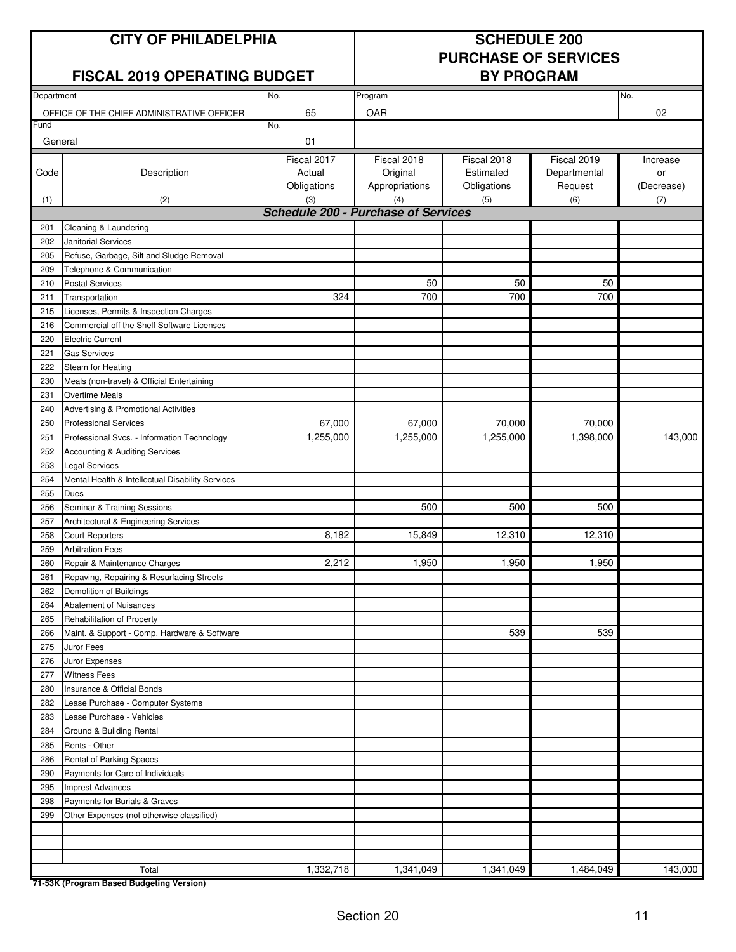### **CITY OF PHILADELPHIA SCHEDULE 200**

# **PURCHASE OF SERVICES**

### **FISCAL 2019 OPERATING BUDGET**

| Department |                                                   | No.                                               | Program        |             |              | No.        |
|------------|---------------------------------------------------|---------------------------------------------------|----------------|-------------|--------------|------------|
|            | OFFICE OF THE CHIEF ADMINISTRATIVE OFFICER        | 65                                                | OAR            |             |              | 02         |
| Fund       |                                                   | No.                                               |                |             |              |            |
| General    |                                                   | 01                                                |                |             |              |            |
|            |                                                   | Fiscal 2017                                       | Fiscal 2018    | Fiscal 2018 | Fiscal 2019  | Increase   |
| Code       | Description                                       | Actual                                            | Original       | Estimated   | Departmental | or         |
|            |                                                   | Obligations                                       | Appropriations | Obligations | Request      | (Decrease) |
|            | (2)                                               |                                                   | (4)            |             | (6)          |            |
| (1)        |                                                   | (3)<br><b>Schedule 200 - Purchase of Services</b> |                | (5)         |              | (7)        |
|            |                                                   |                                                   |                |             |              |            |
| 201        | Cleaning & Laundering                             |                                                   |                |             |              |            |
| 202        | <b>Janitorial Services</b>                        |                                                   |                |             |              |            |
| 205        | Refuse, Garbage, Silt and Sludge Removal          |                                                   |                |             |              |            |
| 209        | Telephone & Communication                         |                                                   |                |             |              |            |
| 210        | <b>Postal Services</b>                            |                                                   | 50             | 50          | 50           |            |
| 211        | Transportation                                    | 324                                               | 700            | 700         | 700          |            |
| 215        | Licenses, Permits & Inspection Charges            |                                                   |                |             |              |            |
| 216        | Commercial off the Shelf Software Licenses        |                                                   |                |             |              |            |
| 220        | <b>Electric Current</b>                           |                                                   |                |             |              |            |
| 221        | <b>Gas Services</b>                               |                                                   |                |             |              |            |
| 222        | Steam for Heating                                 |                                                   |                |             |              |            |
| 230        | Meals (non-travel) & Official Entertaining        |                                                   |                |             |              |            |
| 231        | <b>Overtime Meals</b>                             |                                                   |                |             |              |            |
| 240        | Advertising & Promotional Activities              |                                                   |                |             |              |            |
| 250        | <b>Professional Services</b>                      | 67,000                                            | 67,000         | 70,000      | 70,000       |            |
| 251        | Professional Svcs. - Information Technology       | 1,255,000                                         | 1,255,000      | 1,255,000   | 1,398,000    | 143,000    |
| 252        | Accounting & Auditing Services                    |                                                   |                |             |              |            |
| 253        | <b>Legal Services</b>                             |                                                   |                |             |              |            |
| 254        | Mental Health & Intellectual Disability Services  |                                                   |                |             |              |            |
| 255        | <b>Dues</b>                                       |                                                   |                |             |              |            |
| 256        | Seminar & Training Sessions                       |                                                   | 500            | 500         | 500          |            |
| 257        | Architectural & Engineering Services              |                                                   |                |             |              |            |
| 258        | <b>Court Reporters</b>                            | 8,182                                             | 15,849         | 12,310      | 12,310       |            |
| 259        | <b>Arbitration Fees</b>                           |                                                   |                |             |              |            |
| 260        | Repair & Maintenance Charges                      | 2,212                                             | 1,950          | 1,950       | 1,950        |            |
| 261        | Repaving, Repairing & Resurfacing Streets         |                                                   |                |             |              |            |
| 262        | Demolition of Buildings                           |                                                   |                |             |              |            |
| 264        | Abatement of Nuisances                            |                                                   |                |             |              |            |
| 265        | Rehabilitation of Property                        |                                                   |                |             |              |            |
| 266        | Maint. & Support - Comp. Hardware & Software      |                                                   |                | 539         | 539          |            |
| 275        | Juror Fees                                        |                                                   |                |             |              |            |
| 276        | Juror Expenses                                    |                                                   |                |             |              |            |
| 277        | <b>Witness Fees</b>                               |                                                   |                |             |              |            |
| 280        | Insurance & Official Bonds                        |                                                   |                |             |              |            |
| 282        | Lease Purchase - Computer Systems                 |                                                   |                |             |              |            |
| 283        | Lease Purchase - Vehicles                         |                                                   |                |             |              |            |
| 284        | Ground & Building Rental                          |                                                   |                |             |              |            |
| 285        | Rents - Other                                     |                                                   |                |             |              |            |
| 286        | Rental of Parking Spaces                          |                                                   |                |             |              |            |
| 290        | Payments for Care of Individuals                  |                                                   |                |             |              |            |
|            |                                                   |                                                   |                |             |              |            |
| 295        | <b>Imprest Advances</b>                           |                                                   |                |             |              |            |
| 298        | Payments for Burials & Graves                     |                                                   |                |             |              |            |
| 299        | Other Expenses (not otherwise classified)         |                                                   |                |             |              |            |
|            |                                                   |                                                   |                |             |              |            |
|            |                                                   |                                                   |                |             |              |            |
|            |                                                   |                                                   |                |             |              |            |
|            | Total<br>71-53K (Program Based Budgeting Version) | 1,332,718                                         | 1,341,049      | 1,341,049   | 1,484,049    | 143,000    |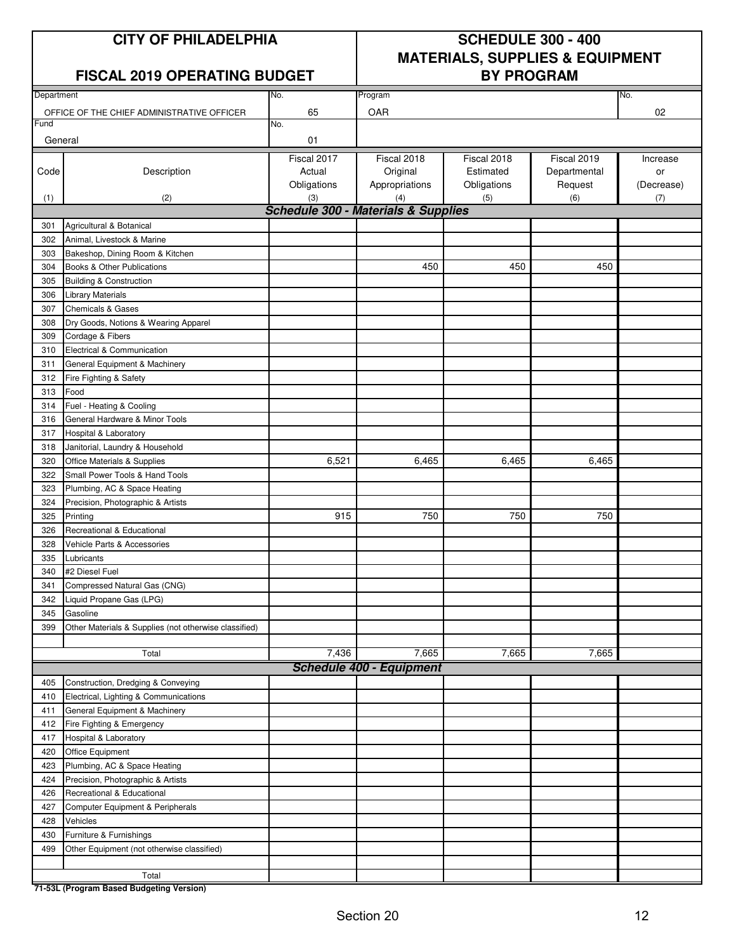### **CITY OF PHILADELPHIA SCHEDULE 300 - 400 MATERIALS, SUPPLIES & EQUIPMENT**

### **FISCAL 2019 OPERATING BUDGET**

| Department |                                                       | No.         | Program                                        |             | No.          |            |
|------------|-------------------------------------------------------|-------------|------------------------------------------------|-------------|--------------|------------|
|            | OFFICE OF THE CHIEF ADMINISTRATIVE OFFICER            | 65          | OAR                                            |             |              | 02         |
| Fund       |                                                       | No.         |                                                |             |              |            |
| General    |                                                       | 01          |                                                |             |              |            |
|            |                                                       |             |                                                |             |              |            |
|            |                                                       | Fiscal 2017 | Fiscal 2018                                    | Fiscal 2018 | Fiscal 2019  | Increase   |
| Code       | Description                                           | Actual      | Original                                       | Estimated   | Departmental | or         |
|            |                                                       | Obligations | Appropriations                                 | Obligations | Request      | (Decrease) |
| (1)        | (2)                                                   | (3)         | (4)                                            | (5)         | (6)          | (7)        |
|            |                                                       |             | <b>Schedule 300 - Materials &amp; Supplies</b> |             |              |            |
| 301        | Agricultural & Botanical                              |             |                                                |             |              |            |
| 302        | Animal, Livestock & Marine                            |             |                                                |             |              |            |
| 303        | Bakeshop, Dining Room & Kitchen                       |             |                                                |             |              |            |
| 304        | Books & Other Publications                            |             | 450                                            | 450         | 450          |            |
| 305        | <b>Building &amp; Construction</b>                    |             |                                                |             |              |            |
| 306        | <b>Library Materials</b>                              |             |                                                |             |              |            |
| 307        | <b>Chemicals &amp; Gases</b>                          |             |                                                |             |              |            |
| 308        | Dry Goods, Notions & Wearing Apparel                  |             |                                                |             |              |            |
| 309        | Cordage & Fibers                                      |             |                                                |             |              |            |
| 310        | Electrical & Communication                            |             |                                                |             |              |            |
| 311        | General Equipment & Machinery                         |             |                                                |             |              |            |
| 312        | Fire Fighting & Safety                                |             |                                                |             |              |            |
| 313        | Food                                                  |             |                                                |             |              |            |
| 314        | Fuel - Heating & Cooling                              |             |                                                |             |              |            |
| 316        | General Hardware & Minor Tools                        |             |                                                |             |              |            |
| 317        | Hospital & Laboratory                                 |             |                                                |             |              |            |
| 318        | Janitorial, Laundry & Household                       |             |                                                |             |              |            |
| 320        | Office Materials & Supplies                           | 6,521       | 6,465                                          | 6,465       | 6,465        |            |
| 322        | Small Power Tools & Hand Tools                        |             |                                                |             |              |            |
| 323        | Plumbing, AC & Space Heating                          |             |                                                |             |              |            |
| 324        | Precision, Photographic & Artists                     |             |                                                |             |              |            |
| 325        | Printing                                              | 915         | 750                                            | 750         | 750          |            |
| 326        | Recreational & Educational                            |             |                                                |             |              |            |
|            |                                                       |             |                                                |             |              |            |
| 328        | Vehicle Parts & Accessories                           |             |                                                |             |              |            |
| 335        | Lubricants<br>#2 Diesel Fuel                          |             |                                                |             |              |            |
| 340        |                                                       |             |                                                |             |              |            |
| 341        | Compressed Natural Gas (CNG)                          |             |                                                |             |              |            |
| 342        | Liquid Propane Gas (LPG)                              |             |                                                |             |              |            |
| 345        | Gasoline                                              |             |                                                |             |              |            |
| 399        | Other Materials & Supplies (not otherwise classified) |             |                                                |             |              |            |
|            |                                                       |             |                                                |             |              |            |
|            | Total                                                 | 7,436       | 7,665                                          | 7,665       | 7,665        |            |
|            |                                                       |             | <b>Schedule 400 - Equipment</b>                |             |              |            |
| 405        | Construction, Dredging & Conveying                    |             |                                                |             |              |            |
| 410        | Electrical, Lighting & Communications                 |             |                                                |             |              |            |
| 411        | General Equipment & Machinery                         |             |                                                |             |              |            |
| 412        | Fire Fighting & Emergency                             |             |                                                |             |              |            |
| 417        | Hospital & Laboratory                                 |             |                                                |             |              |            |
| 420        | Office Equipment                                      |             |                                                |             |              |            |
| 423        | Plumbing, AC & Space Heating                          |             |                                                |             |              |            |
| 424        | Precision, Photographic & Artists                     |             |                                                |             |              |            |
| 426        | Recreational & Educational                            |             |                                                |             |              |            |
| 427        | Computer Equipment & Peripherals                      |             |                                                |             |              |            |
| 428        | Vehicles                                              |             |                                                |             |              |            |
| 430        | Furniture & Furnishings                               |             |                                                |             |              |            |
| 499        | Other Equipment (not otherwise classified)            |             |                                                |             |              |            |
|            |                                                       |             |                                                |             |              |            |
|            | Total                                                 |             |                                                |             |              |            |
|            | 71-53L (Program Based Budgeting Version)              |             |                                                |             |              |            |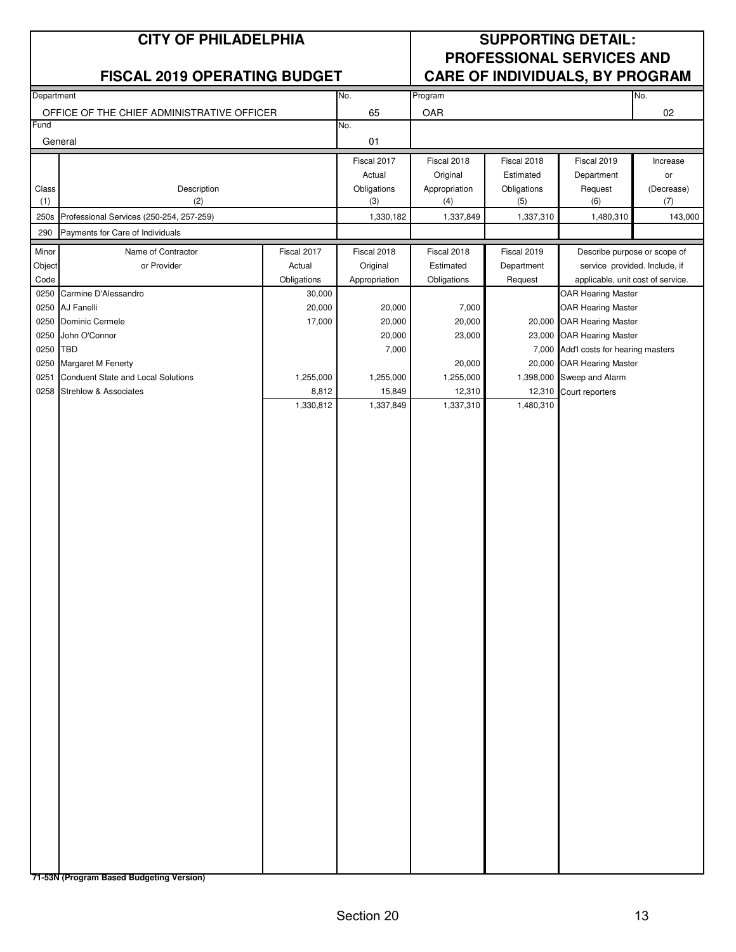|              | <b>CITY OF PHILADELPHIA</b>                |                  |                       |                         |                          | <b>SUPPORTING DETAIL:</b>                              |                |
|--------------|--------------------------------------------|------------------|-----------------------|-------------------------|--------------------------|--------------------------------------------------------|----------------|
|              |                                            |                  |                       |                         |                          | <b>PROFESSIONAL SERVICES AND</b>                       |                |
|              | <b>FISCAL 2019 OPERATING BUDGET</b>        |                  |                       |                         |                          | CARE OF INDIVIDUALS, BY PROGRAM                        |                |
| Department   |                                            |                  | No.                   | Program                 |                          |                                                        | No.            |
|              | OFFICE OF THE CHIEF ADMINISTRATIVE OFFICER |                  | 65                    | OAR                     |                          |                                                        | 02             |
| Fund         |                                            |                  | No.                   |                         |                          |                                                        |                |
|              | General                                    |                  | 01                    |                         |                          |                                                        |                |
|              |                                            |                  | Fiscal 2017<br>Actual | Fiscal 2018<br>Original | Fiscal 2018<br>Estimated | Fiscal 2019<br>Department                              | Increase<br>or |
| Class        | Description                                |                  | Obligations           | Appropriation           | Obligations              | Request                                                | (Decrease)     |
| (1)          | (2)                                        |                  | (3)                   | (4)                     | (5)                      | (6)                                                    | (7)            |
| 250s         | Professional Services (250-254, 257-259)   |                  | 1,330,182             | 1,337,849               | 1,337,310                | 1,480,310                                              | 143,000        |
| 290          | Payments for Care of Individuals           |                  |                       |                         |                          |                                                        |                |
| Minor        | Name of Contractor                         | Fiscal 2017      | Fiscal 2018           | Fiscal 2018             | Fiscal 2019              | Describe purpose or scope of                           |                |
| Object       | or Provider                                | Actual           | Original              | Estimated               | Department               | service provided. Include, if                          |                |
| Code         |                                            | Obligations      | Appropriation         | Obligations             | Request                  | applicable, unit cost of service.                      |                |
| 0250         | Carmine D'Alessandro                       | 30,000           |                       |                         |                          | <b>OAR Hearing Master</b>                              |                |
| 0250<br>0250 | AJ Fanelli<br>Dominic Cermele              | 20,000<br>17,000 | 20,000<br>20,000      | 7,000<br>20,000         |                          | <b>OAR Hearing Master</b><br>20,000 OAR Hearing Master |                |
| 0250         | John O'Connor                              |                  | 20,000                | 23,000                  |                          | 23,000 OAR Hearing Master                              |                |
| 0250         | <b>TBD</b>                                 |                  | 7,000                 |                         |                          | 7,000 Add'l costs for hearing masters                  |                |
| 0250         | Margaret M Fenerty                         |                  |                       | 20,000                  |                          | 20,000 OAR Hearing Master                              |                |
| 0251         | Conduent State and Local Solutions         | 1,255,000        | 1,255,000             | 1,255,000               |                          | 1,398,000 Sweep and Alarm                              |                |
| 0258         | <b>Strehlow &amp; Associates</b>           | 8,812            | 15,849                | 12,310                  | 12,310                   | Court reporters                                        |                |
|              |                                            | 1,330,812        | 1,337,849             | 1,337,310               | 1,480,310                |                                                        |                |
|              |                                            |                  |                       |                         |                          |                                                        |                |
|              |                                            |                  |                       |                         |                          |                                                        |                |
|              |                                            |                  |                       |                         |                          |                                                        |                |
|              |                                            |                  |                       |                         |                          |                                                        |                |
|              |                                            |                  |                       |                         |                          |                                                        |                |
|              |                                            |                  |                       |                         |                          |                                                        |                |
|              |                                            |                  |                       |                         |                          |                                                        |                |
|              |                                            |                  |                       |                         |                          |                                                        |                |
|              |                                            |                  |                       |                         |                          |                                                        |                |
|              |                                            |                  |                       |                         |                          |                                                        |                |
|              |                                            |                  |                       |                         |                          |                                                        |                |
|              |                                            |                  |                       |                         |                          |                                                        |                |
|              |                                            |                  |                       |                         |                          |                                                        |                |
|              |                                            |                  |                       |                         |                          |                                                        |                |
|              |                                            |                  |                       |                         |                          |                                                        |                |
|              |                                            |                  |                       |                         |                          |                                                        |                |
|              |                                            |                  |                       |                         |                          |                                                        |                |
|              |                                            |                  |                       |                         |                          |                                                        |                |
|              |                                            |                  |                       |                         |                          |                                                        |                |
|              |                                            |                  |                       |                         |                          |                                                        |                |
|              |                                            |                  |                       |                         |                          |                                                        |                |
|              |                                            |                  |                       |                         |                          |                                                        |                |
|              |                                            |                  |                       |                         |                          |                                                        |                |
|              |                                            |                  |                       |                         |                          |                                                        |                |
|              |                                            |                  |                       |                         |                          |                                                        |                |
|              |                                            |                  |                       |                         |                          |                                                        |                |
|              |                                            |                  |                       |                         |                          |                                                        |                |
|              |                                            |                  |                       |                         |                          |                                                        |                |
|              |                                            |                  |                       |                         |                          |                                                        |                |
|              |                                            |                  |                       |                         |                          |                                                        |                |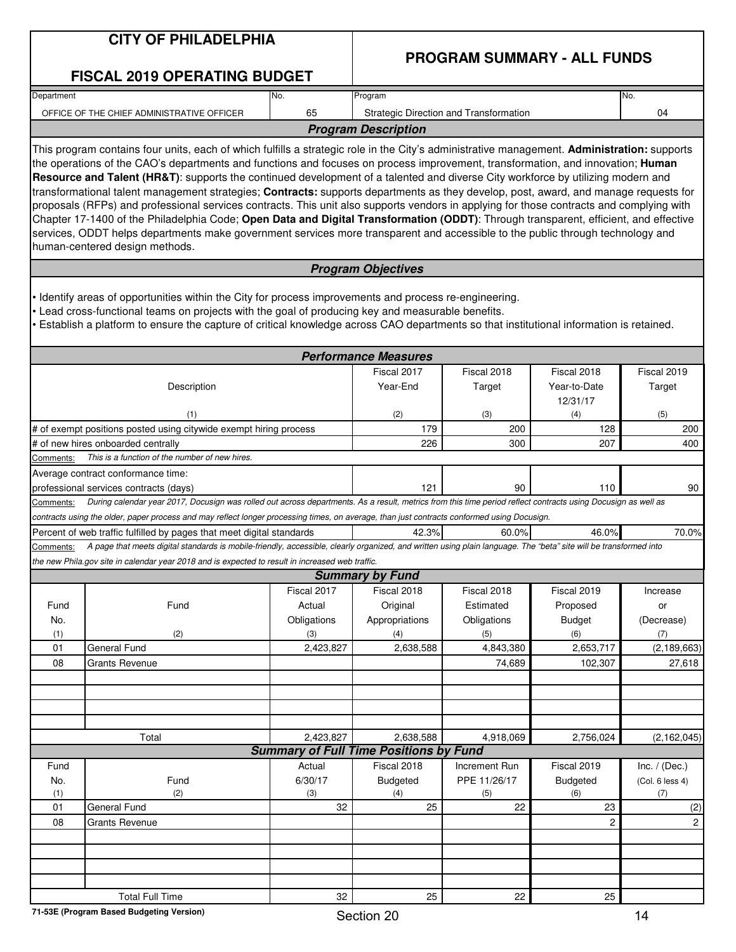|            | <b>CITY OF PHILADELPHIA</b>                                                                                                                                                                                                                                                                                                                                                                                                                                                                                                                                                                                                                                                                                                                                                                                                                                                                                                                                                                                       |             |                                               | <b>PROGRAM SUMMARY - ALL FUNDS</b>     |                          |                 |
|------------|-------------------------------------------------------------------------------------------------------------------------------------------------------------------------------------------------------------------------------------------------------------------------------------------------------------------------------------------------------------------------------------------------------------------------------------------------------------------------------------------------------------------------------------------------------------------------------------------------------------------------------------------------------------------------------------------------------------------------------------------------------------------------------------------------------------------------------------------------------------------------------------------------------------------------------------------------------------------------------------------------------------------|-------------|-----------------------------------------------|----------------------------------------|--------------------------|-----------------|
|            | <b>FISCAL 2019 OPERATING BUDGET</b>                                                                                                                                                                                                                                                                                                                                                                                                                                                                                                                                                                                                                                                                                                                                                                                                                                                                                                                                                                               |             |                                               |                                        |                          |                 |
| Department |                                                                                                                                                                                                                                                                                                                                                                                                                                                                                                                                                                                                                                                                                                                                                                                                                                                                                                                                                                                                                   | No.         | Program                                       |                                        |                          | No.             |
|            | OFFICE OF THE CHIEF ADMINISTRATIVE OFFICER                                                                                                                                                                                                                                                                                                                                                                                                                                                                                                                                                                                                                                                                                                                                                                                                                                                                                                                                                                        | 65          |                                               | Strategic Direction and Transformation |                          | 04              |
|            |                                                                                                                                                                                                                                                                                                                                                                                                                                                                                                                                                                                                                                                                                                                                                                                                                                                                                                                                                                                                                   |             | <b>Program Description</b>                    |                                        |                          |                 |
|            | This program contains four units, each of which fulfills a strategic role in the City's administrative management. Administration: supports<br>the operations of the CAO's departments and functions and focuses on process improvement, transformation, and innovation; Human<br>Resource and Talent (HR&T): supports the continued development of a talented and diverse City workforce by utilizing modern and<br>transformational talent management strategies; Contracts: supports departments as they develop, post, award, and manage requests for<br>proposals (RFPs) and professional services contracts. This unit also supports vendors in applying for those contracts and complying with<br>Chapter 17-1400 of the Philadelphia Code; Open Data and Digital Transformation (ODDT): Through transparent, efficient, and effective<br>services, ODDT helps departments make government services more transparent and accessible to the public through technology and<br>human-centered design methods. |             |                                               |                                        |                          |                 |
|            |                                                                                                                                                                                                                                                                                                                                                                                                                                                                                                                                                                                                                                                                                                                                                                                                                                                                                                                                                                                                                   |             | <b>Program Objectives</b>                     |                                        |                          |                 |
|            | Identify areas of opportunities within the City for process improvements and process re-engineering.<br>Lead cross-functional teams on projects with the goal of producing key and measurable benefits.<br>Establish a platform to ensure the capture of critical knowledge across CAO departments so that institutional information is retained.                                                                                                                                                                                                                                                                                                                                                                                                                                                                                                                                                                                                                                                                 |             | <b>Performance Measures</b>                   |                                        |                          |                 |
|            |                                                                                                                                                                                                                                                                                                                                                                                                                                                                                                                                                                                                                                                                                                                                                                                                                                                                                                                                                                                                                   |             | Fiscal 2017                                   | Fiscal 2018                            | Fiscal 2018              | Fiscal 2019     |
|            | Description                                                                                                                                                                                                                                                                                                                                                                                                                                                                                                                                                                                                                                                                                                                                                                                                                                                                                                                                                                                                       |             | Year-End                                      | Target                                 | Year-to-Date<br>12/31/17 | Target          |
|            | (1)                                                                                                                                                                                                                                                                                                                                                                                                                                                                                                                                                                                                                                                                                                                                                                                                                                                                                                                                                                                                               |             | (2)                                           | (3)                                    | (4)                      | (5)             |
|            | # of exempt positions posted using citywide exempt hiring process<br># of new hires onboarded centrally                                                                                                                                                                                                                                                                                                                                                                                                                                                                                                                                                                                                                                                                                                                                                                                                                                                                                                           |             | 179<br>226                                    | 200<br>300                             | 128<br>207               | 200<br>400      |
| Comments:  | This is a function of the number of new hires.                                                                                                                                                                                                                                                                                                                                                                                                                                                                                                                                                                                                                                                                                                                                                                                                                                                                                                                                                                    |             |                                               |                                        |                          |                 |
|            | Average contract conformance time:                                                                                                                                                                                                                                                                                                                                                                                                                                                                                                                                                                                                                                                                                                                                                                                                                                                                                                                                                                                |             |                                               |                                        |                          |                 |
|            | professional services contracts (days)                                                                                                                                                                                                                                                                                                                                                                                                                                                                                                                                                                                                                                                                                                                                                                                                                                                                                                                                                                            |             | 121                                           | 90                                     | 110                      | 90              |
| Comments:  | During calendar year 2017, Docusign was rolled out across departments. As a result, metrics from this time period reflect contracts using Docusign as well as                                                                                                                                                                                                                                                                                                                                                                                                                                                                                                                                                                                                                                                                                                                                                                                                                                                     |             |                                               |                                        |                          |                 |
|            | contracts using the older, paper process and may reflect longer processing times, on average, than just contracts conformed using Docusign.                                                                                                                                                                                                                                                                                                                                                                                                                                                                                                                                                                                                                                                                                                                                                                                                                                                                       |             |                                               |                                        |                          |                 |
|            | Percent of web traffic fulfilled by pages that meet digital standards                                                                                                                                                                                                                                                                                                                                                                                                                                                                                                                                                                                                                                                                                                                                                                                                                                                                                                                                             |             | 42.3%                                         | 60.0%                                  | 46.0%                    | 70.0%           |
| Comments:  | A page that meets digital standards is mobile-friendly, accessible, clearly organized, and written using plain language. The "beta" site will be transformed into                                                                                                                                                                                                                                                                                                                                                                                                                                                                                                                                                                                                                                                                                                                                                                                                                                                 |             |                                               |                                        |                          |                 |
|            | the new Phila.gov site in calendar year 2018 and is expected to result in increased web traffic.                                                                                                                                                                                                                                                                                                                                                                                                                                                                                                                                                                                                                                                                                                                                                                                                                                                                                                                  |             | <b>Summary by Fund</b>                        |                                        |                          |                 |
|            |                                                                                                                                                                                                                                                                                                                                                                                                                                                                                                                                                                                                                                                                                                                                                                                                                                                                                                                                                                                                                   | Fiscal 2017 | Fiscal 2018                                   | Fiscal 2018                            | Fiscal 2019              | Increase        |
| Fund       | Fund                                                                                                                                                                                                                                                                                                                                                                                                                                                                                                                                                                                                                                                                                                                                                                                                                                                                                                                                                                                                              | Actual      | Original                                      | Estimated                              | Proposed                 | or              |
| No.        |                                                                                                                                                                                                                                                                                                                                                                                                                                                                                                                                                                                                                                                                                                                                                                                                                                                                                                                                                                                                                   | Obligations | Appropriations                                | Obligations                            | <b>Budget</b>            | (Decrease)      |
| (1)        | (2)                                                                                                                                                                                                                                                                                                                                                                                                                                                                                                                                                                                                                                                                                                                                                                                                                                                                                                                                                                                                               | (3)         | (4)                                           | (5)                                    | (6)                      | (7)             |
| 01         | General Fund                                                                                                                                                                                                                                                                                                                                                                                                                                                                                                                                                                                                                                                                                                                                                                                                                                                                                                                                                                                                      | 2,423,827   | 2,638,588                                     | 4,843,380                              | 2,653,717                | (2, 189, 663)   |
| 08         | <b>Grants Revenue</b>                                                                                                                                                                                                                                                                                                                                                                                                                                                                                                                                                                                                                                                                                                                                                                                                                                                                                                                                                                                             |             |                                               | 74,689                                 | 102,307                  | 27,618          |
|            |                                                                                                                                                                                                                                                                                                                                                                                                                                                                                                                                                                                                                                                                                                                                                                                                                                                                                                                                                                                                                   |             |                                               |                                        |                          |                 |
|            |                                                                                                                                                                                                                                                                                                                                                                                                                                                                                                                                                                                                                                                                                                                                                                                                                                                                                                                                                                                                                   |             |                                               |                                        |                          |                 |
|            |                                                                                                                                                                                                                                                                                                                                                                                                                                                                                                                                                                                                                                                                                                                                                                                                                                                                                                                                                                                                                   |             |                                               |                                        |                          |                 |
|            | Total                                                                                                                                                                                                                                                                                                                                                                                                                                                                                                                                                                                                                                                                                                                                                                                                                                                                                                                                                                                                             | 2,423,827   | 2,638,588                                     | 4,918,069                              | 2,756,024                | (2, 162, 045)   |
|            |                                                                                                                                                                                                                                                                                                                                                                                                                                                                                                                                                                                                                                                                                                                                                                                                                                                                                                                                                                                                                   |             | <b>Summary of Full Time Positions by Fund</b> |                                        |                          |                 |
| Fund       |                                                                                                                                                                                                                                                                                                                                                                                                                                                                                                                                                                                                                                                                                                                                                                                                                                                                                                                                                                                                                   | Actual      | Fiscal 2018                                   | Increment Run                          | Fiscal 2019              | Inc. $/$ (Dec.) |
| No.        | Fund                                                                                                                                                                                                                                                                                                                                                                                                                                                                                                                                                                                                                                                                                                                                                                                                                                                                                                                                                                                                              | 6/30/17     | Budgeted                                      | PPE 11/26/17                           | Budgeted                 | (Col. 6 less 4) |
| (1)        | (2)                                                                                                                                                                                                                                                                                                                                                                                                                                                                                                                                                                                                                                                                                                                                                                                                                                                                                                                                                                                                               | (3)         | (4)                                           | (5)                                    | (6)                      | (7)             |
| 01         | General Fund                                                                                                                                                                                                                                                                                                                                                                                                                                                                                                                                                                                                                                                                                                                                                                                                                                                                                                                                                                                                      | 32          | 25                                            | 22                                     | 23                       | (2)             |
| 08         | <b>Grants Revenue</b>                                                                                                                                                                                                                                                                                                                                                                                                                                                                                                                                                                                                                                                                                                                                                                                                                                                                                                                                                                                             |             |                                               |                                        | $\overline{c}$           | $\mathbf{2}$    |
|            |                                                                                                                                                                                                                                                                                                                                                                                                                                                                                                                                                                                                                                                                                                                                                                                                                                                                                                                                                                                                                   |             |                                               |                                        |                          |                 |
|            |                                                                                                                                                                                                                                                                                                                                                                                                                                                                                                                                                                                                                                                                                                                                                                                                                                                                                                                                                                                                                   |             |                                               |                                        |                          |                 |
|            |                                                                                                                                                                                                                                                                                                                                                                                                                                                                                                                                                                                                                                                                                                                                                                                                                                                                                                                                                                                                                   |             |                                               |                                        |                          |                 |
|            |                                                                                                                                                                                                                                                                                                                                                                                                                                                                                                                                                                                                                                                                                                                                                                                                                                                                                                                                                                                                                   |             |                                               |                                        |                          |                 |
|            | <b>Total Full Time</b>                                                                                                                                                                                                                                                                                                                                                                                                                                                                                                                                                                                                                                                                                                                                                                                                                                                                                                                                                                                            | 32          | 25                                            | 22                                     | 25                       |                 |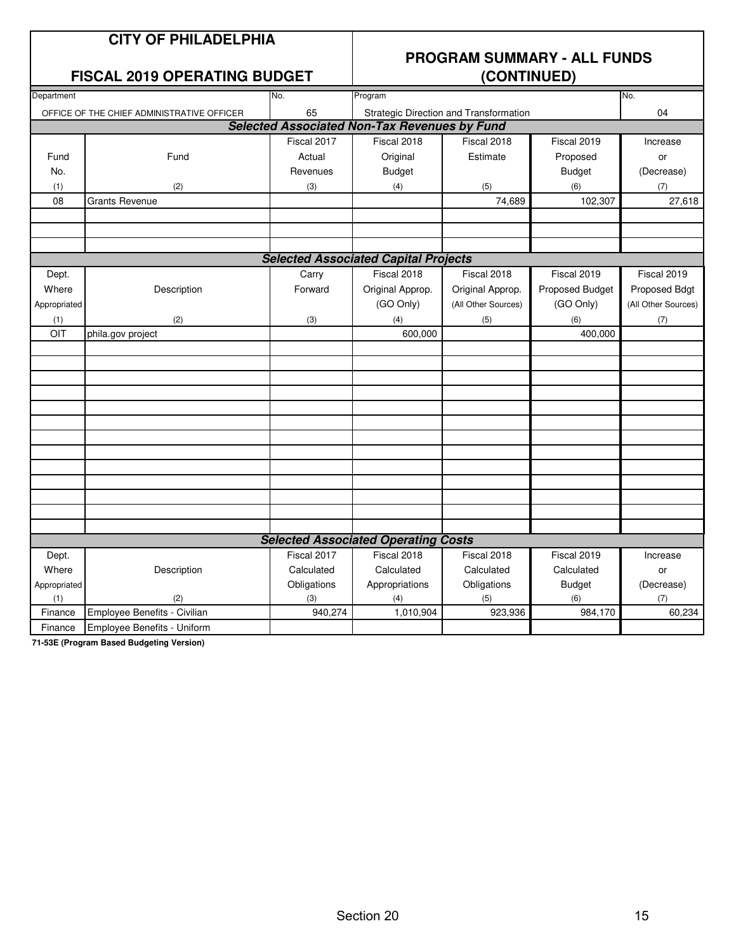### **CITY OF PHILADELPHIA**

#### **FISCAL 2019 OPERATING BUDGET**

## **PROGRAM SUMMARY - ALL FUNDS**

| Department   |                                            | No.         | Program                                             |                                        |                 | No.                 |
|--------------|--------------------------------------------|-------------|-----------------------------------------------------|----------------------------------------|-----------------|---------------------|
|              | OFFICE OF THE CHIEF ADMINISTRATIVE OFFICER | 65          |                                                     | Strategic Direction and Transformation |                 | 04                  |
|              |                                            |             | <b>Selected Associated Non-Tax Revenues by Fund</b> |                                        |                 |                     |
|              |                                            | Fiscal 2017 | Fiscal 2018                                         | Fiscal 2018                            | Fiscal 2019     | Increase            |
| Fund         | Fund                                       | Actual      | Original                                            | Estimate                               | Proposed        | or                  |
| No.          |                                            | Revenues    | <b>Budget</b>                                       |                                        | <b>Budget</b>   | (Decrease)          |
| (1)          | (2)                                        | (3)         | (4)                                                 | (5)                                    | (6)             | (7)                 |
| 08           | <b>Grants Revenue</b>                      |             |                                                     | 74,689                                 | 102,307         | 27,618              |
|              |                                            |             |                                                     |                                        |                 |                     |
|              |                                            |             |                                                     |                                        |                 |                     |
|              |                                            |             |                                                     |                                        |                 |                     |
|              |                                            |             | <b>Selected Associated Capital Projects</b>         |                                        |                 |                     |
| Dept.        |                                            | Carry       | Fiscal 2018                                         | Fiscal 2018                            | Fiscal 2019     | Fiscal 2019         |
| Where        | Description                                | Forward     | Original Approp.                                    | Original Approp.                       | Proposed Budget | Proposed Bdgt       |
| Appropriated |                                            |             | (GO Only)                                           | (All Other Sources)                    | (GO Only)       | (All Other Sources) |
| (1)          | (2)                                        | (3)         | (4)                                                 | (5)                                    | (6)             | (7)                 |
| OIT          | phila.gov project                          |             | 600,000                                             |                                        | 400,000         |                     |
|              |                                            |             |                                                     |                                        |                 |                     |
|              |                                            |             |                                                     |                                        |                 |                     |
|              |                                            |             |                                                     |                                        |                 |                     |
|              |                                            |             |                                                     |                                        |                 |                     |
|              |                                            |             |                                                     |                                        |                 |                     |
|              |                                            |             |                                                     |                                        |                 |                     |
|              |                                            |             |                                                     |                                        |                 |                     |
|              |                                            |             |                                                     |                                        |                 |                     |
|              |                                            |             |                                                     |                                        |                 |                     |
|              |                                            |             |                                                     |                                        |                 |                     |
|              |                                            |             |                                                     |                                        |                 |                     |
|              |                                            |             |                                                     |                                        |                 |                     |
|              |                                            |             |                                                     |                                        |                 |                     |
|              |                                            |             | <b>Selected Associated Operating Costs</b>          |                                        |                 |                     |
| Dept.        |                                            | Fiscal 2017 | Fiscal 2018                                         | Fiscal 2018                            | Fiscal 2019     | Increase            |
| Where        | Description                                | Calculated  | Calculated                                          | Calculated                             | Calculated      | or                  |
| Appropriated |                                            | Obligations | Appropriations                                      | Obligations                            | <b>Budget</b>   | (Decrease)          |
| (1)          | (2)                                        | (3)         | (4)                                                 | (5)                                    | (6)             | (7)                 |
| Finance      | Employee Benefits - Civilian               | 940,274     | 1,010,904                                           | 923,936                                | 984,170         | 60,234              |
| Finance      | Employee Benefits - Uniform                |             |                                                     |                                        |                 |                     |

**71-53E (Program Based Budgeting Version)**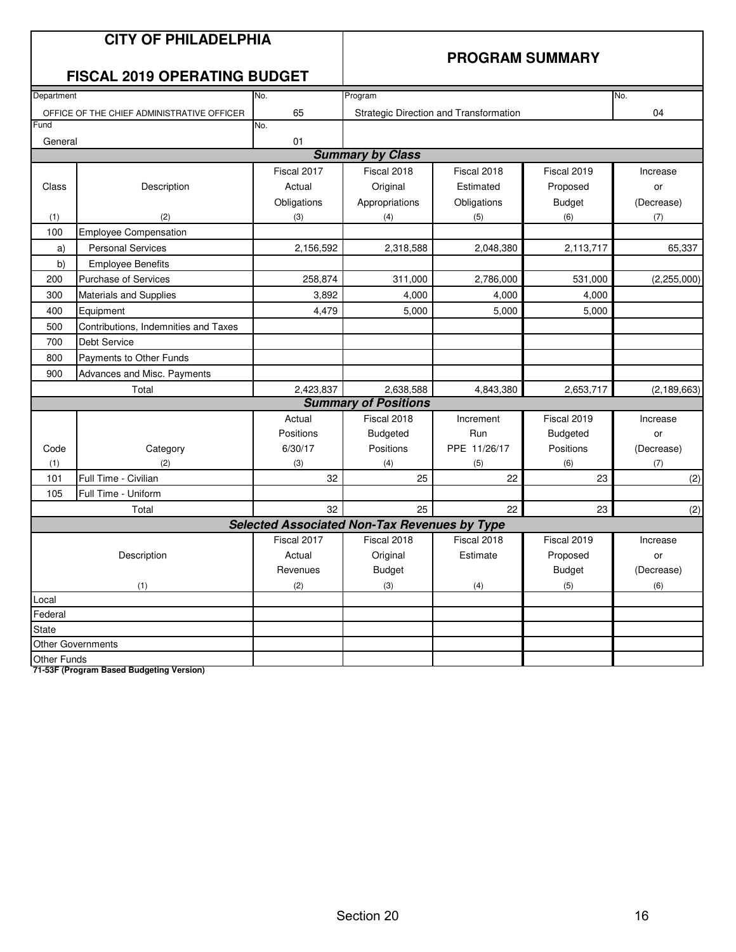|              | <b>CITY OF PHILADELPHIA</b><br><b>FISCAL 2019 OPERATING BUDGET</b> |                                                     | <b>PROGRAM SUMMARY</b>      |                                        |                  |               |  |
|--------------|--------------------------------------------------------------------|-----------------------------------------------------|-----------------------------|----------------------------------------|------------------|---------------|--|
| Department   |                                                                    | No.                                                 | Program                     |                                        |                  | No.           |  |
|              | OFFICE OF THE CHIEF ADMINISTRATIVE OFFICER                         | 65                                                  |                             | Strategic Direction and Transformation |                  | 04            |  |
| Fund         |                                                                    | No.                                                 |                             |                                        |                  |               |  |
| General      |                                                                    | 01                                                  |                             |                                        |                  |               |  |
|              |                                                                    |                                                     | <b>Summary by Class</b>     |                                        |                  |               |  |
|              |                                                                    | Fiscal 2017                                         | Fiscal 2018                 | Fiscal 2018                            | Fiscal 2019      | Increase      |  |
| Class        | Description                                                        | Actual                                              | Original                    | Estimated                              | Proposed         | or            |  |
|              |                                                                    | Obligations                                         | Appropriations              | Obligations                            | <b>Budget</b>    | (Decrease)    |  |
| (1)          | (2)                                                                | (3)                                                 | (4)                         | (5)                                    | (6)              | (7)           |  |
| 100          | <b>Employee Compensation</b>                                       |                                                     |                             |                                        |                  |               |  |
| a)           | <b>Personal Services</b>                                           | 2,156,592                                           | 2,318,588                   | 2,048,380                              | 2,113,717        | 65,337        |  |
| b)           | <b>Employee Benefits</b>                                           |                                                     |                             |                                        |                  |               |  |
| 200          | <b>Purchase of Services</b>                                        | 258,874                                             | 311,000                     | 2,786,000                              | 531,000          | (2, 255, 000) |  |
| 300          | Materials and Supplies                                             | 3,892                                               | 4,000                       | 4,000                                  | 4,000            |               |  |
| 400          | Equipment                                                          | 4,479                                               | 5,000                       | 5,000                                  | 5,000            |               |  |
| 500          | Contributions, Indemnities and Taxes                               |                                                     |                             |                                        |                  |               |  |
| 700          | Debt Service                                                       |                                                     |                             |                                        |                  |               |  |
| 800          | Payments to Other Funds                                            |                                                     |                             |                                        |                  |               |  |
| 900          | Advances and Misc. Payments                                        |                                                     |                             |                                        |                  |               |  |
|              | Total                                                              | 2,423,837                                           | 2,638,588                   | 4,843,380                              | 2,653,717        | (2, 189, 663) |  |
|              |                                                                    |                                                     | <b>Summary of Positions</b> |                                        |                  |               |  |
|              |                                                                    | Actual                                              | Fiscal 2018                 | Increment                              | Fiscal 2019      | Increase      |  |
|              |                                                                    | Positions                                           | <b>Budgeted</b>             | Run                                    | <b>Budgeted</b>  | or            |  |
| Code         | Category                                                           | 6/30/17                                             | Positions                   | PPE 11/26/17                           | <b>Positions</b> | (Decrease)    |  |
| (1)          | (2)                                                                | (3)                                                 | (4)                         | (5)                                    | (6)              | (7)           |  |
| 101          | Full Time - Civilian                                               | 32                                                  | 25                          | 22                                     | 23               | (2)           |  |
| 105          | Full Time - Uniform                                                |                                                     |                             |                                        |                  |               |  |
|              | Total                                                              | 32                                                  | 25                          | 22                                     | 23               | (2)           |  |
|              |                                                                    | <b>Selected Associated Non-Tax Revenues by Type</b> |                             |                                        |                  |               |  |
|              |                                                                    | Fiscal 2017                                         | Fiscal 2018                 | Fiscal 2018                            | Fiscal 2019      | Increase      |  |
|              | Description                                                        | Actual                                              | Original                    | Estimate                               | Proposed         | or            |  |
|              |                                                                    | Revenues                                            | <b>Budget</b>               |                                        | <b>Budget</b>    | (Decrease)    |  |
|              | (1)                                                                | (2)                                                 | (3)                         | (4)                                    | (5)              | (6)           |  |
| Local        |                                                                    |                                                     |                             |                                        |                  |               |  |
| Federal      |                                                                    |                                                     |                             |                                        |                  |               |  |
| <b>State</b> |                                                                    |                                                     |                             |                                        |                  |               |  |
|              | <b>Other Governments</b>                                           |                                                     |                             |                                        |                  |               |  |
| Other Funds  |                                                                    |                                                     |                             |                                        |                  |               |  |

**71-53F (Program Based Budgeting Version)**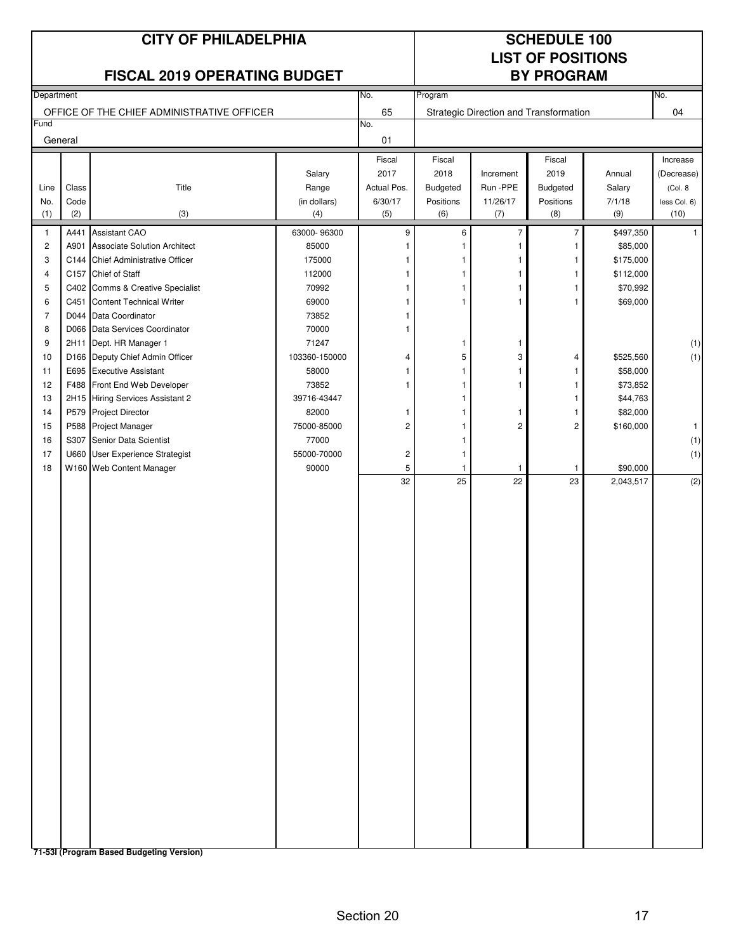#### **CITY OF PHILADELPHIA SCHEDULE 100**

# **LIST OF POSITIONS**

|                |         | <b>FISCAL 2019 OPERATING BUDGET</b>        |               |                |                    |                                        | <b>BY PROGRAM</b>  |                       |              |
|----------------|---------|--------------------------------------------|---------------|----------------|--------------------|----------------------------------------|--------------------|-----------------------|--------------|
| Department     |         |                                            |               | No.            | Program            |                                        |                    |                       | No.          |
|                |         | OFFICE OF THE CHIEF ADMINISTRATIVE OFFICER |               | 65             |                    | Strategic Direction and Transformation |                    |                       | 04           |
| Fund           |         |                                            |               | No.            |                    |                                        |                    |                       |              |
|                | General |                                            |               | 01             |                    |                                        |                    |                       |              |
|                |         |                                            |               | Fiscal         | Fiscal             |                                        | Fiscal             |                       | Increase     |
|                |         |                                            | Salary        | 2017           | 2018               | Increment                              | 2019               | Annual                | (Decrease)   |
| Line           | Class   | Title                                      | Range         | Actual Pos.    | <b>Budgeted</b>    | Run - PPE                              | <b>Budgeted</b>    | Salary                | (Col. 8      |
| No.            | Code    |                                            | (in dollars)  | 6/30/17        | Positions          | 11/26/17                               | Positions          | 7/1/18                | less Col. 6) |
| (1)            | (2)     | (3)                                        | (4)           | (5)            | (6)                | (7)                                    | (8)                | (9)                   | (10)         |
| 1              | A441    | <b>Assistant CAO</b>                       | 63000-96300   | 9              | 6                  | $\overline{7}$                         | 7                  | \$497,350             | $\mathbf{1}$ |
| $\overline{c}$ | A901    | <b>Associate Solution Architect</b>        | 85000         |                |                    | 1                                      | 1                  | \$85,000              |              |
| 3              |         | C144 Chief Administrative Officer          | 175000        | 1              | 1                  | 1                                      | 1                  | \$175,000             |              |
| 4              | C157    | Chief of Staff                             | 112000        | 1              | 1                  | 1                                      | 1                  | \$112,000             |              |
| 5              |         | C402 Comms & Creative Specialist           | 70992         | 1              | 1                  | 1                                      | 1                  | \$70,992              |              |
| 6              | C451    | <b>Content Technical Writer</b>            | 69000         | 1              | $\mathbf{1}$       | 1                                      | 1                  | \$69,000              |              |
| 7              |         | D044 Data Coordinator                      | 73852         | 1              |                    |                                        |                    |                       |              |
| 8              |         | D066 Data Services Coordinator             | 70000         | 1              |                    |                                        |                    |                       |              |
| 9              | 2H11    | Dept. HR Manager 1                         | 71247         |                | 1                  | 1                                      |                    |                       | (1)          |
| 10             |         | D166 Deputy Chief Admin Officer            | 103360-150000 | 4              | 5                  | 3                                      | 4                  | \$525,560             | (1)          |
| 11             | E695    | <b>Executive Assistant</b>                 | 58000         | 1              | 1                  | 1                                      | 1.                 | \$58,000              |              |
| 12             | F488    | Front End Web Developer                    | 73852         | 1              | 1                  | 1                                      | 1                  | \$73,852              |              |
| 13             |         | 2H15 Hiring Services Assistant 2           | 39716-43447   |                |                    |                                        | 1                  | \$44,763              |              |
| 14             |         | P579 Project Director                      | 82000         | 1              |                    | 1                                      | 1                  | \$82,000              |              |
| 15             |         | P588 Project Manager                       | 75000-85000   | $\overline{c}$ | 1                  | 2                                      | 2                  | \$160,000             | $\mathbf{1}$ |
| 16             |         | S307 Senior Data Scientist                 | 77000         |                | 1                  |                                        |                    |                       | (1)          |
| 17             |         | U660 User Experience Strategist            | 55000-70000   | $\sqrt{2}$     | 1                  |                                        |                    |                       | (1)          |
| 18             |         | W160 Web Content Manager                   | 90000         | 5<br>32        | $\mathbf{1}$<br>25 | 1<br>22                                | $\mathbf{1}$<br>23 | \$90,000<br>2,043,517 | (2)          |
|                |         |                                            |               |                |                    |                                        |                    |                       |              |
|                |         |                                            |               |                |                    |                                        |                    |                       |              |
|                |         |                                            |               |                |                    |                                        |                    |                       |              |
|                |         |                                            |               |                |                    |                                        |                    |                       |              |
|                |         |                                            |               |                |                    |                                        |                    |                       |              |
|                |         |                                            |               |                |                    |                                        |                    |                       |              |
|                |         |                                            |               |                |                    |                                        |                    |                       |              |
|                |         |                                            |               |                |                    |                                        |                    |                       |              |
|                |         |                                            |               |                |                    |                                        |                    |                       |              |
|                |         |                                            |               |                |                    |                                        |                    |                       |              |
|                |         |                                            |               |                |                    |                                        |                    |                       |              |
|                |         |                                            |               |                |                    |                                        |                    |                       |              |
|                |         |                                            |               |                |                    |                                        |                    |                       |              |
|                |         |                                            |               |                |                    |                                        |                    |                       |              |
|                |         |                                            |               |                |                    |                                        |                    |                       |              |
|                |         |                                            |               |                |                    |                                        |                    |                       |              |
|                |         |                                            |               |                |                    |                                        |                    |                       |              |
|                |         |                                            |               |                |                    |                                        |                    |                       |              |
|                |         |                                            |               |                |                    |                                        |                    |                       |              |
|                |         |                                            |               |                |                    |                                        |                    |                       |              |
|                |         |                                            |               |                |                    |                                        |                    |                       |              |
|                |         |                                            |               |                |                    |                                        |                    |                       |              |
|                |         |                                            |               |                |                    |                                        |                    |                       |              |
|                |         |                                            |               |                |                    |                                        |                    |                       |              |
|                |         |                                            |               |                |                    |                                        |                    |                       |              |

**71-53I (Program Based Budgeting Version)**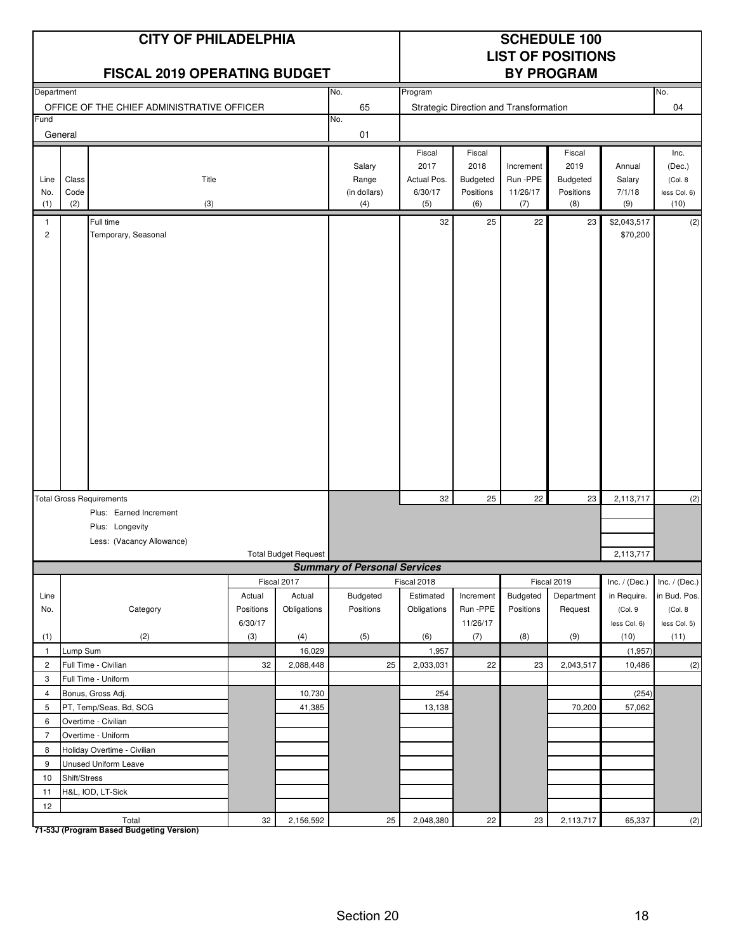|                                |               | <b>CITY OF PHILADELPHIA</b><br><b>FISCAL 2019 OPERATING BUDGET</b>     |                                |                                      |                                     | <b>SCHEDULE 100</b><br><b>LIST OF POSITIONS</b><br><b>BY PROGRAM</b> |                                                |                                        |                                         |                                                           |                                                            |
|--------------------------------|---------------|------------------------------------------------------------------------|--------------------------------|--------------------------------------|-------------------------------------|----------------------------------------------------------------------|------------------------------------------------|----------------------------------------|-----------------------------------------|-----------------------------------------------------------|------------------------------------------------------------|
| Department                     |               |                                                                        |                                |                                      | No.                                 | Program                                                              |                                                |                                        |                                         |                                                           | No.                                                        |
|                                |               | OFFICE OF THE CHIEF ADMINISTRATIVE OFFICER                             |                                |                                      | 65                                  |                                                                      |                                                | Strategic Direction and Transformation |                                         |                                                           | 04                                                         |
| Fund                           |               |                                                                        |                                |                                      | No.                                 |                                                                      |                                                |                                        |                                         |                                                           |                                                            |
|                                | General       |                                                                        |                                |                                      | 01                                  |                                                                      |                                                |                                        |                                         |                                                           |                                                            |
| Line<br>No.                    | Class<br>Code | Title                                                                  |                                |                                      | Salary<br>Range<br>(in dollars)     | Fiscal<br>2017<br>Actual Pos.<br>6/30/17                             | Fiscal<br>2018<br><b>Budgeted</b><br>Positions | Increment<br>Run -PPE<br>11/26/17      | Fiscal<br>2019<br>Budgeted<br>Positions | Annual<br>Salary<br>7/1/18                                | Inc.<br>(Dec.)<br>(Col. 8)<br>less Col. 6)                 |
| (1)                            | (2)           | (3)                                                                    |                                |                                      | (4)                                 | (5)                                                                  | (6)                                            | (7)                                    | (8)                                     | (9)                                                       | (10)                                                       |
| $\mathbf{1}$<br>$\overline{c}$ |               | Full time<br>Temporary, Seasonal                                       |                                |                                      |                                     | 32                                                                   | 25                                             | 22                                     | 23                                      | \$2,043,517<br>\$70,200                                   | (2)                                                        |
|                                |               | <b>Total Gross Requirements</b>                                        |                                |                                      |                                     | 32                                                                   | 25                                             | 22                                     | 23                                      | 2,113,717                                                 | (2)                                                        |
|                                |               | Plus: Earned Increment<br>Plus: Longevity<br>Less: (Vacancy Allowance) |                                | <b>Total Budget Request</b>          |                                     |                                                                      |                                                |                                        |                                         | 2,113,717                                                 |                                                            |
|                                |               |                                                                        |                                |                                      | <b>Summary of Personal Services</b> |                                                                      |                                                |                                        |                                         |                                                           |                                                            |
| Line<br>No.                    |               | Category                                                               | Actual<br>Positions<br>6/30/17 | Fiscal 2017<br>Actual<br>Obligations | Budgeted<br>Positions               | Fiscal 2018<br>Estimated<br>Obligations                              | Increment<br>Run -PPE<br>11/26/17              | Budgeted<br>Positions                  | Fiscal 2019<br>Department<br>Request    | Inc. $/$ (Dec.)<br>in Require.<br>(Col. 9<br>less Col. 6) | Inc. $/$ (Dec.)<br>in Bud. Pos.<br>(Col. 8<br>less Col. 5) |
| (1)                            |               | (2)                                                                    | (3)                            | (4)                                  | (5)                                 | (6)                                                                  | (7)                                            | (8)                                    | (9)                                     | (10)                                                      | (11)                                                       |
| $\mathbf{1}$                   | Lump Sum      |                                                                        |                                | 16,029                               |                                     | 1,957                                                                |                                                |                                        |                                         | (1,957)                                                   |                                                            |
| $\overline{2}$                 |               | Full Time - Civilian                                                   | 32                             | 2,088,448                            | 25                                  | 2,033,031                                                            | 22                                             | 23                                     | 2,043,517                               | 10,486                                                    | (2)                                                        |
| 3                              |               | Full Time - Uniform                                                    |                                |                                      |                                     |                                                                      |                                                |                                        |                                         |                                                           |                                                            |
| $\overline{4}$                 |               | Bonus, Gross Adj.                                                      |                                | 10,730                               |                                     | 254                                                                  |                                                |                                        |                                         | (254)                                                     |                                                            |
| 5                              |               | PT, Temp/Seas, Bd, SCG                                                 |                                | 41,385                               |                                     | 13,138                                                               |                                                |                                        | 70,200                                  | 57,062                                                    |                                                            |
| 6                              |               | Overtime - Civilian                                                    |                                |                                      |                                     |                                                                      |                                                |                                        |                                         |                                                           |                                                            |
| $\overline{7}$                 |               | Overtime - Uniform                                                     |                                |                                      |                                     |                                                                      |                                                |                                        |                                         |                                                           |                                                            |
| 8                              |               | Holiday Overtime - Civilian                                            |                                |                                      |                                     |                                                                      |                                                |                                        |                                         |                                                           |                                                            |
| 9                              |               | Unused Uniform Leave                                                   |                                |                                      |                                     |                                                                      |                                                |                                        |                                         |                                                           |                                                            |
| 10                             | Shift/Stress  |                                                                        |                                |                                      |                                     |                                                                      |                                                |                                        |                                         |                                                           |                                                            |
| 11                             |               | H&L, IOD, LT-Sick                                                      |                                |                                      |                                     |                                                                      |                                                |                                        |                                         |                                                           |                                                            |
| 12                             |               | Total                                                                  | 32                             | 2,156,592                            | 25                                  | 2,048,380                                                            | 22                                             | 23                                     | 2,113,717                               | 65,337                                                    | (2)                                                        |

**71-53J (Program Based Budgeting Version)**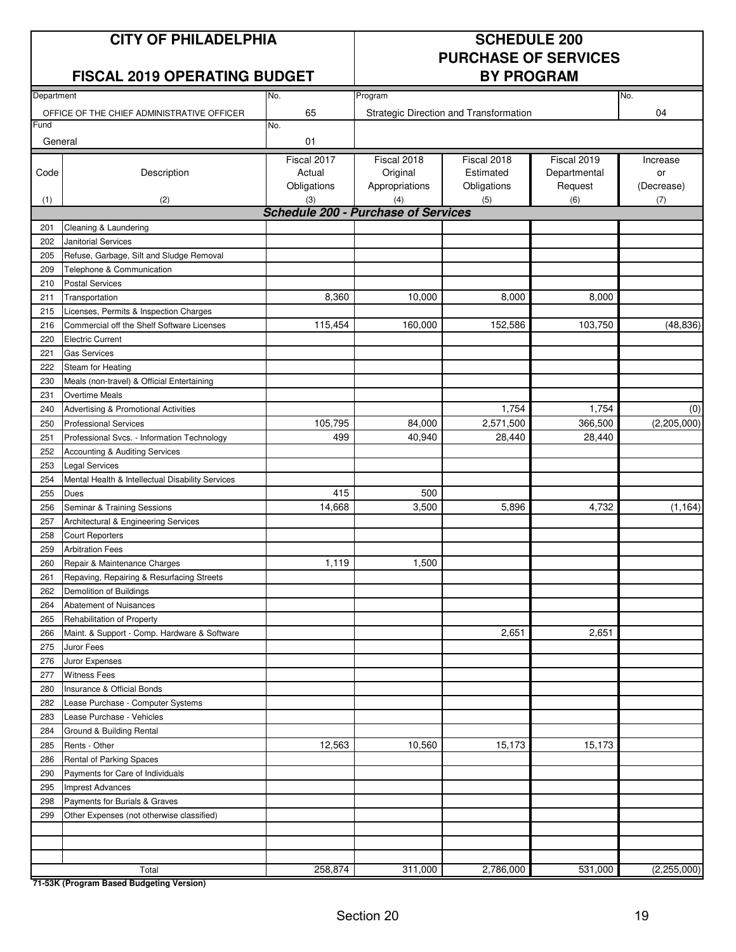### **CITY OF PHILADELPHIA SCHEDULE 200**

### **FISCAL 2019 OPERATING BUDGET**

# **PURCHASE OF SERVICES**

| Department |                                                                            | No.                                        | Program                                   |                                         |                                        | No.                          |
|------------|----------------------------------------------------------------------------|--------------------------------------------|-------------------------------------------|-----------------------------------------|----------------------------------------|------------------------------|
| Fund       | OFFICE OF THE CHIEF ADMINISTRATIVE OFFICER                                 | 65<br>No.                                  |                                           | Strategic Direction and Transformation  |                                        | 04                           |
| General    |                                                                            | 01                                         |                                           |                                         |                                        |                              |
| Code       | Description                                                                | Fiscal 2017<br>Actual<br>Obligations       | Fiscal 2018<br>Original<br>Appropriations | Fiscal 2018<br>Estimated<br>Obligations | Fiscal 2019<br>Departmental<br>Request | Increase<br>or<br>(Decrease) |
| (1)        | (2)                                                                        | (3)                                        | (4)                                       | (5)                                     | (6)                                    | (7)                          |
|            |                                                                            | <b>Schedule 200 - Purchase of Services</b> |                                           |                                         |                                        |                              |
| 201        | Cleaning & Laundering                                                      |                                            |                                           |                                         |                                        |                              |
| 202        | <b>Janitorial Services</b>                                                 |                                            |                                           |                                         |                                        |                              |
| 205        | Refuse, Garbage, Silt and Sludge Removal                                   |                                            |                                           |                                         |                                        |                              |
| 209        | Telephone & Communication                                                  |                                            |                                           |                                         |                                        |                              |
| 210        | <b>Postal Services</b>                                                     |                                            |                                           |                                         |                                        |                              |
| 211        | Transportation                                                             | 8,360                                      | 10,000                                    | 8,000                                   | 8,000                                  |                              |
| 215        | Licenses, Permits & Inspection Charges                                     |                                            | 160,000                                   | 152,586                                 | 103,750                                | (48, 836)                    |
| 216        | Commercial off the Shelf Software Licenses                                 | 115,454                                    |                                           |                                         |                                        |                              |
| 220        | Electric Current                                                           |                                            |                                           |                                         |                                        |                              |
| 221        | <b>Gas Services</b>                                                        |                                            |                                           |                                         |                                        |                              |
| 222        | Steam for Heating                                                          |                                            |                                           |                                         |                                        |                              |
| 230        | Meals (non-travel) & Official Entertaining                                 |                                            |                                           |                                         |                                        |                              |
| 231        | Overtime Meals                                                             |                                            |                                           |                                         |                                        |                              |
| 240        | Advertising & Promotional Activities                                       |                                            |                                           | 1,754<br>2,571,500                      | 1,754                                  | (0)<br>(2,205,000)           |
| 250        | <b>Professional Services</b>                                               | 105,795<br>499                             | 84,000<br>40,940                          | 28,440                                  | 366,500<br>28,440                      |                              |
| 251        | Professional Svcs. - Information Technology                                |                                            |                                           |                                         |                                        |                              |
| 252<br>253 | Accounting & Auditing Services                                             |                                            |                                           |                                         |                                        |                              |
|            | <b>Legal Services</b>                                                      |                                            |                                           |                                         |                                        |                              |
| 254        | Mental Health & Intellectual Disability Services                           | 415                                        |                                           |                                         |                                        |                              |
| 255        | Dues                                                                       |                                            | 500                                       |                                         | 4,732                                  |                              |
| 256        | Seminar & Training Sessions                                                | 14,668                                     | 3,500                                     | 5,896                                   |                                        | (1, 164)                     |
| 257        | Architectural & Engineering Services                                       |                                            |                                           |                                         |                                        |                              |
| 258        | <b>Court Reporters</b>                                                     |                                            |                                           |                                         |                                        |                              |
| 259        | <b>Arbitration Fees</b>                                                    |                                            |                                           |                                         |                                        |                              |
| 260        | Repair & Maintenance Charges                                               | 1,119                                      | 1,500                                     |                                         |                                        |                              |
| 261        | Repaving, Repairing & Resurfacing Streets                                  |                                            |                                           |                                         |                                        |                              |
| 262        | Demolition of Buildings                                                    |                                            |                                           |                                         |                                        |                              |
| 264        | <b>Abatement of Nuisances</b>                                              |                                            |                                           |                                         |                                        |                              |
| 265        | Rehabilitation of Property                                                 |                                            |                                           |                                         |                                        |                              |
| 266        | Maint. & Support - Comp. Hardware & Software                               |                                            |                                           | 2,651                                   | 2,651                                  |                              |
| 275        | Juror Fees                                                                 |                                            |                                           |                                         |                                        |                              |
| 276        | Juror Expenses                                                             |                                            |                                           |                                         |                                        |                              |
| 277        | <b>Witness Fees</b>                                                        |                                            |                                           |                                         |                                        |                              |
| 280        | Insurance & Official Bonds                                                 |                                            |                                           |                                         |                                        |                              |
| 282        | Lease Purchase - Computer Systems                                          |                                            |                                           |                                         |                                        |                              |
| 283        | Lease Purchase - Vehicles                                                  |                                            |                                           |                                         |                                        |                              |
| 284        | Ground & Building Rental                                                   | 12,563                                     | 10,560                                    | 15,173                                  | 15,173                                 |                              |
| 285        | Rents - Other                                                              |                                            |                                           |                                         |                                        |                              |
| 286<br>290 | Rental of Parking Spaces<br>Payments for Care of Individuals               |                                            |                                           |                                         |                                        |                              |
|            |                                                                            |                                            |                                           |                                         |                                        |                              |
| 295        | <b>Imprest Advances</b>                                                    |                                            |                                           |                                         |                                        |                              |
| 298<br>299 | Payments for Burials & Graves<br>Other Expenses (not otherwise classified) |                                            |                                           |                                         |                                        |                              |
|            |                                                                            |                                            |                                           |                                         |                                        |                              |
|            |                                                                            |                                            |                                           |                                         |                                        |                              |
|            |                                                                            |                                            |                                           |                                         |                                        |                              |
|            | Total                                                                      | 258,874                                    | 311,000                                   | 2,786,000                               | 531,000                                | (2, 255, 000)                |

**71-53K (Program Based Budgeting Version)**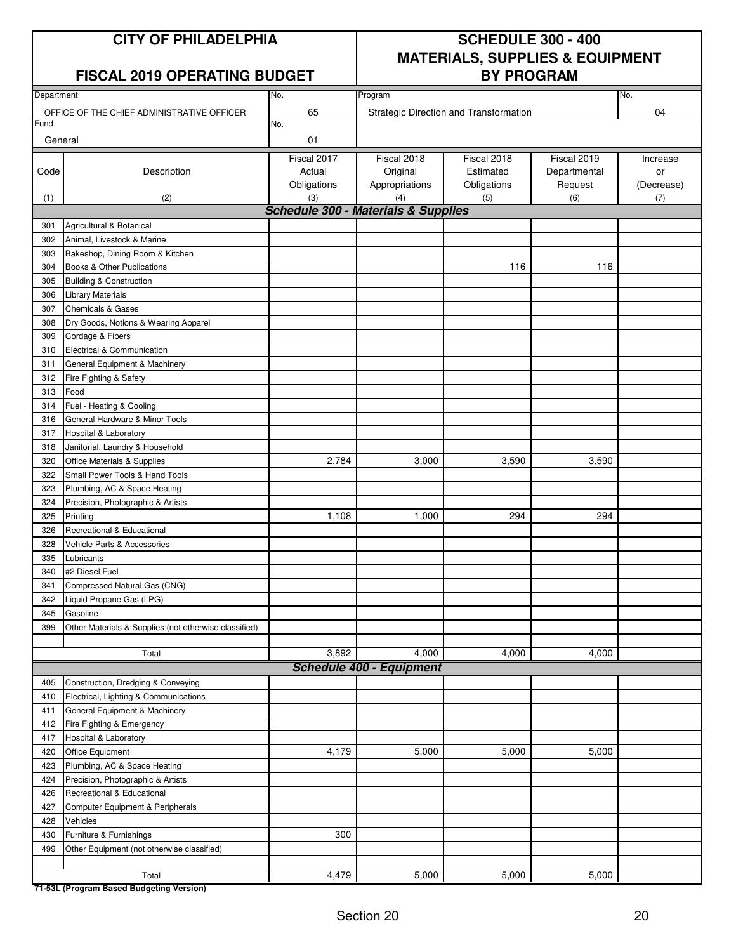#### **FISCAL 2019 OPERATING BUDGET BY PROGRAM**

### **CITY OF PHILADELPHIA SCHEDULE 300 - 400 MATERIALS, SUPPLIES & EQUIPMENT**

| Department |                                                       | No.         | Program                                        |                                        |              | No.        |
|------------|-------------------------------------------------------|-------------|------------------------------------------------|----------------------------------------|--------------|------------|
|            | OFFICE OF THE CHIEF ADMINISTRATIVE OFFICER            | 65          |                                                | Strategic Direction and Transformation |              | 04         |
| Fund       |                                                       | No.         |                                                |                                        |              |            |
| General    |                                                       | 01          |                                                |                                        |              |            |
|            |                                                       | Fiscal 2017 | Fiscal 2018                                    | Fiscal 2018                            | Fiscal 2019  | Increase   |
| Code       | Description                                           | Actual      | Original                                       | Estimated                              | Departmental | or         |
|            |                                                       | Obligations | Appropriations                                 | Obligations                            | Request      | (Decrease) |
| (1)        | (2)                                                   | (3)         | (4)                                            | (5)                                    | (6)          | (7)        |
|            |                                                       |             | <b>Schedule 300 - Materials &amp; Supplies</b> |                                        |              |            |
| 301        | Agricultural & Botanical                              |             |                                                |                                        |              |            |
| 302        | Animal, Livestock & Marine                            |             |                                                |                                        |              |            |
| 303        | Bakeshop, Dining Room & Kitchen                       |             |                                                |                                        |              |            |
| 304        | Books & Other Publications                            |             |                                                | 116                                    | 116          |            |
| 305        | Building & Construction                               |             |                                                |                                        |              |            |
| 306        | <b>Library Materials</b>                              |             |                                                |                                        |              |            |
| 307        | <b>Chemicals &amp; Gases</b>                          |             |                                                |                                        |              |            |
| 308        | Dry Goods, Notions & Wearing Apparel                  |             |                                                |                                        |              |            |
| 309        | Cordage & Fibers                                      |             |                                                |                                        |              |            |
| 310        | Electrical & Communication                            |             |                                                |                                        |              |            |
| 311        | General Equipment & Machinery                         |             |                                                |                                        |              |            |
| 312        | Fire Fighting & Safety                                |             |                                                |                                        |              |            |
| 313        | Food                                                  |             |                                                |                                        |              |            |
| 314        | Fuel - Heating & Cooling                              |             |                                                |                                        |              |            |
| 316        | General Hardware & Minor Tools                        |             |                                                |                                        |              |            |
| 317        | Hospital & Laboratory                                 |             |                                                |                                        |              |            |
| 318        | Janitorial, Laundry & Household                       |             |                                                |                                        |              |            |
| 320        | Office Materials & Supplies                           | 2,784       | 3,000                                          | 3,590                                  | 3,590        |            |
| 322        | Small Power Tools & Hand Tools                        |             |                                                |                                        |              |            |
| 323        | Plumbing, AC & Space Heating                          |             |                                                |                                        |              |            |
| 324        | Precision, Photographic & Artists                     |             |                                                |                                        |              |            |
| 325        | Printing                                              | 1,108       | 1,000                                          | 294                                    | 294          |            |
| 326        | Recreational & Educational                            |             |                                                |                                        |              |            |
| 328        | Vehicle Parts & Accessories                           |             |                                                |                                        |              |            |
| 335        | Lubricants                                            |             |                                                |                                        |              |            |
| 340        | #2 Diesel Fuel                                        |             |                                                |                                        |              |            |
| 341        | Compressed Natural Gas (CNG)                          |             |                                                |                                        |              |            |
| 342        | Liquid Propane Gas (LPG)                              |             |                                                |                                        |              |            |
| 345        | Gasoline                                              |             |                                                |                                        |              |            |
| 399        | Other Materials & Supplies (not otherwise classified) |             |                                                |                                        |              |            |
|            |                                                       |             |                                                |                                        |              |            |
|            | Total                                                 | 3,892       | 4,000                                          | 4,000                                  | 4,000        |            |
|            |                                                       |             | <b>Schedule 400 - Equipment</b>                |                                        |              |            |
| 405        | Construction, Dredging & Conveying                    |             |                                                |                                        |              |            |
| 410        | Electrical, Lighting & Communications                 |             |                                                |                                        |              |            |
| 411        | General Equipment & Machinery                         |             |                                                |                                        |              |            |
| 412        | Fire Fighting & Emergency                             |             |                                                |                                        |              |            |
| 417        | <b>Hospital &amp; Laboratory</b>                      |             |                                                |                                        |              |            |
| 420        | Office Equipment                                      | 4,179       | 5,000                                          | 5,000                                  | 5,000        |            |
| 423        | Plumbing, AC & Space Heating                          |             |                                                |                                        |              |            |
| 424        | Precision, Photographic & Artists                     |             |                                                |                                        |              |            |
| 426        | Recreational & Educational                            |             |                                                |                                        |              |            |
| 427        | Computer Equipment & Peripherals                      |             |                                                |                                        |              |            |
| 428        | Vehicles                                              |             |                                                |                                        |              |            |
| 430        | Furniture & Furnishings                               | 300         |                                                |                                        |              |            |
| 499        | Other Equipment (not otherwise classified)            |             |                                                |                                        |              |            |
|            |                                                       |             |                                                |                                        |              |            |
|            | Total                                                 | 4,479       | 5,000                                          | 5,000                                  | 5,000        |            |
|            |                                                       |             |                                                |                                        |              |            |

**71-53L (Program Based Budgeting Version)**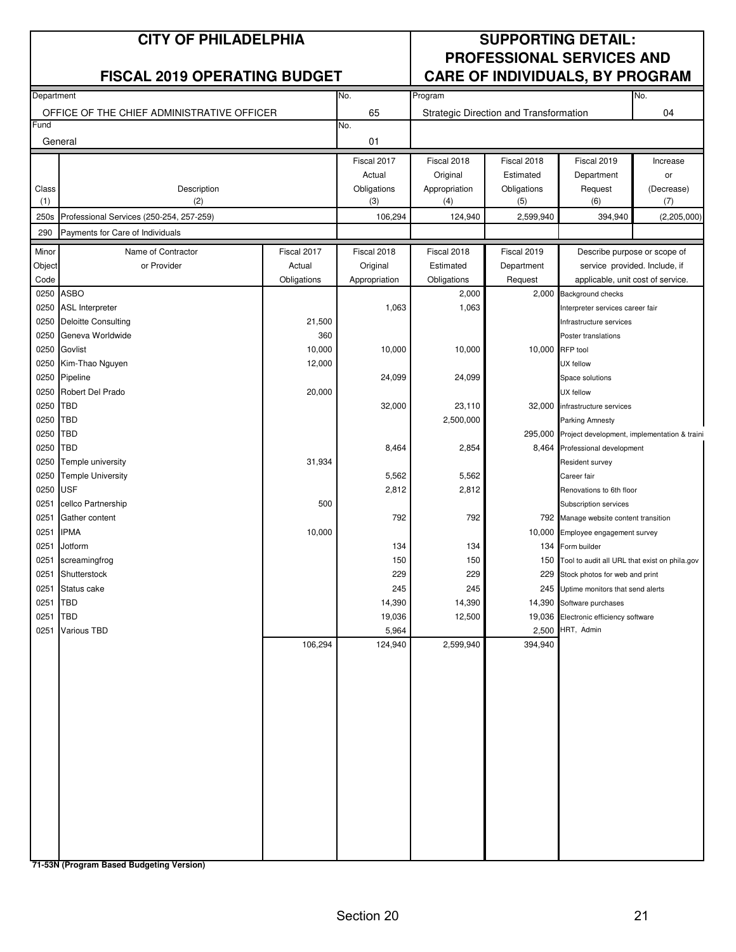|                 | <b>CITY OF PHILADELPHIA</b>                |             |                       |                         |                                        | <b>SUPPORTING DETAIL:</b>                                                  |                |
|-----------------|--------------------------------------------|-------------|-----------------------|-------------------------|----------------------------------------|----------------------------------------------------------------------------|----------------|
|                 | <b>FISCAL 2019 OPERATING BUDGET</b>        |             |                       |                         |                                        | <b>PROFESSIONAL SERVICES AND</b><br><b>CARE OF INDIVIDUALS, BY PROGRAM</b> |                |
| Department      |                                            |             | No.                   | Program                 |                                        |                                                                            | No.            |
|                 | OFFICE OF THE CHIEF ADMINISTRATIVE OFFICER |             | 65                    |                         | Strategic Direction and Transformation |                                                                            | 04             |
| Fund<br>General |                                            |             | No.<br>01             |                         |                                        |                                                                            |                |
|                 |                                            |             |                       |                         |                                        |                                                                            |                |
|                 |                                            |             | Fiscal 2017<br>Actual | Fiscal 2018<br>Original | Fiscal 2018<br>Estimated               | Fiscal 2019<br>Department                                                  | Increase<br>or |
| Class           | Description                                |             | Obligations           | Appropriation           | Obligations                            | Request                                                                    | (Decrease)     |
| (1)             | (2)                                        |             | (3)                   | (4)                     | (5)                                    | (6)                                                                        | (7)            |
| 250s            | Professional Services (250-254, 257-259)   |             | 106,294               | 124,940                 | 2,599,940                              | 394,940                                                                    | (2,205,000)    |
| 290             | Payments for Care of Individuals           |             |                       |                         |                                        |                                                                            |                |
| Minor           | Name of Contractor                         | Fiscal 2017 | Fiscal 2018           | Fiscal 2018             | Fiscal 2019                            | Describe purpose or scope of                                               |                |
| Object          | or Provider                                | Actual      | Original              | Estimated               | Department                             | service provided. Include, if                                              |                |
| Code            |                                            | Obligations | Appropriation         | Obligations             | Request                                | applicable, unit cost of service.                                          |                |
| 0250            | <b>ASBO</b>                                |             |                       | 2,000                   |                                        | 2,000 Background checks                                                    |                |
| 0250            | <b>ASL Interpreter</b>                     |             | 1,063                 | 1,063                   |                                        | Interpreter services career fair                                           |                |
| 0250            | <b>Deloitte Consulting</b>                 | 21,500      |                       |                         |                                        | Infrastructure services                                                    |                |
| 0250            | Geneva Worldwide                           | 360         |                       |                         |                                        | Poster translations                                                        |                |
| 0250            | Govlist                                    | 10,000      | 10,000                | 10,000                  |                                        | 10,000 RFP tool                                                            |                |
| 0250            | Kim-Thao Nguyen                            | 12,000      |                       |                         |                                        | UX fellow                                                                  |                |
| 0250            | Pipeline                                   |             | 24,099                | 24,099                  |                                        | Space solutions                                                            |                |
| 0250            | Robert Del Prado                           | 20,000      |                       |                         |                                        | UX fellow                                                                  |                |
| 0250            | <b>TBD</b>                                 |             | 32,000                | 23,110                  |                                        | 32,000 infrastructure services                                             |                |
| 0250            | <b>TBD</b>                                 |             |                       | 2,500,000               |                                        | <b>Parking Amnesty</b>                                                     |                |
| 0250            | <b>TBD</b>                                 |             |                       |                         |                                        | 295,000 Project development, implementation & traini                       |                |
| 0250            | <b>TBD</b>                                 |             | 8,464                 | 2,854                   |                                        | 8,464 Professional development                                             |                |
| 0250            | Temple university                          | 31,934      |                       |                         |                                        | Resident survey                                                            |                |
| 0250            | <b>Temple University</b>                   |             | 5,562                 | 5,562                   |                                        | Career fair                                                                |                |
| 0250            | <b>USF</b>                                 |             | 2,812                 | 2,812                   |                                        | Renovations to 6th floor                                                   |                |
| 0251            | cellco Partnership                         | 500         |                       |                         |                                        | Subscription services                                                      |                |
| 0251            | Gather content                             |             | 792                   | 792                     |                                        | 792 Manage website content transition                                      |                |
| 0251            | <b>IPMA</b>                                | 10,000      |                       |                         |                                        | 10,000 Employee engagement survey                                          |                |
| 0251            | Jotform                                    |             | 134                   | 134                     |                                        | 134 Form builder                                                           |                |
| 0251            | screamingfrog                              |             | 150                   | 150                     |                                        | 150 Tool to audit all URL that exist on phila.gov                          |                |
|                 | 0251 Shutterstock                          |             | 229                   | 229                     |                                        | 229 Stock photos for web and print                                         |                |
| 0251<br>0251    | Status cake<br><b>TBD</b>                  |             | 245<br>14,390         | 245<br>14,390           |                                        | 245 Uptime monitors that send alerts                                       |                |
| 0251 TBD        |                                            |             | 19,036                | 12,500                  |                                        | 14,390 Software purchases<br>19,036 Electronic efficiency software         |                |
| 0251            | <b>Various TBD</b>                         |             | 5,964                 |                         |                                        | 2,500 HRT, Admin                                                           |                |
|                 |                                            | 106,294     | 124,940               | 2,599,940               | 394,940                                |                                                                            |                |
|                 |                                            |             |                       |                         |                                        |                                                                            |                |
|                 |                                            |             |                       |                         |                                        |                                                                            |                |
|                 |                                            |             |                       |                         |                                        |                                                                            |                |
|                 |                                            |             |                       |                         |                                        |                                                                            |                |
|                 |                                            |             |                       |                         |                                        |                                                                            |                |
|                 |                                            |             |                       |                         |                                        |                                                                            |                |
|                 |                                            |             |                       |                         |                                        |                                                                            |                |
|                 |                                            |             |                       |                         |                                        |                                                                            |                |
|                 |                                            |             |                       |                         |                                        |                                                                            |                |
|                 |                                            |             |                       |                         |                                        |                                                                            |                |
|                 |                                            |             |                       |                         |                                        |                                                                            |                |
|                 |                                            |             |                       |                         |                                        |                                                                            |                |
|                 |                                            |             |                       |                         |                                        |                                                                            |                |
|                 |                                            |             |                       |                         |                                        |                                                                            |                |
|                 |                                            |             |                       |                         |                                        |                                                                            |                |

**71-53N (Program Based Budgeting Version)**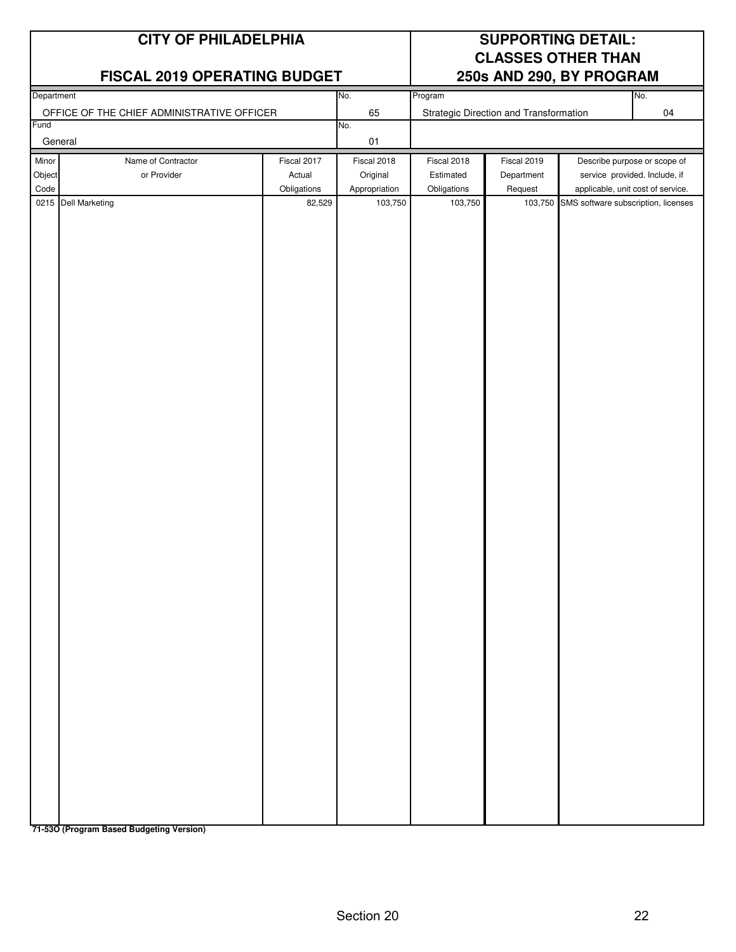### **FISCAL 2019 OPERATING BUDGET**

### **CITY OF PHILADELPHIA SUPPORTING DETAIL: CLASSES OTHER THAN**

| Department |                                            |             | No.           | Program     |                                        |                                             | No.                               |
|------------|--------------------------------------------|-------------|---------------|-------------|----------------------------------------|---------------------------------------------|-----------------------------------|
|            | OFFICE OF THE CHIEF ADMINISTRATIVE OFFICER |             | 65            |             | Strategic Direction and Transformation |                                             | $04\,$                            |
| Fund       |                                            |             | No.           |             |                                        |                                             |                                   |
|            | General                                    |             | $01$          |             |                                        |                                             |                                   |
| Minor      | Name of Contractor                         | Fiscal 2017 | Fiscal 2018   | Fiscal 2018 | Fiscal 2019                            |                                             | Describe purpose or scope of      |
| Object     | or Provider                                | Actual      | Original      | Estimated   | Department                             |                                             | service provided. Include, if     |
| Code       |                                            | Obligations | Appropriation | Obligations | Request                                |                                             | applicable, unit cost of service. |
|            | 0215 Dell Marketing                        | 82,529      | 103,750       | 103,750     |                                        | 103,750 SMS software subscription, licenses |                                   |
|            |                                            |             |               |             |                                        |                                             |                                   |
|            |                                            |             |               |             |                                        |                                             |                                   |
|            |                                            |             |               |             |                                        |                                             |                                   |
|            |                                            |             |               |             |                                        |                                             |                                   |
|            |                                            |             |               |             |                                        |                                             |                                   |
|            |                                            |             |               |             |                                        |                                             |                                   |
|            |                                            |             |               |             |                                        |                                             |                                   |
|            |                                            |             |               |             |                                        |                                             |                                   |
|            |                                            |             |               |             |                                        |                                             |                                   |
|            |                                            |             |               |             |                                        |                                             |                                   |
|            |                                            |             |               |             |                                        |                                             |                                   |
|            |                                            |             |               |             |                                        |                                             |                                   |
|            |                                            |             |               |             |                                        |                                             |                                   |
|            |                                            |             |               |             |                                        |                                             |                                   |
|            |                                            |             |               |             |                                        |                                             |                                   |
|            |                                            |             |               |             |                                        |                                             |                                   |
|            |                                            |             |               |             |                                        |                                             |                                   |
|            |                                            |             |               |             |                                        |                                             |                                   |
|            |                                            |             |               |             |                                        |                                             |                                   |
|            |                                            |             |               |             |                                        |                                             |                                   |
|            |                                            |             |               |             |                                        |                                             |                                   |
|            |                                            |             |               |             |                                        |                                             |                                   |
|            |                                            |             |               |             |                                        |                                             |                                   |
|            |                                            |             |               |             |                                        |                                             |                                   |
|            |                                            |             |               |             |                                        |                                             |                                   |
|            |                                            |             |               |             |                                        |                                             |                                   |
|            |                                            |             |               |             |                                        |                                             |                                   |
|            |                                            |             |               |             |                                        |                                             |                                   |
|            |                                            |             |               |             |                                        |                                             |                                   |
|            |                                            |             |               |             |                                        |                                             |                                   |
|            |                                            |             |               |             |                                        |                                             |                                   |
|            |                                            |             |               |             |                                        |                                             |                                   |
|            |                                            |             |               |             |                                        |                                             |                                   |
|            |                                            |             |               |             |                                        |                                             |                                   |
|            |                                            |             |               |             |                                        |                                             |                                   |
|            |                                            |             |               |             |                                        |                                             |                                   |
|            |                                            |             |               |             |                                        |                                             |                                   |
|            |                                            |             |               |             |                                        |                                             |                                   |

**71-53O (Program Based Budgeting Version)**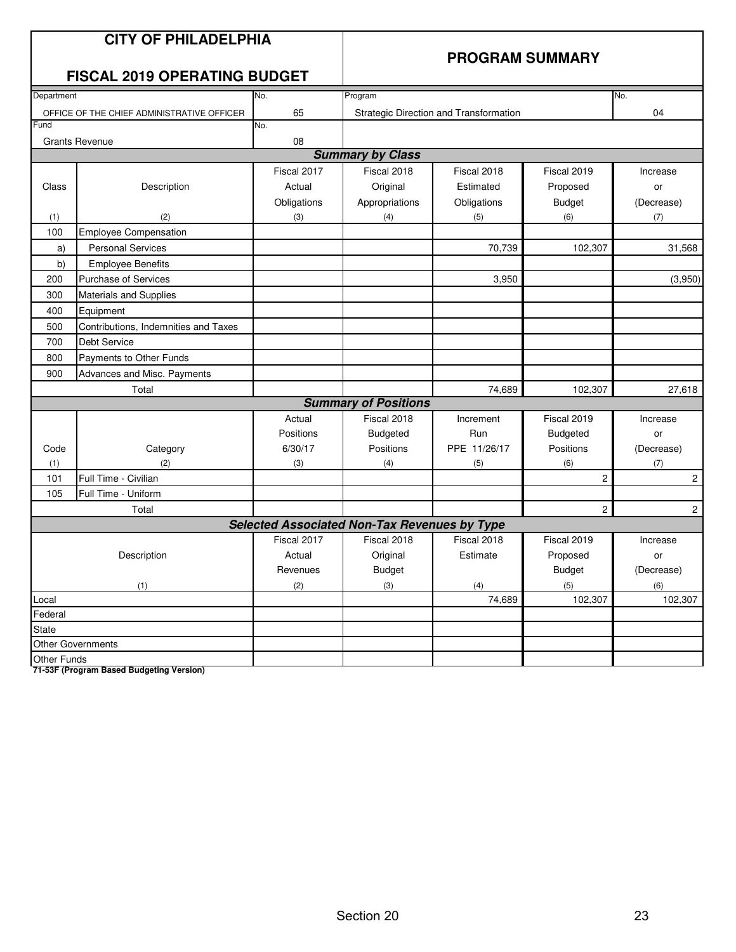|                    | <b>CITY OF PHILADELPHIA</b><br><b>FISCAL 2019 OPERATING BUDGET</b> |                                                     | <b>PROGRAM SUMMARY</b>      |                                        |                |                |  |
|--------------------|--------------------------------------------------------------------|-----------------------------------------------------|-----------------------------|----------------------------------------|----------------|----------------|--|
| Department         |                                                                    | No.                                                 | Program                     |                                        |                | No.            |  |
|                    | OFFICE OF THE CHIEF ADMINISTRATIVE OFFICER                         | 65                                                  |                             | Strategic Direction and Transformation |                | 04             |  |
| Fund               |                                                                    | No.                                                 |                             |                                        |                |                |  |
|                    | <b>Grants Revenue</b>                                              | 08                                                  |                             |                                        |                |                |  |
|                    |                                                                    |                                                     | <b>Summary by Class</b>     |                                        |                |                |  |
|                    |                                                                    | Fiscal 2017                                         | Fiscal 2018                 | Fiscal 2018                            | Fiscal 2019    | Increase       |  |
| Class              | Description                                                        | Actual                                              | Original                    | Estimated                              | Proposed       | or             |  |
|                    |                                                                    | Obligations                                         | Appropriations              | Obligations                            | <b>Budget</b>  | (Decrease)     |  |
| (1)                | (2)                                                                | (3)                                                 | (4)                         | (5)                                    | (6)            | (7)            |  |
| 100                | <b>Employee Compensation</b>                                       |                                                     |                             |                                        |                |                |  |
| a)                 | <b>Personal Services</b>                                           |                                                     |                             | 70,739                                 | 102,307        | 31,568         |  |
| b)                 | <b>Employee Benefits</b>                                           |                                                     |                             |                                        |                |                |  |
| 200                | <b>Purchase of Services</b>                                        |                                                     |                             | 3,950                                  |                | (3,950)        |  |
| 300                | Materials and Supplies                                             |                                                     |                             |                                        |                |                |  |
| 400                | Equipment                                                          |                                                     |                             |                                        |                |                |  |
| 500                | Contributions, Indemnities and Taxes                               |                                                     |                             |                                        |                |                |  |
| 700                | Debt Service                                                       |                                                     |                             |                                        |                |                |  |
| 800                | Payments to Other Funds                                            |                                                     |                             |                                        |                |                |  |
| 900                | Advances and Misc. Payments                                        |                                                     |                             |                                        |                |                |  |
|                    | Total                                                              |                                                     |                             | 74,689                                 | 102,307        | 27,618         |  |
|                    |                                                                    |                                                     | <b>Summary of Positions</b> |                                        |                |                |  |
|                    |                                                                    | Actual                                              | Fiscal 2018                 | Increment                              | Fiscal 2019    | Increase       |  |
|                    |                                                                    | Positions                                           | <b>Budgeted</b>             | Run                                    | Budgeted       | or             |  |
| Code               | Category                                                           | 6/30/17                                             | Positions                   | PPE 11/26/17                           | Positions      | (Decrease)     |  |
| (1)                | (2)                                                                | (3)                                                 | (4)                         | (5)                                    | (6)            | (7)            |  |
| 101                | Full Time - Civilian                                               |                                                     |                             |                                        | $\overline{c}$ | $\overline{c}$ |  |
| 105                | Full Time - Uniform                                                |                                                     |                             |                                        |                |                |  |
|                    | Total                                                              |                                                     |                             |                                        | $\overline{c}$ | $\mathbf{2}$   |  |
|                    |                                                                    | <b>Selected Associated Non-Tax Revenues by Type</b> |                             |                                        |                |                |  |
|                    |                                                                    | Fiscal 2017                                         | Fiscal 2018                 | Fiscal 2018                            | Fiscal 2019    | Increase       |  |
|                    | Description                                                        | Actual                                              | Original                    | Estimate                               | Proposed       | or             |  |
|                    |                                                                    | Revenues                                            | <b>Budget</b>               |                                        | Budget         | (Decrease)     |  |
|                    | (1)                                                                | (2)                                                 | (3)                         | (4)                                    | (5)            | (6)            |  |
| Local              |                                                                    |                                                     |                             | 74,689                                 | 102,307        | 102,307        |  |
| Federal            |                                                                    |                                                     |                             |                                        |                |                |  |
| <b>State</b>       |                                                                    |                                                     |                             |                                        |                |                |  |
|                    | <b>Other Governments</b>                                           |                                                     |                             |                                        |                |                |  |
| <b>Other Funds</b> |                                                                    |                                                     |                             |                                        |                |                |  |

**71-53F (Program Based Budgeting Version)**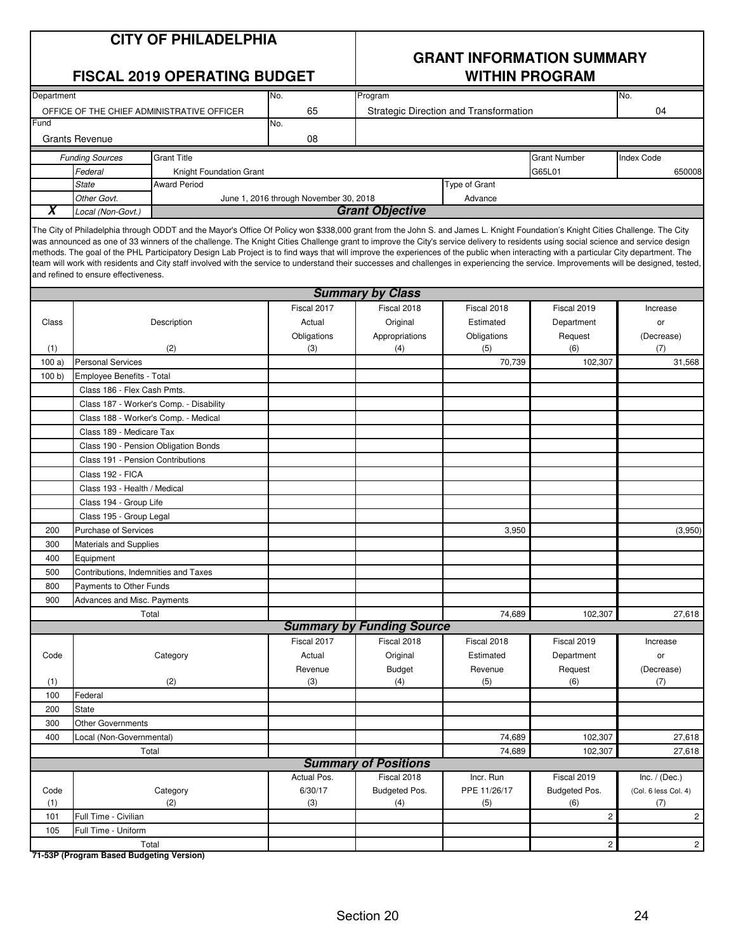| <b>CITY OF PHILADELPHIA</b> |
|-----------------------------|
|-----------------------------|

### **FISCAL 2019 OPERATING BUDGET WITHIN PROGRAM**

## **GRANT INFORMATION SUMMARY**

| Department                                 |                                            |                                                                                                                                                                                                                                                                                                                                                                                                                                                                                                                                                                                                                                                                                                                                                          | No.                                    | Program                                |               |                       | No.                     |
|--------------------------------------------|--------------------------------------------|----------------------------------------------------------------------------------------------------------------------------------------------------------------------------------------------------------------------------------------------------------------------------------------------------------------------------------------------------------------------------------------------------------------------------------------------------------------------------------------------------------------------------------------------------------------------------------------------------------------------------------------------------------------------------------------------------------------------------------------------------------|----------------------------------------|----------------------------------------|---------------|-----------------------|-------------------------|
| OFFICE OF THE CHIEF ADMINISTRATIVE OFFICER |                                            |                                                                                                                                                                                                                                                                                                                                                                                                                                                                                                                                                                                                                                                                                                                                                          | 65                                     | Strategic Direction and Transformation |               |                       | 04                      |
| Fund                                       |                                            |                                                                                                                                                                                                                                                                                                                                                                                                                                                                                                                                                                                                                                                                                                                                                          | No.                                    |                                        |               |                       |                         |
|                                            | <b>Grants Revenue</b>                      |                                                                                                                                                                                                                                                                                                                                                                                                                                                                                                                                                                                                                                                                                                                                                          | 08                                     |                                        |               |                       |                         |
|                                            | <b>Funding Sources</b>                     | <b>Grant Title</b>                                                                                                                                                                                                                                                                                                                                                                                                                                                                                                                                                                                                                                                                                                                                       |                                        |                                        |               | <b>Grant Number</b>   | <b>Index Code</b>       |
|                                            | Federal                                    | Knight Foundation Grant                                                                                                                                                                                                                                                                                                                                                                                                                                                                                                                                                                                                                                                                                                                                  |                                        |                                        |               | G65L01                | 650008                  |
|                                            | <b>State</b>                               | <b>Award Period</b>                                                                                                                                                                                                                                                                                                                                                                                                                                                                                                                                                                                                                                                                                                                                      |                                        |                                        | Type of Grant |                       |                         |
|                                            | Other Govt.                                |                                                                                                                                                                                                                                                                                                                                                                                                                                                                                                                                                                                                                                                                                                                                                          | June 1, 2016 through November 30, 2018 |                                        | Advance       |                       |                         |
| Х                                          | Local (Non-Govt.)                          |                                                                                                                                                                                                                                                                                                                                                                                                                                                                                                                                                                                                                                                                                                                                                          |                                        | <b>Grant Objective</b>                 |               |                       |                         |
|                                            | and refined to ensure effectiveness.       | The City of Philadelphia through ODDT and the Mayor's Office Of Policy won \$338,000 grant from the John S. and James L. Knight Foundation's Knight Cities Challenge. The City<br>was announced as one of 33 winners of the challenge. The Knight Cities Challenge grant to improve the City's service delivery to residents using social science and service design<br>methods. The goal of the PHL Participatory Design Lab Project is to find ways that will improve the experiences of the public when interacting with a particular City department. The<br>team will work with residents and City staff involved with the service to understand their successes and challenges in experiencing the service. Improvements will be designed, tested, |                                        |                                        |               |                       |                         |
|                                            |                                            |                                                                                                                                                                                                                                                                                                                                                                                                                                                                                                                                                                                                                                                                                                                                                          |                                        | <b>Summary by Class</b>                |               |                       |                         |
|                                            |                                            |                                                                                                                                                                                                                                                                                                                                                                                                                                                                                                                                                                                                                                                                                                                                                          | Fiscal 2017                            | Fiscal 2018                            | Fiscal 2018   | Fiscal 2019           | Increase                |
| Class                                      |                                            | Description                                                                                                                                                                                                                                                                                                                                                                                                                                                                                                                                                                                                                                                                                                                                              | Actual                                 | Original                               | Estimated     | Department            | or                      |
|                                            |                                            |                                                                                                                                                                                                                                                                                                                                                                                                                                                                                                                                                                                                                                                                                                                                                          | Obligations                            | Appropriations                         | Obligations   | Request               | (Decrease)              |
| (1)                                        |                                            | (2)                                                                                                                                                                                                                                                                                                                                                                                                                                                                                                                                                                                                                                                                                                                                                      | (3)                                    | (4)                                    | (5)           | (6)                   | (7)                     |
| 100a)                                      | <b>Personal Services</b>                   |                                                                                                                                                                                                                                                                                                                                                                                                                                                                                                                                                                                                                                                                                                                                                          |                                        |                                        | 70.739        | 102,307               | 31,568                  |
| 100 b                                      | Employee Benefits - Total                  |                                                                                                                                                                                                                                                                                                                                                                                                                                                                                                                                                                                                                                                                                                                                                          |                                        |                                        |               |                       |                         |
|                                            | Class 186 - Flex Cash Pmts.                |                                                                                                                                                                                                                                                                                                                                                                                                                                                                                                                                                                                                                                                                                                                                                          |                                        |                                        |               |                       |                         |
|                                            |                                            | Class 187 - Worker's Comp. - Disability                                                                                                                                                                                                                                                                                                                                                                                                                                                                                                                                                                                                                                                                                                                  |                                        |                                        |               |                       |                         |
|                                            |                                            | Class 188 - Worker's Comp. - Medical                                                                                                                                                                                                                                                                                                                                                                                                                                                                                                                                                                                                                                                                                                                     |                                        |                                        |               |                       |                         |
|                                            | Class 189 - Medicare Tax                   |                                                                                                                                                                                                                                                                                                                                                                                                                                                                                                                                                                                                                                                                                                                                                          |                                        |                                        |               |                       |                         |
|                                            | Class 190 - Pension Obligation Bonds       |                                                                                                                                                                                                                                                                                                                                                                                                                                                                                                                                                                                                                                                                                                                                                          |                                        |                                        |               |                       |                         |
|                                            | Class 191 - Pension Contributions          |                                                                                                                                                                                                                                                                                                                                                                                                                                                                                                                                                                                                                                                                                                                                                          |                                        |                                        |               |                       |                         |
|                                            | Class 192 - FICA                           |                                                                                                                                                                                                                                                                                                                                                                                                                                                                                                                                                                                                                                                                                                                                                          |                                        |                                        |               |                       |                         |
|                                            | Class 193 - Health / Medical               |                                                                                                                                                                                                                                                                                                                                                                                                                                                                                                                                                                                                                                                                                                                                                          |                                        |                                        |               |                       |                         |
|                                            | Class 194 - Group Life                     |                                                                                                                                                                                                                                                                                                                                                                                                                                                                                                                                                                                                                                                                                                                                                          |                                        |                                        |               |                       |                         |
|                                            | Class 195 - Group Legal                    |                                                                                                                                                                                                                                                                                                                                                                                                                                                                                                                                                                                                                                                                                                                                                          |                                        |                                        |               |                       |                         |
| 200<br>300                                 | <b>Purchase of Services</b>                |                                                                                                                                                                                                                                                                                                                                                                                                                                                                                                                                                                                                                                                                                                                                                          |                                        |                                        | 3,950         |                       | (3,950)                 |
| 400                                        | <b>Materials and Supplies</b><br>Equipment |                                                                                                                                                                                                                                                                                                                                                                                                                                                                                                                                                                                                                                                                                                                                                          |                                        |                                        |               |                       |                         |
| 500                                        | Contributions, Indemnities and Taxes       |                                                                                                                                                                                                                                                                                                                                                                                                                                                                                                                                                                                                                                                                                                                                                          |                                        |                                        |               |                       |                         |
| 800                                        | Payments to Other Funds                    |                                                                                                                                                                                                                                                                                                                                                                                                                                                                                                                                                                                                                                                                                                                                                          |                                        |                                        |               |                       |                         |
| 900                                        | Advances and Misc. Payments                |                                                                                                                                                                                                                                                                                                                                                                                                                                                                                                                                                                                                                                                                                                                                                          |                                        |                                        |               |                       |                         |
|                                            |                                            | Total                                                                                                                                                                                                                                                                                                                                                                                                                                                                                                                                                                                                                                                                                                                                                    |                                        |                                        | 74,689        | 102,307               | 27,618                  |
|                                            |                                            |                                                                                                                                                                                                                                                                                                                                                                                                                                                                                                                                                                                                                                                                                                                                                          |                                        | <b>Summary by Funding Source</b>       |               |                       |                         |
|                                            |                                            |                                                                                                                                                                                                                                                                                                                                                                                                                                                                                                                                                                                                                                                                                                                                                          | Fiscal 2017                            | Fiscal 2018                            | Fiscal 2018   | Fiscal 2019           | Increase                |
| Code                                       |                                            | Category                                                                                                                                                                                                                                                                                                                                                                                                                                                                                                                                                                                                                                                                                                                                                 | Actual                                 | Original                               | Estimated     | Department            | or                      |
|                                            |                                            |                                                                                                                                                                                                                                                                                                                                                                                                                                                                                                                                                                                                                                                                                                                                                          | Revenue                                | Budget                                 | Revenue       | Request               | (Decrease)              |
| (1)                                        |                                            | (2)                                                                                                                                                                                                                                                                                                                                                                                                                                                                                                                                                                                                                                                                                                                                                      | (3)                                    | (4)                                    | (5)           | (6)                   | (7)                     |
| 100                                        | Federal                                    |                                                                                                                                                                                                                                                                                                                                                                                                                                                                                                                                                                                                                                                                                                                                                          |                                        |                                        |               |                       |                         |
| 200                                        | State                                      |                                                                                                                                                                                                                                                                                                                                                                                                                                                                                                                                                                                                                                                                                                                                                          |                                        |                                        |               |                       |                         |
| 300                                        | <b>Other Governments</b>                   |                                                                                                                                                                                                                                                                                                                                                                                                                                                                                                                                                                                                                                                                                                                                                          |                                        |                                        |               |                       |                         |
| 400                                        | Local (Non-Governmental)                   |                                                                                                                                                                                                                                                                                                                                                                                                                                                                                                                                                                                                                                                                                                                                                          |                                        |                                        | 74,689        | 102,307               | 27,618                  |
|                                            |                                            | Total                                                                                                                                                                                                                                                                                                                                                                                                                                                                                                                                                                                                                                                                                                                                                    |                                        |                                        | 74,689        | 102,307               | 27,618                  |
|                                            |                                            |                                                                                                                                                                                                                                                                                                                                                                                                                                                                                                                                                                                                                                                                                                                                                          |                                        | <b>Summary of Positions</b>            |               |                       |                         |
|                                            |                                            |                                                                                                                                                                                                                                                                                                                                                                                                                                                                                                                                                                                                                                                                                                                                                          | Actual Pos.                            | Fiscal 2018                            | Incr. Run     | Fiscal 2019           | Inc. $/$ (Dec.)         |
| Code                                       |                                            | Category                                                                                                                                                                                                                                                                                                                                                                                                                                                                                                                                                                                                                                                                                                                                                 | 6/30/17                                | Budgeted Pos.                          | PPE 11/26/17  | Budgeted Pos.         | (Col. 6 less Col. 4)    |
| (1)                                        |                                            | (2)                                                                                                                                                                                                                                                                                                                                                                                                                                                                                                                                                                                                                                                                                                                                                      | (3)                                    | (4)                                    | (5)           | (6)                   | (7)                     |
| 101                                        | Full Time - Civilian                       |                                                                                                                                                                                                                                                                                                                                                                                                                                                                                                                                                                                                                                                                                                                                                          |                                        |                                        |               | $\sqrt{2}$            | $\overline{\mathbf{c}}$ |
| 105                                        | Full Time - Uniform                        | Total                                                                                                                                                                                                                                                                                                                                                                                                                                                                                                                                                                                                                                                                                                                                                    |                                        |                                        |               | $\mathbf{2}^{\prime}$ | $\mathbf{2}$            |
|                                            |                                            |                                                                                                                                                                                                                                                                                                                                                                                                                                                                                                                                                                                                                                                                                                                                                          |                                        |                                        |               |                       |                         |

**71-53P (Program Based Budgeting Version)**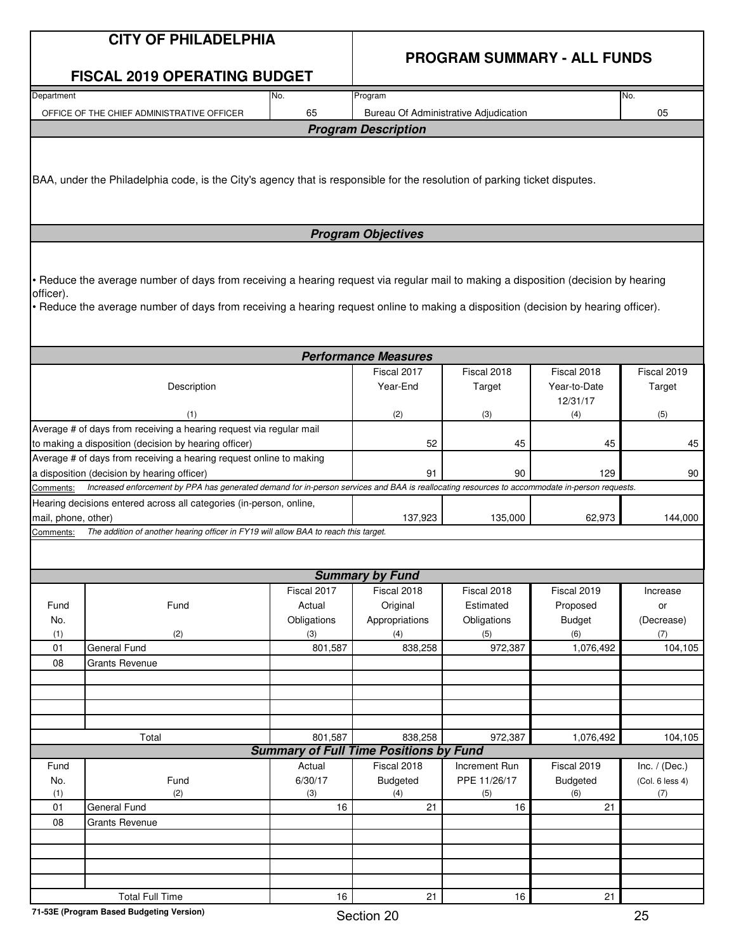|--|

### **PROGRAM SUMMARY - ALL FUNDS**

|                                                                                                                                                                                                           | <b>FISCAL 2019 OPERATING BUDGET</b>                                                                                                                                                                                                                                      |                                                        |                                                             |                                                           |                                                              |                                                |  |  |
|-----------------------------------------------------------------------------------------------------------------------------------------------------------------------------------------------------------|--------------------------------------------------------------------------------------------------------------------------------------------------------------------------------------------------------------------------------------------------------------------------|--------------------------------------------------------|-------------------------------------------------------------|-----------------------------------------------------------|--------------------------------------------------------------|------------------------------------------------|--|--|
| Department<br>No.                                                                                                                                                                                         |                                                                                                                                                                                                                                                                          |                                                        | Program                                                     | No.                                                       |                                                              |                                                |  |  |
| 65<br>OFFICE OF THE CHIEF ADMINISTRATIVE OFFICER                                                                                                                                                          |                                                                                                                                                                                                                                                                          |                                                        | Bureau Of Administrative Adjudication                       | 05                                                        |                                                              |                                                |  |  |
|                                                                                                                                                                                                           |                                                                                                                                                                                                                                                                          |                                                        | <b>Program Description</b>                                  |                                                           |                                                              |                                                |  |  |
|                                                                                                                                                                                                           | BAA, under the Philadelphia code, is the City's agency that is responsible for the resolution of parking ticket disputes.                                                                                                                                                |                                                        |                                                             |                                                           |                                                              |                                                |  |  |
|                                                                                                                                                                                                           |                                                                                                                                                                                                                                                                          |                                                        | <b>Program Objectives</b>                                   |                                                           |                                                              |                                                |  |  |
| officer).                                                                                                                                                                                                 | • Reduce the average number of days from receiving a hearing request via regular mail to making a disposition (decision by hearing<br>• Reduce the average number of days from receiving a hearing request online to making a disposition (decision by hearing officer). |                                                        |                                                             |                                                           |                                                              |                                                |  |  |
|                                                                                                                                                                                                           |                                                                                                                                                                                                                                                                          |                                                        | <b>Performance Measures</b>                                 |                                                           |                                                              |                                                |  |  |
|                                                                                                                                                                                                           | Description                                                                                                                                                                                                                                                              |                                                        | Fiscal 2017<br>Year-End                                     | Fiscal 2018<br>Target                                     | Fiscal 2018<br>Year-to-Date<br>12/31/17                      | Fiscal 2019<br>Target                          |  |  |
|                                                                                                                                                                                                           | (1)                                                                                                                                                                                                                                                                      |                                                        | (2)                                                         | (3)                                                       | (4)                                                          | (5)                                            |  |  |
|                                                                                                                                                                                                           | Average # of days from receiving a hearing request via regular mail<br>to making a disposition (decision by hearing officer)                                                                                                                                             |                                                        | 52                                                          | 45                                                        | 45                                                           | 45                                             |  |  |
| Average # of days from receiving a hearing request online to making                                                                                                                                       |                                                                                                                                                                                                                                                                          |                                                        |                                                             |                                                           |                                                              |                                                |  |  |
| a disposition (decision by hearing officer)<br>Increased enforcement by PPA has generated demand for in-person services and BAA is reallocating resources to accommodate in-person requests.<br>Comments: |                                                                                                                                                                                                                                                                          |                                                        | 91                                                          | 90                                                        | 129                                                          | 90                                             |  |  |
| mail, phone, other)<br>Comments:                                                                                                                                                                          | Hearing decisions entered across all categories (in-person, online,<br>The addition of another hearing officer in FY19 will allow BAA to reach this target.                                                                                                              |                                                        | 137,923                                                     | 135,000                                                   | 62,973                                                       | 144,000                                        |  |  |
|                                                                                                                                                                                                           |                                                                                                                                                                                                                                                                          |                                                        | <b>Summary by Fund</b>                                      |                                                           |                                                              |                                                |  |  |
| Fund<br>No.<br>(1)<br>01                                                                                                                                                                                  | Fund<br>(2)<br><b>General Fund</b>                                                                                                                                                                                                                                       | Fiscal 2017<br>Actual<br>Obligations<br>(3)<br>801,587 | Fiscal 2018<br>Original<br>Appropriations<br>(4)<br>838,258 | Fiscal 2018<br>Estimated<br>Obligations<br>(5)<br>972,387 | Fiscal 2019<br>Proposed<br><b>Budget</b><br>(6)<br>1,076,492 | Increase<br>or<br>(Decrease)<br>(7)<br>104,105 |  |  |
| 08                                                                                                                                                                                                        | <b>Grants Revenue</b>                                                                                                                                                                                                                                                    |                                                        |                                                             |                                                           |                                                              |                                                |  |  |
|                                                                                                                                                                                                           |                                                                                                                                                                                                                                                                          |                                                        |                                                             |                                                           |                                                              |                                                |  |  |
|                                                                                                                                                                                                           |                                                                                                                                                                                                                                                                          |                                                        |                                                             |                                                           |                                                              |                                                |  |  |
|                                                                                                                                                                                                           |                                                                                                                                                                                                                                                                          |                                                        |                                                             |                                                           |                                                              |                                                |  |  |
|                                                                                                                                                                                                           | Total                                                                                                                                                                                                                                                                    | 801,587                                                | 838,258                                                     | 972,387                                                   | 1,076,492                                                    | 104,105                                        |  |  |
|                                                                                                                                                                                                           |                                                                                                                                                                                                                                                                          |                                                        | <b>Summary of Full Time Positions by Fund</b>               |                                                           |                                                              |                                                |  |  |
| Fund                                                                                                                                                                                                      |                                                                                                                                                                                                                                                                          | Actual                                                 | Fiscal 2018                                                 | Increment Run                                             | Fiscal 2019                                                  | Inc. $/$ (Dec.)                                |  |  |
| No.<br>(1)                                                                                                                                                                                                | Fund<br>(2)                                                                                                                                                                                                                                                              | 6/30/17<br>(3)                                         | <b>Budgeted</b><br>(4)                                      | PPE 11/26/17<br>(5)                                       | <b>Budgeted</b><br>(6)                                       | (Col. 6 less 4)<br>(7)                         |  |  |
| 01                                                                                                                                                                                                        | General Fund                                                                                                                                                                                                                                                             | 16                                                     | 21                                                          | 16                                                        | 21                                                           |                                                |  |  |
| 08                                                                                                                                                                                                        | <b>Grants Revenue</b>                                                                                                                                                                                                                                                    |                                                        |                                                             |                                                           |                                                              |                                                |  |  |
|                                                                                                                                                                                                           |                                                                                                                                                                                                                                                                          |                                                        |                                                             |                                                           |                                                              |                                                |  |  |
|                                                                                                                                                                                                           |                                                                                                                                                                                                                                                                          |                                                        |                                                             |                                                           |                                                              |                                                |  |  |
|                                                                                                                                                                                                           |                                                                                                                                                                                                                                                                          |                                                        |                                                             |                                                           |                                                              |                                                |  |  |
|                                                                                                                                                                                                           | <b>Total Full Time</b>                                                                                                                                                                                                                                                   | 16                                                     | 21                                                          | 16                                                        | 21                                                           |                                                |  |  |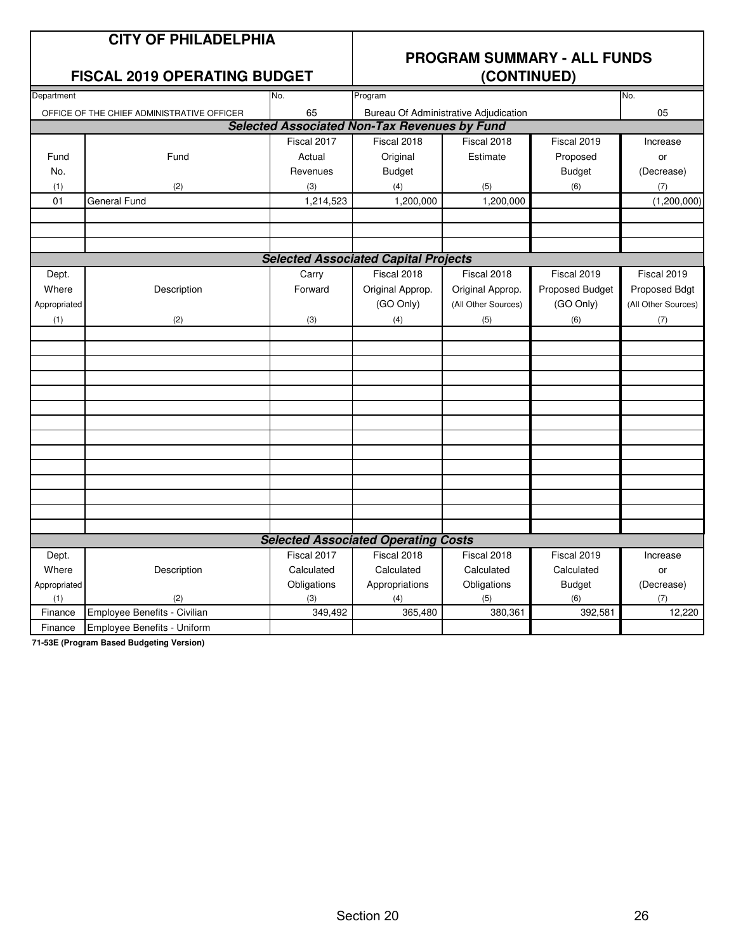### **CITY OF PHILADELPHIA**

#### **FISCAL 2019 OPERATING BUDGET**

## **PROGRAM SUMMARY - ALL FUNDS**

| Department                                 |                                            | No.                                                 | Program                                     |                     |                 | No.                 |  |  |
|--------------------------------------------|--------------------------------------------|-----------------------------------------------------|---------------------------------------------|---------------------|-----------------|---------------------|--|--|
|                                            | OFFICE OF THE CHIEF ADMINISTRATIVE OFFICER | 65                                                  | Bureau Of Administrative Adjudication       | 05                  |                 |                     |  |  |
|                                            |                                            | <b>Selected Associated Non-Tax Revenues by Fund</b> |                                             |                     |                 |                     |  |  |
|                                            |                                            | Fiscal 2017                                         | Fiscal 2018                                 | Fiscal 2018         | Fiscal 2019     | Increase            |  |  |
| Fund                                       | Fund                                       | Actual                                              | Original                                    | Estimate            | Proposed        | or                  |  |  |
| No.                                        |                                            | Revenues                                            | <b>Budget</b>                               |                     | <b>Budget</b>   | (Decrease)          |  |  |
| (1)                                        | (2)                                        | (3)                                                 | (4)                                         | (5)                 | (6)             | (7)                 |  |  |
| 01                                         | <b>General Fund</b>                        | 1,214,523                                           | 1,200,000                                   | 1,200,000           |                 | (1,200,000)         |  |  |
|                                            |                                            |                                                     |                                             |                     |                 |                     |  |  |
|                                            |                                            |                                                     |                                             |                     |                 |                     |  |  |
|                                            |                                            |                                                     |                                             |                     |                 |                     |  |  |
|                                            |                                            |                                                     | <b>Selected Associated Capital Projects</b> |                     |                 |                     |  |  |
| Dept.                                      |                                            | Carry                                               | Fiscal 2018                                 | Fiscal 2018         | Fiscal 2019     | Fiscal 2019         |  |  |
| Where                                      | Description                                | Forward                                             | Original Approp.                            | Original Approp.    | Proposed Budget | Proposed Bdgt       |  |  |
| Appropriated                               |                                            |                                                     | (GO Only)                                   | (All Other Sources) | (GO Only)       | (All Other Sources) |  |  |
| (1)                                        | (2)                                        | (3)                                                 | (4)                                         | (5)                 | (6)             | (7)                 |  |  |
|                                            |                                            |                                                     |                                             |                     |                 |                     |  |  |
|                                            |                                            |                                                     |                                             |                     |                 |                     |  |  |
|                                            |                                            |                                                     |                                             |                     |                 |                     |  |  |
|                                            |                                            |                                                     |                                             |                     |                 |                     |  |  |
|                                            |                                            |                                                     |                                             |                     |                 |                     |  |  |
|                                            |                                            |                                                     |                                             |                     |                 |                     |  |  |
|                                            |                                            |                                                     |                                             |                     |                 |                     |  |  |
|                                            |                                            |                                                     |                                             |                     |                 |                     |  |  |
|                                            |                                            |                                                     |                                             |                     |                 |                     |  |  |
|                                            |                                            |                                                     |                                             |                     |                 |                     |  |  |
|                                            |                                            |                                                     |                                             |                     |                 |                     |  |  |
|                                            |                                            |                                                     |                                             |                     |                 |                     |  |  |
|                                            |                                            |                                                     |                                             |                     |                 |                     |  |  |
| <b>Selected Associated Operating Costs</b> |                                            |                                                     |                                             |                     |                 |                     |  |  |
| Dept.                                      |                                            | Fiscal 2017                                         | Fiscal 2018                                 | Fiscal 2018         | Fiscal 2019     | Increase            |  |  |
| Where                                      | Description                                | Calculated                                          | Calculated                                  | Calculated          | Calculated      | or                  |  |  |
| Appropriated                               |                                            | Obligations                                         | Appropriations                              | Obligations         | <b>Budget</b>   | (Decrease)          |  |  |
| (1)                                        | (2)                                        | (3)                                                 | (4)                                         | (5)                 | (6)             | (7)                 |  |  |
| Finance                                    | Employee Benefits - Civilian               | 349,492                                             | 365,480                                     | 380,361             | 392,581         | 12,220              |  |  |
| Finance                                    | Employee Benefits - Uniform                |                                                     |                                             |                     |                 |                     |  |  |

**71-53E (Program Based Budgeting Version)**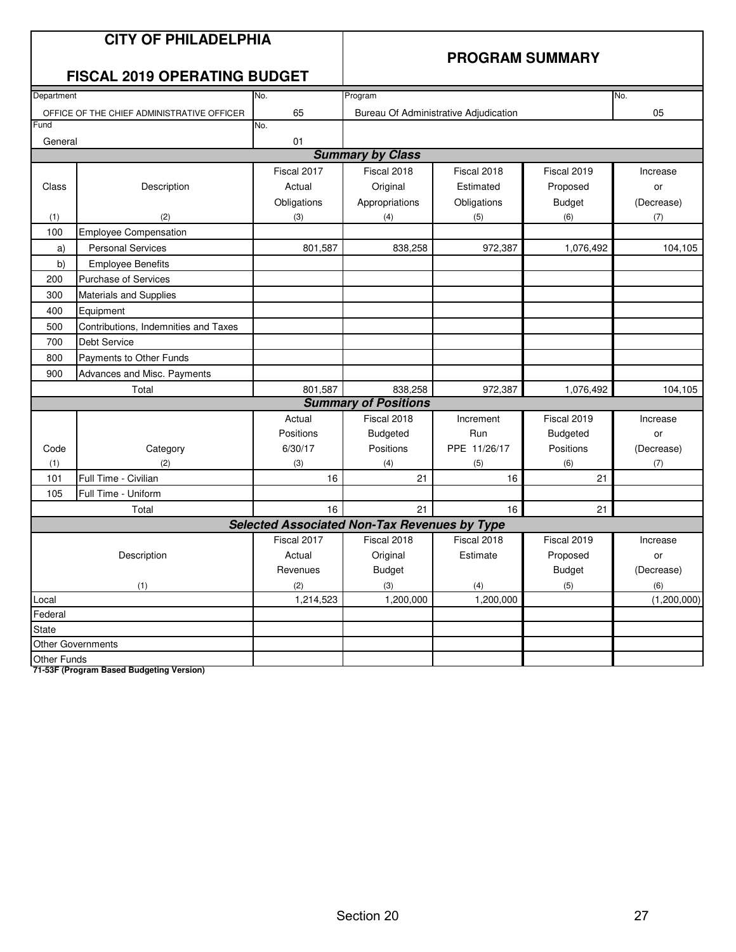|                                    | <b>CITY OF PHILADELPHIA</b><br><b>FISCAL 2019 OPERATING BUDGET</b> | <b>PROGRAM SUMMARY</b>                              |                                       |              |               |             |  |
|------------------------------------|--------------------------------------------------------------------|-----------------------------------------------------|---------------------------------------|--------------|---------------|-------------|--|
| Department                         |                                                                    | Program                                             | No.                                   |              |               |             |  |
|                                    | OFFICE OF THE CHIEF ADMINISTRATIVE OFFICER                         | 65                                                  | Bureau Of Administrative Adjudication | 05           |               |             |  |
| Fund                               |                                                                    | No.                                                 |                                       |              |               |             |  |
| General                            |                                                                    | 01                                                  |                                       |              |               |             |  |
|                                    |                                                                    |                                                     | <b>Summary by Class</b>               |              |               |             |  |
|                                    |                                                                    | Fiscal 2017                                         | Fiscal 2018                           | Fiscal 2018  | Fiscal 2019   | Increase    |  |
| Class                              | Description                                                        | Actual                                              | Original                              | Estimated    | Proposed      | or          |  |
|                                    |                                                                    | Obligations                                         | Appropriations                        | Obligations  | <b>Budget</b> | (Decrease)  |  |
| (1)                                | (2)                                                                | (3)                                                 | (4)                                   | (5)          | (6)           | (7)         |  |
| 100                                | <b>Employee Compensation</b>                                       |                                                     |                                       |              |               |             |  |
| a)                                 | <b>Personal Services</b>                                           | 801,587                                             | 838,258                               | 972,387      | 1,076,492     | 104,105     |  |
| b)                                 | <b>Employee Benefits</b>                                           |                                                     |                                       |              |               |             |  |
| 200                                | <b>Purchase of Services</b>                                        |                                                     |                                       |              |               |             |  |
| 300                                | <b>Materials and Supplies</b>                                      |                                                     |                                       |              |               |             |  |
| 400                                | Equipment                                                          |                                                     |                                       |              |               |             |  |
| 500                                | Contributions, Indemnities and Taxes                               |                                                     |                                       |              |               |             |  |
| 700                                | <b>Debt Service</b>                                                |                                                     |                                       |              |               |             |  |
| 800                                | Payments to Other Funds                                            |                                                     |                                       |              |               |             |  |
| 900<br>Advances and Misc. Payments |                                                                    |                                                     |                                       |              |               |             |  |
|                                    | Total                                                              | 801,587                                             | 838,258                               | 972,387      | 1,076,492     | 104,105     |  |
|                                    |                                                                    | <b>Summary of Positions</b>                         |                                       |              |               |             |  |
|                                    |                                                                    | Actual                                              | Fiscal 2018                           | Increment    | Fiscal 2019   | Increase    |  |
|                                    |                                                                    | Positions                                           | <b>Budgeted</b>                       | Run          | Budgeted      | or          |  |
| Code                               | Category                                                           | 6/30/17                                             | Positions                             | PPE 11/26/17 | Positions     | (Decrease)  |  |
| (1)                                | (2)                                                                | (3)                                                 | (4)                                   | (5)          | (6)           | (7)         |  |
| 101                                | Full Time - Civilian                                               | 16                                                  | 21                                    | 16           | 21            |             |  |
| 105                                | Full Time - Uniform                                                |                                                     |                                       |              |               |             |  |
|                                    | Total                                                              | 16                                                  | 21                                    | 16           | 21            |             |  |
|                                    |                                                                    | <b>Selected Associated Non-Tax Revenues by Type</b> |                                       |              |               |             |  |
| Fiscal 2017                        |                                                                    |                                                     | Fiscal 2018                           | Fiscal 2018  | Fiscal 2019   | Increase    |  |
|                                    | Description                                                        | Actual                                              | Original                              | Estimate     | Proposed      | or          |  |
|                                    |                                                                    | Revenues                                            | <b>Budget</b>                         |              | <b>Budget</b> | (Decrease)  |  |
|                                    | (1)                                                                | (2)                                                 | (3)                                   | (4)          | (5)           | (6)         |  |
| Local                              |                                                                    | 1,214,523                                           | 1,200,000                             | 1,200,000    |               | (1,200,000) |  |
| Federal                            |                                                                    |                                                     |                                       |              |               |             |  |
| State                              |                                                                    |                                                     |                                       |              |               |             |  |
|                                    | <b>Other Governments</b>                                           |                                                     |                                       |              |               |             |  |
| <b>Other Funds</b>                 |                                                                    |                                                     |                                       |              |               |             |  |

**71-53F (Program Based Budgeting Version)**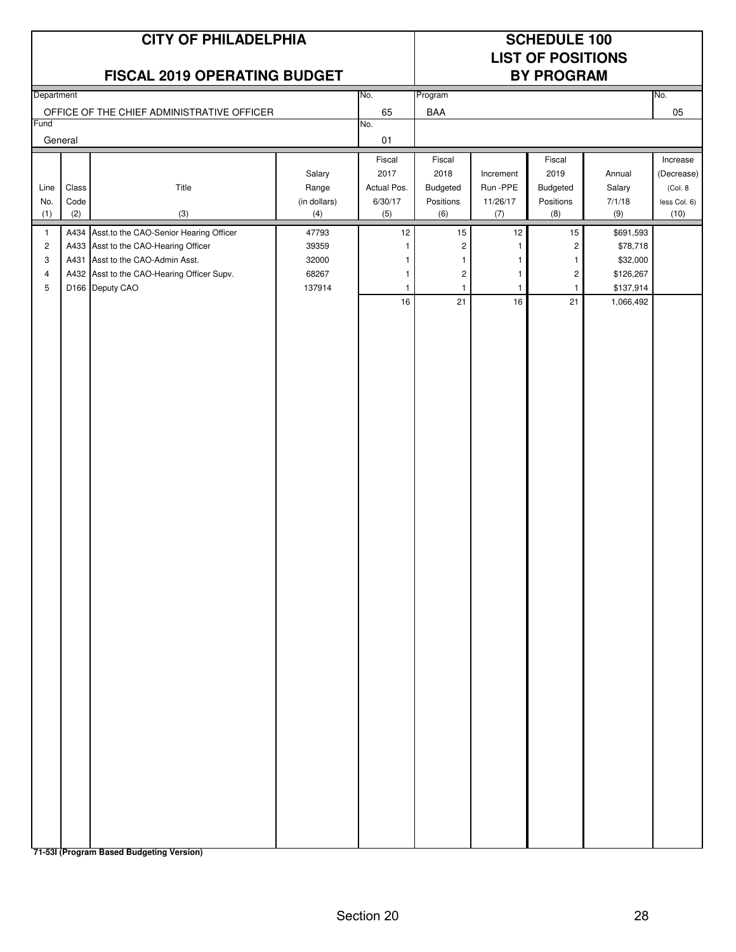## No. No. 65 BAA 05 No. 01 Fiscal Fiscal | Fiscal | Fiscal | Fiscal | Increase Salary 2017 2018 Increment 2019 Annual (Decrease) Line | Class | Title Title Range | Actual Pos. | Budgeted | Run -PPE | Budgeted | Salary | (Col. 8 No. Code (in dollars) 6/30/17 Positions 11/26/17 Positions 7/1/18 less Col. 6) (1) (2) (3) (4) (5) (6) (7) (8) (9) (10) 1 A434 Asst.to the CAO-Senior Hearing Officer 47793 12 15 12 15 \$691,593 2 | A433 | Asst to the CAO-Hearing Officer | 39359 | 1 | 2 | \$78,718 3 | A431 | Asst to the CAO-Admin Asst. 1 32000 | 1 | 1 | 1 | 1 | \$32,000 4 A432 Asst to the CAO-Hearing Officer Supv. 68267 1 2 1 2 \$126.267 5 D166 Deputy CAO 137914 1 1 1 1 \$137,914 16 21 16 21 1,066,492 **CITY OF PHILADELPHIA SCHEDULE 100 LIST OF POSITIONS FISCAL 2019 OPERATING BUDGET BY PROGRAM** Department Program Program Control of the Control of the Program Program Program Program Program Program Program OFFICE OF THE CHIEF ADMINISTRATIVE OFFICER 65 BAA Fund General

**71-53I (Program Based Budgeting Version)**